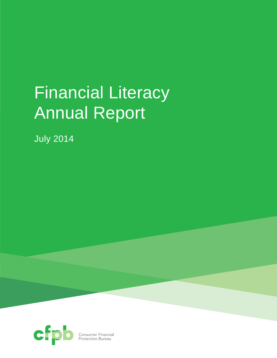# Financial Literacy Annual Report

July 2014



**Consumer Financial**<br>Protection Bureau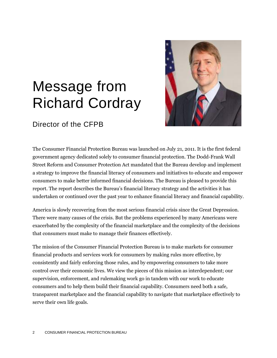# Message from Richard Cordray



## Director of the CFPB

The Consumer Financial Protection Bureau was launched on July 21, 2011. It is the first federal government agency dedicated solely to consumer financial protection. The Dodd-Frank Wall Street Reform and Consumer Protection Act mandated that the Bureau develop and implement a strategy to improve the financial literacy of consumers and initiatives to educate and empower consumers to make better informed financial decisions. The Bureau is pleased to provide this report. The report describes the Bureau's financial literacy strategy and the activities it has undertaken or continued over the past year to enhance financial literacy and financial capability.

America is slowly recovering from the most serious financial crisis since the Great Depression. There were many causes of the crisis. But the problems experienced by many Americans were exacerbated by the complexity of the financial marketplace and the complexity of the decisions that consumers must make to manage their finances effectively.

The mission of the Consumer Financial Protection Bureau is to make markets for consumer financial products and services work for consumers by making rules more effective, by consistently and fairly enforcing those rules, and by empowering consumers to take more control over their economic lives. We view the pieces of this mission as interdependent; our supervision, enforcement, and rulemaking work go in tandem with our work to educate consumers and to help them build their financial capability. Consumers need both a safe, transparent marketplace and the financial capability to navigate that marketplace effectively to serve their own life goals.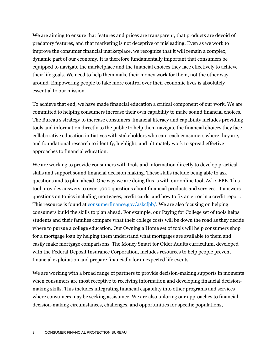We are aiming to ensure that features and prices are transparent, that products are devoid of predatory features, and that marketing is not deceptive or misleading. Even as we work to improve the consumer financial marketplace, we recognize that it will remain a complex, dynamic part of our economy. It is therefore fundamentally important that consumers be equipped to navigate the marketplace and the financial choices they face effectively to achieve their life goals. We need to help them make their money work for them, not the other way around. Empowering people to take more control over their economic lives is absolutely essential to our mission.

To achieve that end, we have made financial education a critical component of our work. We are committed to helping consumers increase their own capability to make sound financial choices. The Bureau's strategy to increase consumers' financial literacy and capability includes providing tools and information directly to the public to help them navigate the financial choices they face, collaborative education initiatives with stakeholders who can reach consumers where they are, and foundational research to identify, highlight, and ultimately work to spread effective approaches to financial education.

We are working to provide consumers with tools and information directly to develop practical skills and support sound financial decision making. These skills include being able to ask questions and to plan ahead. One way we are doing this is with our online tool, Ask CFPB. This tool provides answers to over 1,000 questions about financial products and services. It answers questions on topics including mortgages, credit cards, and how to fix an error in a credit report. This resource is found at [consumerfinance.gov/askcfpb/.](http://www.consumerfinance.gov/askcfpb/) We are also focusing on helping consumers build the skills to plan ahead. For example, our Paying for College set of tools helps students and their families compare what their college costs will be down the road as they decide where to pursue a college education. Our Owning a Home set of tools will help consumers shop for a mortgage loan by helping them understand what mortgages are available to them and easily make mortgage comparisons. The Money Smart for Older Adults curriculum, developed with the Federal Deposit Insurance Corporation, includes resources to help people prevent financial exploitation and prepare financially for unexpected life events.

We are working with a broad range of partners to provide decision-making supports in moments when consumers are most receptive to receiving information and developing financial decisionmaking skills. This includes integrating financial capability into other programs and services where consumers may be seeking assistance. We are also tailoring our approaches to financial decision-making circumstances, challenges, and opportunities for specific populations,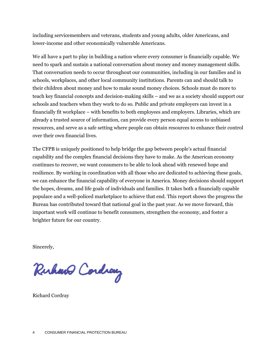including servicemembers and veterans, students and young adults, older Americans, and lower-income and other economically vulnerable Americans.

We all have a part to play in building a nation where every consumer is financially capable. We need to spark and sustain a national conversation about money and money management skills. That conversation needs to occur throughout our communities, including in our families and in schools, workplaces, and other local community institutions. Parents can and should talk to their children about money and how to make sound money choices. Schools must do more to teach key financial concepts and decision-making skills – and we as a society should support our schools and teachers when they work to do so. Public and private employers can invest in a financially fit workplace – with benefits to both employees and employers. Libraries, which are already a trusted source of information, can provide every person equal access to unbiased resources, and serve as a safe setting where people can obtain resources to enhance their control over their own financial lives.

The CFPB is uniquely positioned to help bridge the gap between people's actual financial capability and the complex financial decisions they have to make. As the American economy continues to recover, we want consumers to be able to look ahead with renewed hope and resilience. By working in coordination with all those who are dedicated to achieving these goals, we can enhance the financial capability of everyone in America. Money decisions should support the hopes, dreams, and life goals of individuals and families. It takes both a financially capable populace and a well-policed marketplace to achieve that end. This report shows the progress the Bureau has contributed toward that national goal in the past year. As we move forward, this important work will continue to benefit consumers, strengthen the economy, and foster a brighter future for our country.

Sincerely,

Ruhano Cordiay

Richard Cordray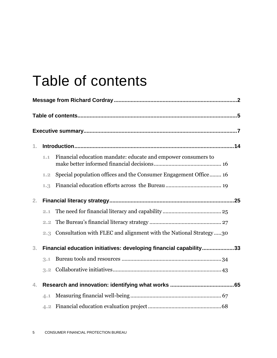# Table of contents

| 1.             |     |                                                                    |
|----------------|-----|--------------------------------------------------------------------|
|                | 1.1 | Financial education mandate: educate and empower consumers to      |
|                | 1.2 | Special population offices and the Consumer Engagement Office 16   |
|                | 1.3 |                                                                    |
| 2.             |     |                                                                    |
|                | 2,1 |                                                                    |
|                | 2.2 |                                                                    |
|                | 2.3 | Consultation with FLEC and alignment with the National Strategy30  |
| 3 <sub>1</sub> |     | Financial education initiatives: developing financial capability33 |
|                | 3.1 |                                                                    |
|                | 3.2 |                                                                    |
| 4.             |     |                                                                    |
|                | 4.1 |                                                                    |
|                |     |                                                                    |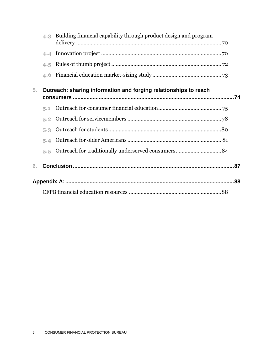|    | 4.3 | Building financial capability through product design and program |  |
|----|-----|------------------------------------------------------------------|--|
|    | 4.4 |                                                                  |  |
|    | 4.5 |                                                                  |  |
|    | 4.6 |                                                                  |  |
| 5. |     | Outreach: sharing information and forging relationships to reach |  |
|    | 5.1 |                                                                  |  |
|    | 5.2 |                                                                  |  |
|    | 5.3 |                                                                  |  |
|    | 5.4 |                                                                  |  |
|    | 5.5 |                                                                  |  |
| 6. |     |                                                                  |  |
|    |     |                                                                  |  |
|    |     |                                                                  |  |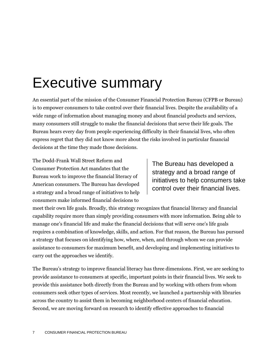# Executive summary

An essential part of the mission of the Consumer Financial Protection Bureau (CFPB or Bureau) is to empower consumers to take control over their financial lives. Despite the availability of a wide range of information about managing money and about financial products and services, many consumers still struggle to make the financial decisions that serve their life goals. The Bureau hears every day from people experiencing difficulty in their financial lives, who often express regret that they did not know more about the risks involved in particular financial decisions at the time they made those decisions.

The Dodd-Frank Wall Street Reform and Consumer Protection Act mandates that the Bureau work to improve the financial literacy of American consumers. The Bureau has developed a strategy and a broad range of initiatives to help consumers make informed financial decisions to

The Bureau has developed a strategy and a broad range of initiatives to help consumers take control over their financial lives.

meet their own life goals. Broadly, this strategy recognizes that financial literacy and financial capability require more than simply providing consumers with more information. Being able to manage one's financial life and make the financial decisions that will serve one's life goals requires a combination of knowledge, skills, and action. For that reason, the Bureau has pursued a strategy that focuses on identifying how, where, when, and through whom we can provide assistance to consumers for maximum benefit, and developing and implementing initiatives to carry out the approaches we identify.

The Bureau's strategy to improve financial literacy has three dimensions. First, we are seeking to provide assistance to consumers at specific, important points in their financial lives. We seek to provide this assistance both directly from the Bureau and by working with others from whom consumers seek other types of services. Most recently, we launched a partnership with libraries across the country to assist them in becoming neighborhood centers of financial education. Second, we are moving forward on research to identify effective approaches to financial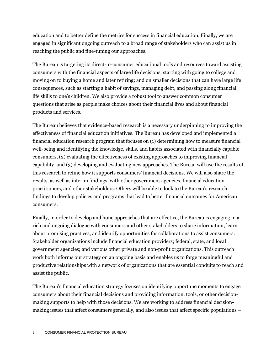education and to better define the metrics for success in financial education. Finally, we are engaged in significant ongoing outreach to a broad range of stakeholders who can assist us in reaching the public and fine-tuning our approaches.

The Bureau is targeting its direct-to-consumer educational tools and resources toward assisting consumers with the financial aspects of large life decisions, starting with going to college and moving on to buying a home and later retiring; and on smaller decisions that can have large life consequences, such as starting a habit of savings, managing debt, and passing along financial life skills to one's children. We also provide a robust tool to answer common consumer questions that arise as people make choices about their financial lives and about financial products and services.

The Bureau believes that evidence-based research is a necessary underpinning to improving the effectiveness of financial education initiatives. The Bureau has developed and implemented a financial education research program that focuses on (1) determining how to measure financial well-being and identifying the knowledge, skills, and habits associated with financially capable consumers, (2) evaluating the effectiveness of existing approaches to improving financial capability, and (3) developing and evaluating new approaches. The Bureau will use the results of this research to refine how it supports consumers' financial decisions. We will also share the results, as well as interim findings, with other government agencies, financial education practitioners, and other stakeholders. Others will be able to look to the Bureau's research findings to develop policies and programs that lead to better financial outcomes for American consumers.

Finally, in order to develop and hone approaches that are effective, the Bureau is engaging in a rich and ongoing dialogue with consumers and other stakeholders to share information, learn about promising practices, and identify opportunities for collaborations to assist consumers. Stakeholder organizations include financial education providers; federal, state, and local government agencies; and various other private and non-profit organizations. This outreach work both informs our strategy on an ongoing basis and enables us to forge meaningful and productive relationships with a network of organizations that are essential conduits to reach and assist the public.

The Bureau's financial education strategy focuses on identifying opportune moments to engage consumers about their financial decisions and providing information, tools, or other decisionmaking supports to help with those decisions. We are working to address financial decisionmaking issues that affect consumers generally, and also issues that affect specific populations –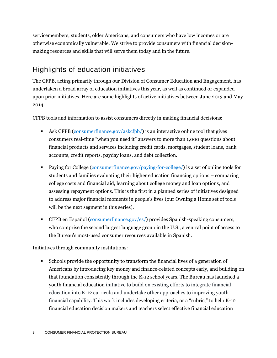servicemembers, students, older Americans, and consumers who have low incomes or are otherwise economically vulnerable. We strive to provide consumers with financial decisionmaking resources and skills that will serve them today and in the future.

## Highlights of education initiatives

The CFPB, acting primarily through our Division of Consumer Education and Engagement, has undertaken a broad array of education initiatives this year, as well as continued or expanded upon prior initiatives. Here are some highlights of active initiatives between June 2013 and May 2014.

CFPB tools and information to assist consumers directly in making financial decisions:

- Ask CFPB [\(consumerfinance.gov/askcfpb/\)](http://www.consumerfinance.gov/askcfpb/) is an interactive online tool that gives consumers real-time "when you need it" answers to more than 1,000 questions about financial products and services including credit cards, mortgages, student loans, bank accounts, credit reports, payday loans, and debt collection.
- Paying for College [\(consumerfinance.gov/paying-for-college/\)](http://www.consumerfinance.gov/paying-for-college/) is a set of online tools for students and families evaluating their higher education financing options – comparing college costs and financial aid, learning about college money and loan options, and assessing repayment options. This is the first in a planned series of initiatives designed to address major financial moments in people's lives (our Owning a Home set of tools will be the next segment in this series).
- CFPB en Español [\(consumerfinance.gov/es/\)](http://www.consumerfinance.gov/es/) provides Spanish-speaking consumers, who comprise the second largest language group in the U.S., a central point of access to the Bureau's most-used consumer resources available in Spanish.

Initiatives through community institutions:

 Schools provide the opportunity to transform the financial lives of a generation of Americans by introducing key money and finance-related concepts early, and building on that foundation consistently through the K-12 school years. The Bureau has launched a youth financial education initiative to build on existing efforts to integrate financial education into K-12 curricula and undertake other approaches to improving youth financial capability. This work includes developing criteria, or a "rubric," to help K-12 financial education decision makers and teachers select effective financial education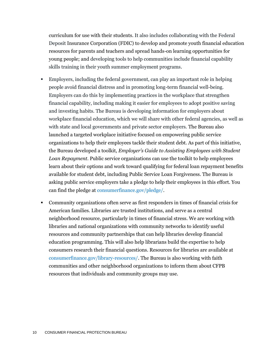curriculum for use with their students. It also includes collaborating with the Federal Deposit Insurance Corporation (FDIC) to develop and promote youth financial education resources for parents and teachers and spread hands-on learning opportunities for young people; and developing tools to help communities include financial capability skills training in their youth summer employment programs.

- Employers, including the federal government, can play an important role in helping people avoid financial distress and in promoting long-term financial well-being. Employers can do this by implementing practices in the workplace that strengthen financial capability, including making it easier for employees to adopt positive saving and investing habits. The Bureau is developing information for employers about workplace financial education, which we will share with other federal agencies, as well as with state and local governments and private sector employers. The Bureau also launched a targeted workplace initiative focused on empowering public service organizations to help their employees tackle their student debt. As part of this initiative, the Bureau developed a toolkit, *Employer's Guide to Assisting Employees with Student Loan Repayment*. Public service organizations can use the toolkit to help employees learn about their options and work toward qualifying for federal loan repayment benefits available for student debt, including Public Service Loan Forgiveness. The Bureau is asking public service employers take a pledge to help their employees in this effort. You can find the pledge at [consumerfinance.gov/pledge/.](http://www.consumerfinance.gov/pledge/)
- Community organizations often serve as first responders in times of financial crisis for American families. Libraries are trusted institutions, and serve as a central neighborhood resource, particularly in times of financial stress. We are working with libraries and national organizations with community networks to identify useful resources and community partnerships that can help libraries develop financial education programming. This will also help librarians build the expertise to help consumers research their financial questions. Resources for libraries are available at [consumerfinance.gov/library-resources/.](http://www.consumerfinance.gov/library-resources/) The Bureau is also working with faith communities and other neighborhood organizations to inform them about CFPB resources that individuals and community groups may use.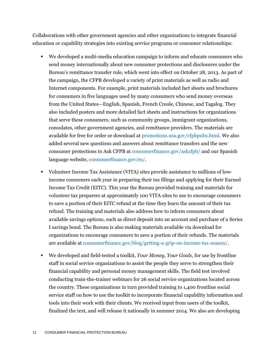Collaborations with other government agencies and other organizations to integrate financial education or capability strategies into existing service programs or consumer relationships:

- We developed a multi-media education campaign to inform and educate consumers who send money internationally about new consumer protections and disclosures under the Bureau's remittance transfer rule, which went into effect on October 28, 2013. As part of the campaign, the CFPB developed a variety of print materials as well as radio and Internet components. For example, print materials included fact sheets and brochures for consumers in five languages used by many consumers who send money overseas from the United States—English, Spanish, French Creole, Chinese, and Tagalog. They also included posters and more detailed fact sheets and instructions for organizations that serve these consumers, such as community groups, immigrant organizations, consulates, other government agencies, and remittance providers. The materials are available for free for order or download at [promotions.usa.gov/cfpbpubs.html.](http://www.promotions.usa.gov/cfpbpubs.html) We also added several new questions and answers about remittance transfers and the new consumer protections to Ask CFPB a[t consumerfinance.gov/askcfpb/](http://www.consumerfinance.gov/askcfpb/) and our Spanish language website[, consumerfinance.gov/es/.](http://consumerfinance.gov/es/)
- Volunteer Income Tax Assistance (VITA) sites provide assistance to millions of lowincome consumers each year in preparing their tax filings and applying for their Earned Income Tax Credit (EITC). This year the Bureau provided training and materials for volunteer tax preparers at approximately 100 VITA sites to use to encourage consumers to save a portion of their EITC refund at the time they learn the amount of their tax refund. The training and materials also address how to inform consumers about available savings options, such as direct deposit into an account and purchase of a Series I savings bond. The Bureau is also making materials available via download for organizations to encourage consumers to save a portion of their refunds. The materials are available at [consumerfinance.gov/blog/getting-a-grip-on-income-tax-season/.](http://www.consumerfinance.gov/blog/getting-a-grip-on-income-tax-season/)
- We developed and field-tested a toolkit, *Your Money, Your Goals*, for use by frontline staff in social service organizations to assist the people they serve to strengthen their financial capability and personal money management skills. The field test involved conducting train-the-trainer webinars for 26 social service organizations located across the country. These organizations in turn provided training to 1,400 frontline social service staff on how to use the toolkit to incorporate financial capability information and tools into their work with their clients. We received input from users of the toolkit, finalized the text, and will release it nationally in summer 2014. We also are developing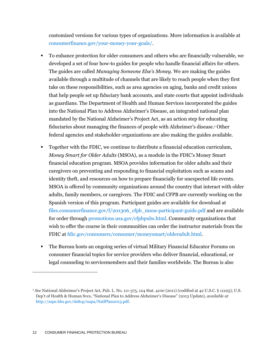customized versions for various types of organizations. More information is available at [consumerfinance.gov/your-money-your-goals/.](http://www.consumerfinance.gov/your-money-your-goals/)

- To enhance protection for older consumers and others who are financially vulnerable, we developed a set of four how-to guides for people who handle financial affairs for others. The guides are called *Managing Someone Else's Money*. We are making the guides available through a multitude of channels that are likely to reach people when they first take on these responsibilities, such as area agencies on aging, banks and credit unions that help people set up fiduciary bank accounts, and state courts that appoint individuals as guardians. The Department of Health and Human Services incorporated the guides into the National Plan to Address Alzheimer's Disease*,* an integrated national plan mandated by the National Alzheimer's Project Act, as an action step for educating fiduciaries about managing the finances of people with Alzheimer's disease. <sup>1</sup> Other federal agencies and stakeholder organizations are also making the guides available.
- Together with the FDIC, we continue to distribute a financial education curriculum, *Money Smart for Older Adults* (MSOA), as a module in the FDIC's Money Smart financial education program. MSOA provides information for older adults and their caregivers on preventing and responding to financial exploitation such as scams and identity theft, and resources on how to prepare financially for unexpected life events. MSOA is offered by community organizations around the country that interact with older adults, family members, or caregivers. The FDIC and CFPB are currently working on the Spanish version of this program. Participant guides are available for download at [files.consumerfinance.gov/f/201306\\_cfpb\\_msoa-participant-guide.pdf](http://files.consumerfinance.gov/f/201306_cfpb_msoa-participant-guide.pdf) and are available for order through [promotions.usa.gov/cfpbpubs.html.](http://promotions.usa.gov/cfpbpubs.html) Community organizations that wish to offer the course in their communities can order the instructor materials from the FDIC at [fdic.gov/consumers/consumer/moneysmart/olderadult.html.](http://www.fdic.gov/consumers/consumer/moneysmart/olderadult.html)
- The Bureau hosts an ongoing series of virtual Military Financial Educator Forums on consumer financial topics for service providers who deliver financial, educational, or legal counseling to servicemembers and their families worldwide. The Bureau is also

<sup>1</sup> *See* National Alzheimer's Project Act, Pub. L. No. 111-375, 124 Stat. 4100 (2011) (codified at 42 U.S.C. § 11225); U.S. Dep't of Health & Human Svcs, "National Plan to Address Alzheimer's Disease" (2013 Update), *available at* [http://aspe.hhs.gov/daltcp/napa/NatlPlan2013.pdf.](http://aspe.hhs.gov/daltcp/napa/NatlPlan2013.pdf)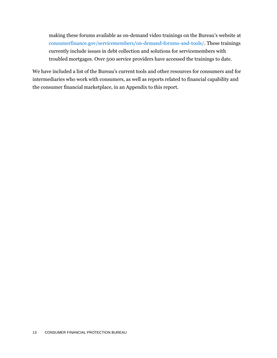making these forums available as on-demand video trainings on the Bureau's website at [consumerfinance.gov/servicemembers/on-demand-forums-and-tools/.](http://www.consumerfinance.gov/servicemembers/on-demand-forums-and-tools/) These trainings currently include issues in debt collection and solutions for servicemembers with troubled mortgages. Over 500 service providers have accessed the trainings to date.

We have included a list of the Bureau's current tools and other resources for consumers and for intermediaries who work with consumers, as well as reports related to financial capability and the consumer financial marketplace, in an [Appendix](#page-87-0) to this report.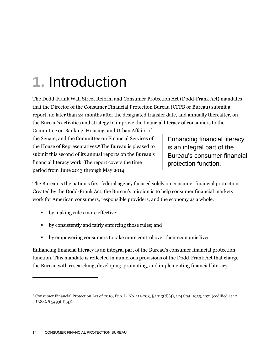# **1.** Introduction

The Dodd-Frank Wall Street Reform and Consumer Protection Act (Dodd-Frank Act) mandates that the Director of the Consumer Financial Protection Bureau (CFPB or Bureau) submit a report, no later than 24 months after the designated transfer date, and annually thereafter, on the Bureau's activities and strategy to improve the financial literacy of consumers to the

Committee on Banking, Housing, and Urban Affairs of the Senate, and the Committee on Financial Services of the House of Representatives.<sup>2</sup> The Bureau is pleased to submit this second of its annual reports on the Bureau's financial literacy work. The report covers the time period from June 2013 through May 2014.

Enhancing financial literacy is an integral part of the Bureau's consumer financial protection function.

The Bureau is the nation's first federal agency focused solely on consumer financial protection. Created by the Dodd-Frank Act, the Bureau's mission is to help consumer financial markets work for American consumers, responsible providers, and the economy as a whole,

- by making rules more effective;
- by consistently and fairly enforcing those rules; and
- by empowering consumers to take more control over their economic lives.

Enhancing financial literacy is an integral part of the Bureau's consumer financial protection function. This mandate is reflected in numerous provisions of the Dodd-Frank Act that charge the Bureau with researching, developing, promoting, and implementing financial literacy

<sup>2</sup> Consumer Financial Protection Act of 2010, Pub. L. No. 111-203, § 1013(d)(4), 124 Stat. 1955, 1971 (codified at 12 U.S.C.  $\S$  5493(d)(4)).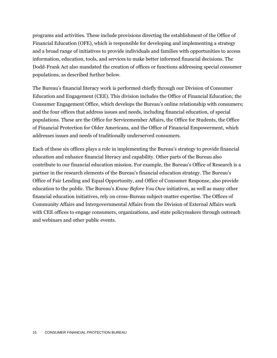programs and activities. These include provisions directing the establishment of the Office of Financial Education (OFE), which is responsible for developing and implementing a strategy and a broad range of initiatives to provide individuals and families with opportunities to access information, education, tools, and services to make better informed financial decisions. The Dodd-Frank Act also mandated the creation of offices or functions addressing special consumer populations, as described further below.

The Bureau's financial literacy work is performed chiefly through our Division of Consumer Education and Engagement (CEE). This division includes the Office of Financial Education; the Consumer Engagement Office, which develops the Bureau's online relationship with consumers; and the four offices that address issues and needs, including financial education, of special populations. These are the Office for Servicemember Affairs, the Office for Students, the Office of Financial Protection for Older Americans, and the Office of Financial Empowerment, which addresses issues and needs of traditionally underserved consumers.

Each of these six offices plays a role in implementing the Bureau's strategy to provide financial education and enhance financial literacy and capability. Other parts of the Bureau also contribute to our financial education mission. For example, the Bureau's Office of Research is a partner in the research elements of the Bureau's financial education strategy. The Bureau's Office of Fair Lending and Equal Opportunity, and Office of Consumer Response, also provide education to the public. The Bureau's *Know Before You Owe* initiatives, as well as many other financial education initiatives, rely on cross-Bureau subject-matter expertise. The Offices of Community Affairs and Intergovernmental Affairs from the Division of External Affairs work with CEE offices to engage consumers, organizations, and state policymakers through outreach and webinars and other public events.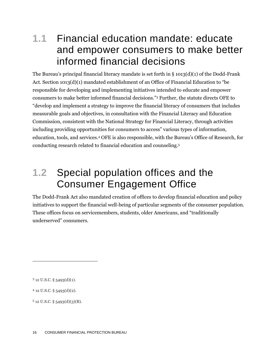## **1.1** Financial education mandate: educate and empower consumers to make better informed financial decisions

The Bureau's principal financial literacy mandate is set forth in  $\S$  1013(d)(1) of the Dodd-Frank Act. Section 1013(d)(1) mandated establishment of an Office of Financial Education to "be responsible for developing and implementing initiatives intended to educate and empower consumers to make better informed financial decisions."<sup>3</sup> Further, the statute directs OFE to "develop and implement a strategy to improve the financial literacy of consumers that includes measurable goals and objectives, in consultation with the Financial Literacy and Education Commission, consistent with the National Strategy for Financial Literacy, through activities including providing opportunities for consumers to access" various types of information, education, tools, and services.<sup>4</sup> OFE is also responsible, with the Bureau's Office of Research, for conducting research related to financial education and counseling.<sup>5</sup>

## **1.2** Special population offices and the Consumer Engagement Office

The Dodd-Frank Act also mandated creation of offices to develop financial education and policy initiatives to support the financial well-being of particular segments of the consumer population. These offices focus on servicemembers, students, older Americans, and "traditionally underserved" consumers.

 $3$  12 U.S.C. § 5493(d)(1).

 $4$  12 U.S.C. § 5493(d)(2).

 $5$  12 U.S.C. § 5493(d)(3)(B).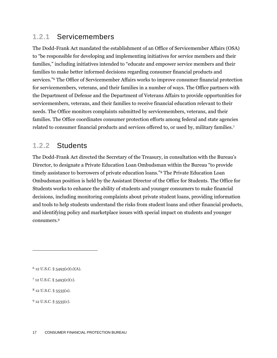### **1.2.1** Servicemembers

The Dodd-Frank Act mandated the establishment of an Office of Servicemember Affairs (OSA) to "be responsible for developing and implementing initiatives for service members and their families," including initiatives intended to "educate and empower service members and their families to make better informed decisions regarding consumer financial products and services."<sup>6</sup> The Office of Servicemember Affairs works to improve consumer financial protection for servicemembers, veterans, and their families in a number of ways. The Office partners with the Department of Defense and the Department of Veterans Affairs to provide opportunities for servicemembers, veterans, and their families to receive financial education relevant to their needs. The Office monitors complaints submitted by servicemembers, veterans, and their families. The Office coordinates consumer protection efforts among federal and state agencies related to consumer financial products and services offered to, or used by, military families.<sup>7</sup>

### **1.2.2** Students

The Dodd-Frank Act directed the Secretary of the Treasury, in consultation with the Bureau's Director, to designate a Private Education Loan Ombudsman within the Bureau "to provide timely assistance to borrowers of private education loans."<sup>8</sup> The Private Education Loan Ombudsman position is held by the Assistant Director of the Office for Students. The Office for Students works to enhance the ability of students and younger consumers to make financial decisions, including monitoring complaints about private student loans, providing information and tools to help students understand the risks from student loans and other financial products, and identifying policy and marketplace issues with special impact on students and younger consumers.<sup>9</sup>

 $6$  12 U.S.C. § 5493(e)(1)(A).

 $712$  U.S.C. § 5493(e)(1).

<sup>8</sup> 12 U.S.C. § 5535(a).

 $9$  12 U.S.C. § 5535(c).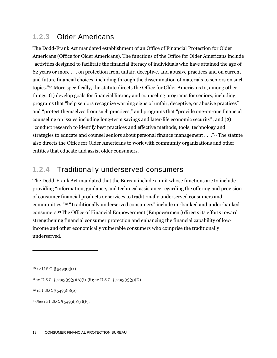### **1.2.3** Older Americans

The Dodd-Frank Act mandated establishment of an Office of Financial Protection for Older Americans (Office for Older Americans). The functions of the Office for Older Americans include "activities designed to facilitate the financial literacy of individuals who have attained the age of 62 years or more . . . on protection from unfair, deceptive, and abusive practices and on current and future financial choices, including through the dissemination of materials to seniors on such topics."<sup>10</sup> More specifically, the statute directs the Office for Older Americans to, among other things, (1) develop goals for financial literacy and counseling programs for seniors, including programs that "help seniors recognize warning signs of unfair, deceptive, or abusive practices" and "protect themselves from such practices," and programs that "provide one-on-one financial counseling on issues including long-term savings and later-life economic security"; and (2) "conduct research to identify best practices and effective methods, tools, technology and strategies to educate and counsel seniors about personal finance management . . .."<sup>11</sup> The statute also directs the Office for Older Americans to work with community organizations and other entities that educate and assist older consumers.

### **1.2.4** Traditionally underserved consumers

The Dodd-Frank Act mandated that the Bureau include a unit whose functions are to include providing "information, guidance, and technical assistance regarding the offering and provision of consumer financial products or services to traditionally underserved consumers and communities."<sup>12</sup> "Traditionally underserved consumers" include un-banked and under-banked consumers.13The Office of Financial Empowerment (Empowerment) directs its efforts toward strengthening financial consumer protection and enhancing the financial capability of lowincome and other economically vulnerable consumers who comprise the traditionally underserved.

 $10$  12 U.S.C. § 5493(g)(1).

 $11$  12 U.S.C. § 5493(g)(3)(A)(i)-(ii); 12 U.S.C. § 5493(g)(3)(D).

<sup>12</sup> 12 U.S.C. § 5493(b)(2).

<sup>13</sup> *See* 12 U.S.C. § 5493(b)(1)(F).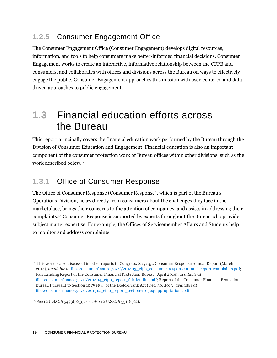## **1.2.5** Consumer Engagement Office

The Consumer Engagement Office (Consumer Engagement) develops digital resources, information, and tools to help consumers make better-informed financial decisions. Consumer Engagement works to create an interactive, informative relationship between the CFPB and consumers, and collaborates with offices and divisions across the Bureau on ways to effectively engage the public. Consumer Engagement approaches this mission with user-centered and datadriven approaches to public engagement.

## **1.3** Financial education efforts across the Bureau

This report principally covers the financial education work performed by the Bureau through the Division of Consumer Education and Engagement. Financial education is also an important component of the consumer protection work of Bureau offices within other divisions, such as the work described below.<sup>14</sup>

## **1.3.1** Office of Consumer Response

The Office of Consumer Response (Consumer Response), which is part of the Bureau's Operations Division, hears directly from consumers about the challenges they face in the marketplace, brings their concerns to the attention of companies, and assists in addressing their complaints.<sup>15</sup> Consumer Response is supported by experts throughout the Bureau who provide subject matter expertise. For example, the Offices of Servicemember Affairs and Students help to monitor and address complaints.

<sup>14</sup> This work is also discussed in other reports to Congress. *See*, *e.g.*, Consumer Response Annual Report (March 2014), *available at* [files.consumerfinance.gov/f/201403\\_cfpb\\_consumer-response-annual-report-complaints.pdf;](http://files.consumerfinance.gov/f/201403_cfpb_consumer-response-annual-report-complaints.pdf) Fair Lending Report of the Consumer Financial Protection Bureau (April 2014), *available at*  [files.consumerfinance.gov/f/201404\\_cfpb\\_report\\_fair-lending.pdf;](http://files.consumerfinance.gov/f/201404_cfpb_report_fair-lending.pdf) Report of the Consumer Financial Protection Bureau Pursuant to Section 1017(e)(4) of the Dodd-Frank Act (Dec. 30, 2013) *available at* [files.consumerfinance.gov/f/201312\\_cfpb\\_report\\_section-1017e4-appropriations.pdf.](http://files.consumerfinance.gov/f/201312_cfpb_report_section-1017e4-appropriations.pdf)

<sup>15</sup> *See* 12 U.S.C. § 5493(b)(3); *see also* 12 U.S.C. § 5511(c)(2).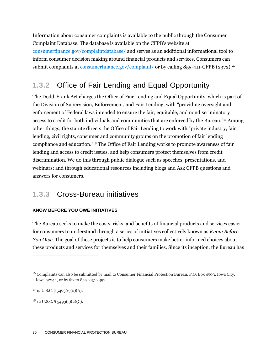Information about consumer complaints is available to the public through the Consumer Complaint Database. The database is available on the CFPB's website at [consumerfinance.gov/complaintdatabase/](http://www.consumerfinance.gov/complaintdatabase/) and serves as an additional informational tool to inform consumer decision making around financial products and services. Consumers can submit complaints at [consumerfinance.gov/complaint/](http://www.consumerfinance.gov/complaint/) or by calling 855-411-CFPB (2372).<sup>16</sup>

## **1.3.2** Office of Fair Lending and Equal Opportunity

The Dodd-Frank Act charges the Office of Fair Lending and Equal Opportunity, which is part of the Division of Supervision, Enforcement, and Fair Lending, with "providing oversight and enforcement of Federal laws intended to ensure the fair, equitable, and nondiscriminatory access to credit for both individuals and communities that are enforced by the Bureau."<sup>17</sup> Among other things, the statute directs the Office of Fair Lending to work with "private industry, fair lending, civil rights, consumer and community groups on the promotion of fair lending compliance and education."<sup>18</sup> The Office of Fair Lending works to promote awareness of fair lending and access to credit issues, and help consumers protect themselves from credit discrimination. We do this through public dialogue such as speeches, presentations, and webinars; and through educational resources including blogs and Ask CFPB questions and answers for consumers.

### **1.3.3** Cross-Bureau initiatives

#### **KNOW BEFORE YOU OWE INITIATIVES**

The Bureau seeks to make the costs, risks, and benefits of financial products and services easier for consumers to understand through a series of initiatives collectively known as *Know Before You Owe*. The goal of these projects is to help consumers make better informed choices about these products and services for themselves and their families. Since its inception, the Bureau has

<sup>16</sup> Complaints can also be submitted by mail to Consumer Financial Protection Bureau, P.O. Box 4503, Iowa City, Iowa 52244, or by fax to 855-237-2392.

<sup>17</sup> 12 U.S.C. § 5493(c)(2)(A).

 $18$  12 U.S.C. § 5493(c)(2)(C).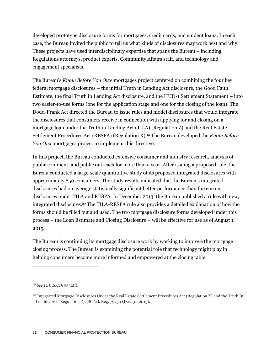developed prototype disclosure forms for mortgages, credit cards, and student loans. In each case, the Bureau invited the public to tell us what kinds of disclosures may work best and why. These projects have used interdisciplinary expertise that spans the Bureau – including Regulations attorneys, product experts, Community Affairs staff, and technology and engagement specialists.

The Bureau's *Know Before You Owe* mortgages project centered on combining the four key federal mortgage disclosures – the initial Truth in Lending Act disclosure, the Good Faith Estimate, the final Truth in Lending Act disclosure, and the HUD-1 Settlement Statement – into two easier-to-use forms (one for the application stage and one for the closing of the loan). The Dodd-Frank Act directed the Bureau to issue rules and model disclosures that would integrate the disclosures that consumers receive in connection with applying for and closing on a mortgage loan under the Truth in Lending Act (TILA) (Regulation Z) and the Real Estate Settlement Procedures Act (RESPA) (Regulation X).<sup>19</sup> The Bureau developed the *Know Before You Owe* mortgages project to implement this directive.

In this project, the Bureau conducted extensive consumer and industry research, analysis of public comment, and public outreach for more than a year. After issuing a proposed rule, the Bureau conducted a large-scale quantitative study of its proposed integrated disclosures with approximately 850 consumers. The study results indicated that the Bureau's integrated disclosures had on average statistically significant better performance than the current disclosures under TILA and RESPA. In December 2013, the Bureau published a rule with new, integrated disclosures.<sup>20</sup> The TILA-RESPA rule also provides a detailed explanation of how the forms should be filled out and used. The two mortgage disclosure forms developed under this process – the Loan Estimate and Closing Disclosure – will be effective for use as of August 1, 2015.

The Bureau is continuing its mortgage disclosure work by working to improve the mortgage closing process. The Bureau is examining the potential role that technology might play in helping consumers become more informed and empowered at the closing table.

<sup>19</sup> *See* 12 U.S.C. § 5532(f).

<sup>20</sup> Integrated Mortgage Disclosures Under the Real Estate Settlement Procedures Act (Regulation X) and the Truth In Lending Act (Regulation Z), 78 Fed. Reg. 79730 (Dec. 31, 2013).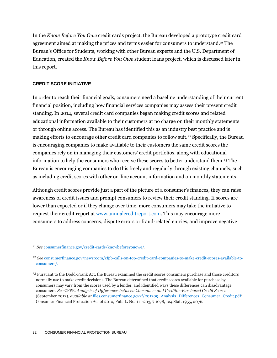In the *Know Before You Owe* credit cards project, the Bureau developed a prototype credit card agreement aimed at making the prices and terms easier for consumers to understand.<sup>21</sup> The Bureau's Office for Students, working with other Bureau experts and the U.S. Department of Education, created the *Know Before You Owe* student loans project, which is discusse[d later in](#page-54-0)  [this report.](#page-54-0)

#### **CREDIT SCORE INITIATIVE**

 $\overline{a}$ 

In order to reach their financial goals, consumers need a baseline understanding of their current financial position, including how financial services companies may assess their present credit standing. In 2014, several credit card companies began making credit scores and related educational information available to their customers at no charge on their monthly statements or through online access. The Bureau has identified this as an industry best practice and is making efforts to encourage other credit card companies to follow suit.<sup>22</sup> Specifically, the Bureau is encouraging companies to make available to their customers the same credit scores the companies rely on in managing their customers' credit portfolios, along with educational information to help the consumers who receive these scores to better understand them.<sup>23</sup> The Bureau is encouraging companies to do this freely and regularly through existing channels, such as including credit scores with other on-line account information and on monthly statements.

Although credit scores provide just a part of the picture of a consumer's finances, they can raise awareness of credit issues and prompt consumers to review their credit standing. If scores are lower than expected or if they change over time, more consumers may take the initiative to request their credit report at [www.annualcreditreport.com.](http://www.annualcreditreport.com/) This may encourage more consumers to address concerns, dispute errors or fraud-related entries, and improve negative

<sup>21</sup> *See* [consumerfinance.gov/credit-cards/knowbeforeyouowe/.](http://www.consumerfinance.gov/credit-cards/knowbeforeyouowe/)

<sup>22</sup> *See* [consumerfinance.gov/newsroom/cfpb-calls-on-top-credit-card-companies-to-make-credit-scores-available-to](http://www.consumerfinance.gov/newsroom/cfpb-calls-on-top-credit-card-companies-to-make-credit-scores-available-to-consumers/)[consumers/.](http://www.consumerfinance.gov/newsroom/cfpb-calls-on-top-credit-card-companies-to-make-credit-scores-available-to-consumers/)

<sup>&</sup>lt;sup>23</sup> Pursuant to the Dodd-Frank Act, the Bureau examined the credit scores consumers purchase and those creditors normally use to make credit decisions. The Bureau determined that credit scores available for purchase by consumers may vary from the scores used by a lender, and identified ways these differences can disadvantage consumers. *See* CFPB, *Analysis of Differences between Consumer- and Creditor-Purchased Credit Scores*  (September 2012), *available at* [files.consumerfinance.gov/f/201209\\_Analysis\\_Differences\\_Consumer\\_Credit.pdf;](http://files.consumerfinance.gov/f/201209_Analysis_Differences_Consumer_Credit.pdf) Consumer Financial Protection Act of 2010, Pub. L. No. 111-203, § 1078, 124 Stat. 1955, 2076.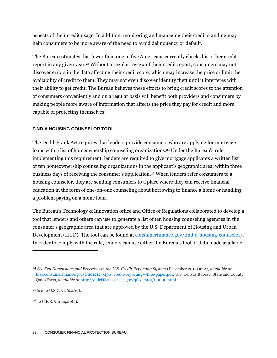aspects of their credit usage. In addition, monitoring and managing their credit standing may help consumers to be more aware of the need to avoid delinquency or default.

The Bureau estimates that fewer than one in five Americans currently checks his or her credit report in any given year.24Without a regular review of their credit report, consumers may not discover errors in the data affecting their credit score, which may increase the price or limit the availability of credit to them. They may not even discover identity theft until it interferes with their ability to get credit. The Bureau believes these efforts to bring credit scores to the attention of consumers conveniently and on a regular basis will benefit both providers and consumers by making people more aware of information that affects the price they pay for credit and more capable of protecting themselves.

#### **FIND A HOUSING COUNSELOR TOOL**

The Dodd-Frank Act requires that lenders provide consumers who are applying for mortgage loans with a list of homeownership counseling organizations.<sup>25</sup> Under the Bureau's rule implementing this requirement, lenders are required to give mortgage applicants a written list of ten homeownership counseling organizations in the applicant's geographic area, within three business days of receiving the consumer's application.<sup>26</sup> When lenders refer consumers to a housing counselor, they are sending consumers to a place where they can receive financial education in the form of one-on-one counseling about borrowing to finance a home or handling a problem paying on a home loan.

The Bureau's Technology & Innovation office and Office of Regulations collaborated to develop a tool that lenders and others can use to generate a list of ten housing counseling agencies in the consumer's geographic area that are approved by the U.S. Department of Housing and Urban Development (HUD). The tool can be found at [consumerfinance.gov/find-a-housing-counselor/.](http://www.consumerfinance.gov/find-a-housing-counselor/) In order to comply with the rule, lenders can use either the Bureau's tool or data made available

<sup>&</sup>lt;sup>24</sup> See Key Dimensions and Processes in the U.S. Credit Reporting System (December 2012) at 27, *available at* [files.consumerfinance.gov/f/201212\\_cfpb\\_credit-reporting-white-paper.pdf;](http://files.consumerfinance.gov/f/201212_cfpb_credit-reporting-white-paper.pdf) U.S. Census Bureau, State and County QuickFacts, *available at* [http://quickfacts.census.gov/qfd/states/00000.html.](http://quickfacts.census.gov/qfd/states/00000.html)

<sup>25</sup> *See* 12 U.S.C. § 2604(c)).

<sup>26</sup> 12 C.F.R. § 1024.20(a).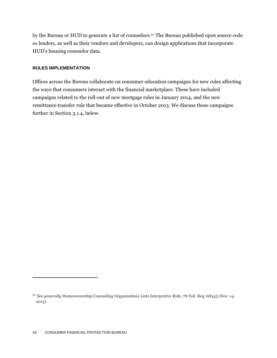by the Bureau or HUD to generate a list of counselors.<sup>27</sup> The Bureau published open source code so lenders, as well as their vendors and developers, can design applications that incorporate HUD's housing counselor data.

#### **RULES IMPLEMENTATION**

Offices across the Bureau collaborate on consumer education campaigns for new rules affecting the ways that consumers interact with the financial marketplace. These have included campaigns related to the roll-out of new mortgage rules in January 2014, and the new remittance transfer rule that became effective in October 2013. We discuss these campaigns further in Section 3.1.4, [below.](#page-37-0)

<sup>27</sup> *See generally* Homeownership Counseling Organizations Lists Interpretive Rule, 78 Fed. Reg. 68343 (Nov. 14, 2013).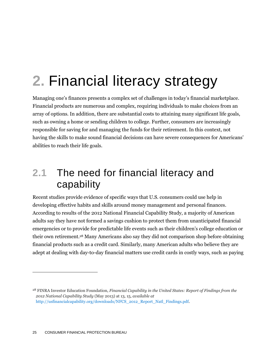# **2.** Financial literacy strategy

Managing one's finances presents a complex set of challenges in today's financial marketplace. Financial products are numerous and complex, requiring individuals to make choices from an array of options. In addition, there are substantial costs to attaining many significant life goals, such as owning a home or sending children to college. Further, consumers are increasingly responsible for saving for and managing the funds for their retirement. In this context, not having the skills to make sound financial decisions can have severe consequences for Americans' abilities to reach their life goals.

## **2.1** The need for financial literacy and capability

Recent studies provide evidence of specific ways that U.S. consumers could use help in developing effective habits and skills around money management and personal finances. According to results of the 2012 National Financial Capability Study, a majority of American adults say they have not formed a savings cushion to protect them from unanticipated financial emergencies or to provide for predictable life events such as their children's college education or their own retirement.<sup>28</sup> Many Americans also say they did not comparison shop before obtaining financial products such as a credit card. Similarly, many American adults who believe they are adept at dealing with day-to-day financial matters use credit cards in costly ways, such as paying

<sup>28</sup> FINRA Investor Education Foundation, *Financial Capability in the United States: Report of Findings from the 2012 National Capability Study* (May 2013) at 13, 15, *available at*  [http://usfinancialcapability.org/downloads/NFCS\\_2012\\_Report\\_Natl\\_Findings.pdf.](http://usfinancialcapability.org/downloads/NFCS_2012_Report_Natl_Findings.pdf)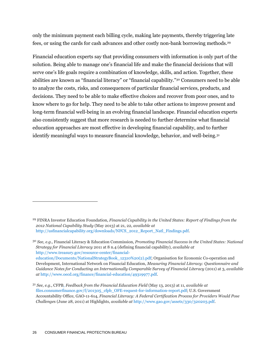only the minimum payment each billing cycle, making late payments, thereby triggering late fees, or using the cards for cash advances and other costly non-bank borrowing methods.<sup>29</sup>

Financial education experts say that providing consumers with information is only part of the solution. Being able to manage one's financial life and make the financial decisions that will serve one's life goals require a combination of knowledge, skills, and action. Together, these abilities are known as "financial literacy" or "financial capability."<sup>30</sup> Consumers need to be able to analyze the costs, risks, and consequences of particular financial services, products, and decisions. They need to be able to make effective choices and recover from poor ones, and to know where to go for help. They need to be able to take other actions to improve present and long-term financial well-being in an evolving financial landscape. Financial education experts also consistently suggest that more research is needed to further determine what financial education approaches are most effective in developing financial capability, and to further identify meaningful ways to measure financial knowledge, behavior, and well-being.<sup>31</sup>

<sup>29</sup> FINRA Investor Education Foundation, *Financial Capability in the United States: Report of Findings from the 2012 National Capability Study* (May 2013) at 21, 22, *available at*  [http://usfinancialcapability.org/downloads/NFCS\\_2012\\_Report\\_Natl\\_Findings.pdf.](http://usfinancialcapability.org/downloads/NFCS_2012_Report_Natl_Findings.pdf) 

<sup>30</sup> *See, e.g.,* Financial Literacy & Education Commission, *Promoting Financial Success in the United States: National Strategy for Financial Literacy* 2011 at 8 n.4 (defining financial capability), *available at*  [http://www.treasury.gov/resource-center/financial](http://www.treasury.gov/resource-center/financial-education/Documents/NationalStrategyBook_12310%20(2).pdf)[education/Documents/NationalStrategyBook\\_12310%20\(2\).pdf;](http://www.treasury.gov/resource-center/financial-education/Documents/NationalStrategyBook_12310%20(2).pdf) Organisation for Economic Co-operation and Development, International Network on Financial Education, *Measuring Financial Literacy: Questionnaire and Guidance Notes for Conducting an Internationally Comparable Survey of Financial Literacy* (2011) at 3, *available at* [http://www.oecd.org/finance/financial-education/49319977.pdf.](http://www.oecd.org/finance/financial-education/49319977.pdf)

<sup>31</sup> *See, e.g.,* CFPB, *Feedback from the Financial Education Field* (May 13, 2013) at 11, *available at* [files.consumerfinance.gov/f/201305\\_cfpb\\_OFE-request-for-information-report.pdf;](http://files.consumerfinance.gov/f/201305_cfpb_OFE-request-for-information-report.pdf) U.S. Government Accountability Office, GAO-11-614, *Financial Literacy: A Federal Certification Process for Providers Would Pose Challenge*s (June 28, 2011) at Highlights, *available at* [http://www.gao.gov/assets/330/320203.pdf.](http://www.gao.gov/assets/330/320203.pdf)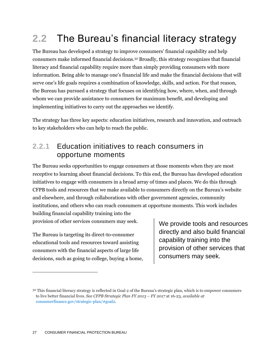## **2.2** The Bureau's financial literacy strategy

The Bureau has developed a strategy to improve consumers' financial capability and help consumers make informed financial decisions.<sup>32</sup> Broadly, this strategy recognizes that financial literacy and financial capability require more than simply providing consumers with more information. Being able to manage one's financial life and make the financial decisions that will serve one's life goals requires a combination of knowledge, skills, and action. For that reason, the Bureau has pursued a strategy that focuses on identifying how, where, when, and through whom we can provide assistance to consumers for maximum benefit, and developing and implementing initiatives to carry out the approaches we identify.

The strategy has three key aspects: education initiatives, research and innovation, and outreach to key stakeholders who can help to reach the public.

### **2.2.1** Education initiatives to reach consumers in opportune moments

The Bureau seeks opportunities to engage consumers at those moments when they are most receptive to learning about financial decisions. To this end, the Bureau has developed education initiatives to engage with consumers in a broad array of times and places. We do this through CFPB tools and resources that we make available to consumers directly on the Bureau's website and elsewhere, and through collaborations with other government agencies, community institutions, and others who can reach consumers at opportune moments. This work includes building financial capability training into the

provision of other services consumers may seek.

The Bureau is targeting its direct-to-consumer educational tools and resources toward assisting consumers with the financial aspects of large life decisions, such as going to college, buying a home, We provide tools and resources directly and also build financial capability training into the provision of other services that consumers may seek.

<sup>&</sup>lt;sup>32</sup> This financial literacy strategy is reflected in Goal 2 of the Bureau's strategic plan, which is to empower consumers to live better financial lives. *See CFPB Strategic Plan FY 2013 – FY 2017* at 16-23, *available at*  [consumerfinance.gov/strategic-plan/#goal2.](http://www.consumerfinance.gov/strategic-plan/#goal2)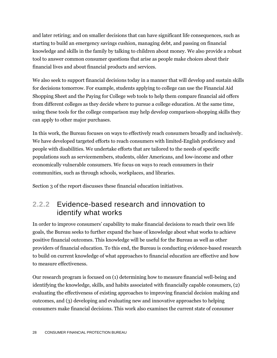and later retiring; and on smaller decisions that can have significant life consequences, such as starting to build an emergency savings cushion, managing debt, and passing on financial knowledge and skills in the family by talking to children about money. We also provide a robust tool to answer common consumer questions that arise as people make choices about their financial lives and about financial products and services.

We also seek to support financial decisions today in a manner that will develop and sustain skills for decisions tomorrow. For example, students applying to college can use the Financial Aid Shopping Sheet and the Paying for College web tools to help them compare financial aid offers from different colleges as they decide where to pursue a college education. At the same time, using these tools for the college comparison may help develop comparison-shopping skills they can apply to other major purchases.

In this work, the Bureau focuses on ways to effectively reach consumers broadly and inclusively. We have developed targeted efforts to reach consumers with limited-English proficiency and people with disabilities. We undertake efforts that are tailored to the needs of specific populations such as servicemembers, students, older Americans, and low-income and other economically vulnerable consumers. We focus on ways to reach consumers in their communities, such as through schools, workplaces, and libraries.

Section 3 of the report discusses these financial education initiatives.

## **2.2.2** Evidence-based research and innovation to identify what works

In order to improve consumers' capability to make financial decisions to reach their own life goals, the Bureau seeks to further expand the base of knowledge about what works to achieve positive financial outcomes. This knowledge will be useful for the Bureau as well as other providers of financial education. To this end, the Bureau is conducting evidence-based research to build on current knowledge of what approaches to financial education are effective and how to measure effectiveness.

Our research program is focused on (1) determining how to measure financial well-being and identifying the knowledge, skills, and habits associated with financially capable consumers, (2) evaluating the effectiveness of existing approaches to improving financial decision making and outcomes, and (3) developing and evaluating new and innovative approaches to helping consumers make financial decisions. This work also examines the current state of consumer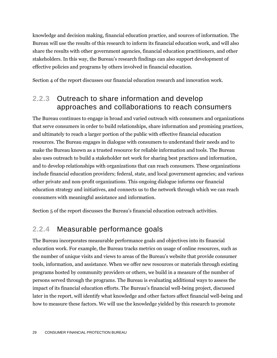knowledge and decision making, financial education practice, and sources of information. The Bureau will use the results of this research to inform its financial education work, and will also share the results with other government agencies, financial education practitioners, and other stakeholders. In this way, the Bureau's research findings can also support development of effective policies and programs by others involved in financial education.

Section 4 of the report discusses our financial education research and innovation work.

## **2.2.3** Outreach to share information and develop approaches and collaborations to reach consumers

The Bureau continues to engage in broad and varied outreach with consumers and organizations that serve consumers in order to build relationships, share information and promising practices, and ultimately to reach a larger portion of the public with effective financial education resources. The Bureau engages in dialogue with consumers to understand their needs and to make the Bureau known as a trusted resource for reliable information and tools. The Bureau also uses outreach to build a stakeholder net work for sharing best practices and information, and to develop relationships with organizations that can reach consumers. These organizations include financial education providers; federal, state, and local government agencies; and various other private and non-profit organizations. This ongoing dialogue informs our financial education strategy and initiatives, and connects us to the network through which we can reach consumers with meaningful assistance and information.

Section 5 of the report discusses the Bureau's financial education outreach activities.

## **2.2.4** Measurable performance goals

The Bureau incorporates measurable performance goals and objectives into its financial education work. For example, the Bureau tracks metrics on usage of online resources, such as the number of unique visits and views to areas of the Bureau's website that provide consumer tools, information, and assistance. When we offer new resources or materials through existing programs hosted by community providers or others, we build in a measure of the number of persons served through the programs. The Bureau is evaluating additional ways to assess the impact of its financial education efforts. The Bureau's financial well-being project, discussed later in the report, will identify what knowledge and other factors affect financial well-being and how to measure these factors. We will use the knowledge yielded by this research to promote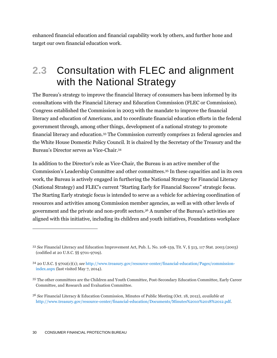enhanced financial education and financial capability work by others, and further hone and target our own financial education work.

## **2.3** Consultation with FLEC and alignment with the National Strategy

The Bureau's strategy to improve the financial literacy of consumers has been informed by its consultations with the Financial Literacy and Education Commission (FLEC or Commission). Congress established the Commission in 2003 with the mandate to improve the financial literacy and education of Americans, and to coordinate financial education efforts in the federal government through, among other things, development of a national strategy to promote financial literacy and education.<sup>33</sup> The Commission currently comprises 21 federal agencies and the White House Domestic Policy Council. It is chaired by the Secretary of the Treasury and the Bureau's Director serves as Vice-Chair.<sup>34</sup>

In addition to the Director's role as Vice-Chair, the Bureau is an active member of the Commission's Leadership Committee and other committees. <sup>35</sup> In these capacities and in its own work, the Bureau is actively engaged in furthering the National Strategy for Financial Literacy (National Strategy) and FLEC's current "Starting Early for Financial Success" strategic focus. The Starting Early strategic focus is intended to serve as a vehicle for achieving coordination of resources and activities among Commission member agencies, as well as with other levels of government and the private and non-profit sectors.<sup>36</sup> A number of the Bureau's activities are aligned with this initiative, including its children and youth initiatives, Foundations workplace

<sup>33</sup> *See* Financial Literacy and Education Improvement Act, Pub. L. No. 108-159, Tit. V, § 513, 117 Stat. 2003 (2003) (codified at 20 U.S.C. §§ 9701-9709).

<sup>34</sup> 20 U.S.C. § 9702(c)(1); *see* [http://www.treasury.gov/resource-center/financial-education/Pages/commission](http://www.treasury.gov/resource-center/financial-education/Pages/commission-index.aspx)[index.aspx](http://www.treasury.gov/resource-center/financial-education/Pages/commission-index.aspx) (last visited May 7, 2014).

<sup>35</sup> The other committees are the Children and Youth Committee, Post-Secondary Education Committee, Early Career Committee, and Research and Evaluation Committee.

<sup>36</sup> *See* Financial Literacy & Education Commission, Minutes of Public Meeting (Oct. 18, 2012), *available at*  [http://www.treasury.gov/resource-center/financial-education/Documents/Minutes%2010%2018%2012.pdf.](http://www.treasury.gov/resource-center/financial-education/Documents/Minutes%2010%2018%2012.pdf)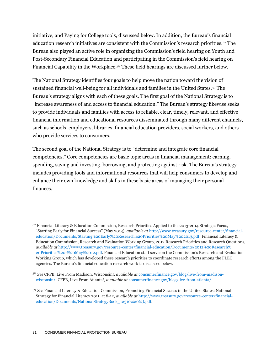initiative, and Paying for College tools, discussed below. In addition, the Bureau's financial education research initiatives are consistent with the Commission's research priorities.<sup>37</sup> The Bureau also played an active role in organizing the Commission's field hearing on Youth and Post-Secondary Financial Education and participating in the Commission's field hearing on Financial Capability in the Workplace. <sup>38</sup> These field hearings are discussed further below.

The National Strategy identifies four goals to help move the nation toward the vision of sustained financial well-being for all individuals and families in the United States.<sup>39</sup> The Bureau's strategy aligns with each of these goals. The first goal of the National Strategy is to "increase awareness of and access to financial education." The Bureau's strategy likewise seeks to provide individuals and families with access to reliable, clear, timely, relevant, and effective financial information and educational resources disseminated through many different channels, such as schools, employers, libraries, financial education providers, social workers, and others who provide services to consumers.

The second goal of the National Strategy is to "determine and integrate core financial competencies." Core competencies are basic topic areas in financial management: earning, spending, saving and investing, borrowing, and protecting against risk. The Bureau's strategy includes providing tools and informational resources that will help consumers to develop and enhance their own knowledge and skills in these basic areas of managing their personal finances.

<sup>37</sup> Financial Literacy & Education Commission, Research Priorities Applied to the 2013-2014 Strategic Focus, "Starting Early for Financial Success" (May 2013), *available at* [http://www.treasury.gov/resource-center/financial](http://www.treasury.gov/resource-center/financial-education/Documents/Starting%20Early%20Research%20Priorities%20May%202013.pdf)[education/Documents/Starting%20Early%20Research%20Priorities%20May%202013.pdf;](http://www.treasury.gov/resource-center/financial-education/Documents/Starting%20Early%20Research%20Priorities%20May%202013.pdf) Financial Literacy & Education Commission, Research and Evaluation Working Group, 2012 Research Priorities and Research Questions, *available at* [http://www.treasury.gov/resource-center/financial-education/Documents/2012%20Research%](http://www.treasury.gov/resource-center/financial-education/Documents/2012%20Research%20Priorities%20-%20May%2012.pdf) [20Priorities%20-%20May%2012.pdf](http://www.treasury.gov/resource-center/financial-education/Documents/2012%20Research%20Priorities%20-%20May%2012.pdf). Financial Education staff serve on the Commission's Research and Evaluation Working Group, which has developed these research priorities to coordinate research efforts among the FLEC agencies. The Bureau's financial education research work is discussed below.

<sup>38</sup> *See* CFPB, Live From Madison, Wisconsin!, *available at* [consumerfinance.gov/blog/live-from-madison](http://www.consumerfinance.gov/blog/live-from-madison-wisconsin/)[wisconsin/;](http://www.consumerfinance.gov/blog/live-from-madison-wisconsin/) CFPB, Live From Atlanta!, *available at* [consumerfinance.gov/blog/live-from-atlanta/.](http://www.consumerfinance.gov/blog/live-from-atlanta/)

<sup>39</sup> *See* Financial Literacy & Education Commission, Promoting Financial Success in the United States: National Strategy for Financial Literacy 2011, at 8-12, *available at* [http://www.treasury.gov/resource-center/financial](http://www.treasury.gov/resource-center/financial-education/Documents/NationalStrategyBook_12310%20(2).pdf)[education/Documents/NationalStrategyBook\\_12310%20\(2\).pdf.](http://www.treasury.gov/resource-center/financial-education/Documents/NationalStrategyBook_12310%20(2).pdf)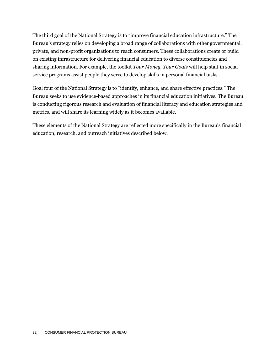The third goal of the National Strategy is to "improve financial education infrastructure." The Bureau's strategy relies on developing a broad range of collaborations with other governmental, private, and non-profit organizations to reach consumers. These collaborations create or build on existing infrastructure for delivering financial education to diverse constituencies and sharing information. For example, the toolkit *Your Money, Your Goals* will help staff in social service programs assist people they serve to develop skills in personal financial tasks.

Goal four of the National Strategy is to "identify, enhance, and share effective practices." The Bureau seeks to use evidence-based approaches in its financial education initiatives. The Bureau is conducting rigorous research and evaluation of financial literacy and education strategies and metrics, and will share its learning widely as it becomes available.

These elements of the National Strategy are reflected more specifically in the Bureau's financial education, research, and outreach initiatives described below.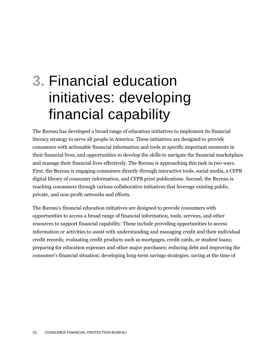# **3.** Financial education initiatives: developing financial capability

The Bureau has developed a broad range of education initiatives to implement its financial literacy strategy to serve all people in America. These initiatives are designed to provide consumers with actionable financial information and tools at specific important moments in their financial lives, and opportunities to develop the skills to navigate the financial marketplace and manage their financial lives effectively. The Bureau is approaching this task in two ways. First, the Bureau is engaging consumers directly through interactive tools, social media, a CFPB digital library of consumer information, and CFPB print publications. Second, the Bureau is reaching consumers through various collaborative initiatives that leverage existing public, private, and non-profit networks and efforts.

The Bureau's financial education initiatives are designed to provide consumers with opportunities to access a broad range of financial information, tools, services, and other resources to support financial capability. These include providing opportunities to access information or activities to assist with understanding and managing credit and their individual credit records; evaluating credit products such as mortgages, credit cards, or student loans; preparing for education expenses and other major purchases; reducing debt and improving the consumer's financial situation; developing long-term savings strategies; saving at the time of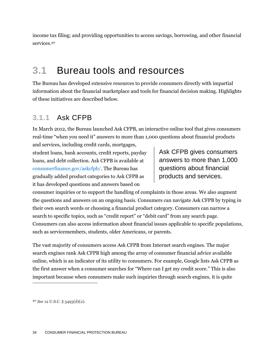income tax filing; and providing opportunities to access savings, borrowing, and other financial services.<sup>40</sup>

## **3.1** Bureau tools and resources

The Bureau has developed extensive resources to provide consumers directly with impartial information about the financial marketplace and tools for financial decision making. Highlights of these initiatives are described below.

## **3.1.1** Ask CFPB

In March 2012, the Bureau launched Ask CFPB, an interactive online tool that gives consumers real-time "when you need it" answers to more than 1,000 questions about financial products and services, including credit cards, mortgages,

student loans, bank accounts, credit reports, payday loans, and debt collection. Ask CFPB is available at [consumerfinance.gov/askcfpb/.](http://www.consumerfinance.gov/askcfpb/) The Bureau has gradually added product categories to Ask CFPB as it has developed questions and answers based on

Ask CFPB gives consumers answers to more than 1,000 questions about financial products and services.

consumer inquiries or to support the handling of complaints in those areas. We also augment the questions and answers on an ongoing basis. Consumers can navigate Ask CFPB by typing in their own search words or choosing a financial product category. Consumers can narrow a search to specific topics, such as "credit report" or "debit card" from any search page. Consumers can also access information about financial issues applicable to specific populations, such as servicemembers, students, older Americans, or parents.

The vast majority of consumers access Ask CFPB from Internet search engines. The major search engines rank Ask CFPB high among the array of consumer financial advice available online, which is an indicator of its utility to consumers. For example, Google lists Ask CFPB as the first answer when a consumer searches for "Where can I get my credit score." This is also important because when consumers make such inquiries through search engines, it is quite

<sup>40</sup> *See* 12 U.S.C. § 5493(d)(2).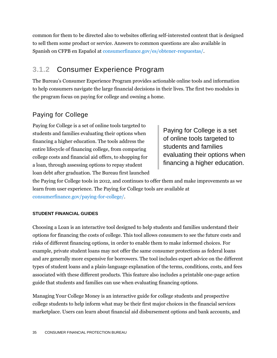common for them to be directed also to websites offering self-interested content that is designed to sell them some product or service. Answers to common questions are also available in Spanish on CFPB en Español at [consumerfinance.gov/es/obtener-respuestas/.](http://www.consumerfinance.gov/es/obtener-respuestas/)

## **3.1.2** Consumer Experience Program

The Bureau's Consumer Experience Program provides actionable online tools and information to help consumers navigate the large financial decisions in their lives. The first two modules in the program focus on paying for college and owning a home.

## Paying for College

Paying for College is a set of online tools targeted to students and families evaluating their options when financing a higher education. The tools address the entire lifecycle of financing college, from comparing college costs and financial aid offers, to shopping for a loan, through assessing options to repay student loan debt after graduation. The Bureau first launched

Paying for College is a set of online tools targeted to students and families evaluating their options when financing a higher education.

the Paying for College tools in 2012, and continues to offer them and make improvements as we learn from user experience. The Paying for College tools are available at [consumerfinance.gov/paying-for-college/.](http://www.consumerfinance.gov/paying-for-college/)

#### **STUDENT FINANCIAL GUIDES**

Choosing a Loan is an interactive tool designed to help students and families understand their options for financing the costs of college. This tool allows consumers to see the future costs and risks of different financing options, in order to enable them to make informed choices. For example, private student loans may not offer the same consumer protections as federal loans and are generally more expensive for borrowers. The tool includes expert advice on the different types of student loans and a plain-language explanation of the terms, conditions, costs, and fees associated with these different products. This feature also includes a printable one-page action guide that students and families can use when evaluating financing options.

Managing Your College Money is an interactive guide for college students and prospective college students to help inform what may be their first major choices in the financial services marketplace. Users can learn about financial aid disbursement options and bank accounts, and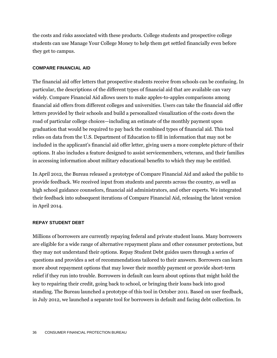the costs and risks associated with these products. College students and prospective college students can use Manage Your College Money to help them get settled financially even before they get to campus.

#### **COMPARE FINANCIAL AID**

The financial aid offer letters that prospective students receive from schools can be confusing. In particular, the descriptions of the different types of financial aid that are available can vary widely. Compare Financial Aid allows users to make apples-to-apples comparisons among financial aid offers from different colleges and universities. Users can take the financial aid offer letters provided by their schools and build a personalized visualization of the costs down the road of particular college choices—including an estimate of the monthly payment upon graduation that would be required to pay back the combined types of financial aid. This tool relies on data from the U.S. Department of Education to fill in information that may not be included in the applicant's financial aid offer letter, giving users a more complete picture of their options. It also includes a feature designed to assist servicemembers, veterans, and their families in accessing information about military educational benefits to which they may be entitled.

In April 2012, the Bureau released a prototype of Compare Financial Aid and asked the public to provide feedback. We received input from students and parents across the country, as well as high school guidance counselors, financial aid administrators, and other experts. We integrated their feedback into subsequent iterations of Compare Financial Aid, releasing the latest version in April 2014.

#### **REPAY STUDENT DEBT**

Millions of borrowers are currently repaying federal and private student loans. Many borrowers are eligible for a wide range of alternative repayment plans and other consumer protections, but they may not understand their options. Repay Student Debt guides users through a series of questions and provides a set of recommendations tailored to their answers. Borrowers can learn more about repayment options that may lower their monthly payment or provide short-term relief if they run into trouble. Borrowers in default can learn about options that might hold the key to repairing their credit, going back to school, or bringing their loans back into good standing. The Bureau launched a prototype of this tool in October 2011. Based on user feedback, in July 2012, we launched a separate tool for borrowers in default and facing debt collection. In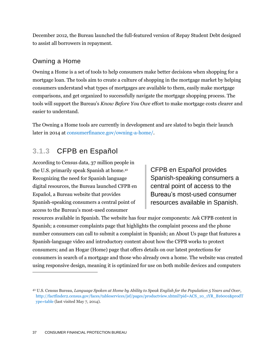December 2012, the Bureau launched the full-featured version of Repay Student Debt designed to assist all borrowers in repayment.

#### Owning a Home

Owning a Home is a set of tools to help consumers make better decisions when shopping for a mortgage loan. The tools aim to create a culture of shopping in the mortgage market by helping consumers understand what types of mortgages are available to them, easily make mortgage comparisons, and get organized to successfully navigate the mortgage shopping process. The tools will support the Bureau's *Know Before You Owe* effort to make mortgage costs clearer and easier to understand.

The Owning a Home tools are currently in development and are slated to begin their launch later in 2014 at [consumerfinance.gov/owning-a-home/.](http://consumerfinance.gov/owning-a-home/)

## **3.1.3** CFPB en Español

According to Census data, 37 million people in the U.S. primarily speak Spanish at home.<sup>41</sup> Recognizing the need for Spanish language digital resources, the Bureau launched CFPB en Español, a Bureau website that provides Spanish-speaking consumers a central point of access to the Bureau's most-used consumer

CFPB en Español provides Spanish-speaking consumers a central point of access to the Bureau's most-used consumer resources available in Spanish.

resources available in Spanish. The website has four major components: Ask CFPB content in Spanish; a consumer complaints page that highlights the complaint process and the phone number consumers can call to submit a complaint in Spanish; an About Us page that features a Spanish-language video and introductory content about how the CFPB works to protect consumers; and an Hogar (Home) page that offers details on our latest protections for consumers in search of a mortgage and those who already own a home. The website was created using responsive design, meaning it is optimized for use on both mobile devices and computers

<sup>41</sup> U.S. Census Bureau, *Language Spoken at Home by Ability to Speak English for the Population 5 Years and Over*, [http://factfinder2.census.gov/faces/tableservices/jsf/pages/productview.xhtml?pid=ACS\\_10\\_1YR\\_B16001&prodT](http://factfinder2.census.gov/faces/tableservices/jsf/pages/productview.xhtml?pid=ACS_10_1YR_B16001&prodType=table) [ype=table](http://factfinder2.census.gov/faces/tableservices/jsf/pages/productview.xhtml?pid=ACS_10_1YR_B16001&prodType=table) (last visited May 7, 2014).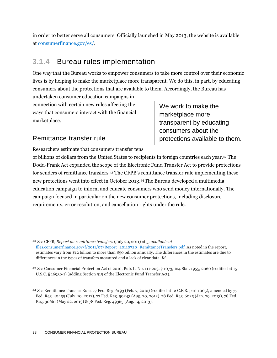in order to better serve all consumers. Officially launched in May 2013, the website is available at [consumerfinance.gov/es/.](http://www.consumerfinance.gov/es/)

### **3.1.4** Bureau rules implementation

One way that the Bureau works to empower consumers to take more control over their economic lives is by helping to make the marketplace more transparent. We do this, in part, by educating consumers about the protections that are available to them. Accordingly, the Bureau has

undertaken consumer education campaigns in connection with certain new rules affecting the ways that consumers interact with the financial marketplace.

We work to make the marketplace more transparent by educating consumers about the protections available to them.

#### Remittance transfer rule

 $\overline{a}$ 

Researchers estimate that consumers transfer tens

of billions of dollars from the United States to recipients in foreign countries each year.<sup>42</sup> The Dodd-Frank Act expanded the scope of the Electronic Fund Transfer Act to provide protections for senders of remittance transfers. <sup>43</sup> The CFPB's remittance transfer rule implementing these new protections went into effect in October 2013. <sup>44</sup>The Bureau developed a multimedia education campaign to inform and educate consumers who send money internationally. The campaign focused in particular on the new consumer protections, including disclosure requirements, error resolution, and cancellation rights under the rule.

<sup>42</sup> *See* CFPB, *Report on remittance transfers* (July 20, 2011) at 5*, available at* [files.consumerfinance.gov/f/2011/07/Report\\_20110720\\_RemittanceTransfers.pdf.](http://files.consumerfinance.gov/f/2011/07/Report_20110720_RemittanceTransfers.pdf) As noted in the report, estimates vary from \$12 billion to more than \$50 billion annually. The differences in the estimates are due to differences in the types of transfers measured and a lack of clear data. *Id*.

<sup>43</sup> *See* Consumer Financial Protection Act of 2010, Pub. L. No. 111-203, § 1073, 124 Stat. 1955, 2060 (codified at 15 U.S.C. § 1693o-1) (adding Section 919 of the Electronic Fund Transfer Act).

<sup>44</sup> *See* Remittance Transfer Rule, 77 Fed. Reg. 6193 (Feb. 7, 2012) (codified at 12 C.F.R. part 1005), amended by 77 Fed. Reg. 40459 (July, 10, 2012), 77 Fed. Reg. 50243 (Aug. 20, 2012), 78 Fed. Reg. 6025 (Jan. 29, 2013), 78 Fed. Reg. 30661 (May 22, 2013) & 78 Fed. Reg. 49365 (Aug. 14, 2013).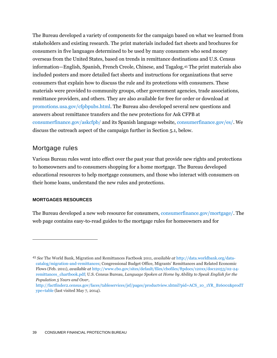The Bureau developed a variety of components for the campaign based on what we learned from stakeholders and existing research. The print materials included fact sheets and brochures for consumers in five languages determined to be used by many consumers who send money overseas from the United States, based on trends in remittance destinations and U.S. Census information—English, Spanish, French Creole, Chinese, and Tagalog. <sup>45</sup> The print materials also included posters and more detailed fact sheets and instructions for organizations that serve consumers that explain how to discuss the rule and its protections with consumers. These materials were provided to community groups, other government agencies, trade associations, remittance providers, and others. They are also available for free for order or download at [promotions.usa.gov/cfpbpubs.html.](http://promotions.usa.gov/cfpbpubs.html) The Bureau also developed several new questions and answers about remittance transfers and the new protections for Ask CFPB at [consumerfinance.gov/askcfpb/](http://www.consumerfinance.gov/askcfpb/) and its Spanish language website, [consumerfinance.gov/es/.](http://www.consumerfinance.gov/es/) We discuss the outreach aspect of the campaign further in Section 5.1, below.

#### Mortgage rules

Various Bureau rules went into effect over the past year that provide new rights and protections to homeowners and to consumers shopping for a home mortgage. The Bureau developed educational resources to help mortgage consumers, and those who interact with consumers on their home loans, understand the new rules and protections.

#### **MORTGAGES RESOURCES**

 $\overline{a}$ 

The Bureau developed a new web resource for consumers, [consumerfinance.gov/mortgage/.](http://consumerfinance.gov/mortgage/) The web page contains easy-to-read guides to the mortgage rules for homeowners and for

<sup>45</sup> *See* The World Bank, Migration and Remittances Factbook 2011, *available at* [http://data.worldbank.org/data](http://data.worldbank.org/data-catalog/migration-and-remittances)[catalog/migration-and-remittances](http://data.worldbank.org/data-catalog/migration-and-remittances); Congressional Budget Office, Migrants' Remittances and Related Economic Flows (Feb. 2011), *available at* [http://www.cbo.gov/sites/default/files/cbofiles/ftpdocs/120xx/doc12053/02-24](http://www.cbo.gov/sites/default/files/cbofiles/ftpdocs/120xx/doc12053/02-24-remittances_chartbook.pdf) [remittances\\_chartbook.pdf;](http://www.cbo.gov/sites/default/files/cbofiles/ftpdocs/120xx/doc12053/02-24-remittances_chartbook.pdf) U.S. Census Bureau, *Language Spoken at Home by Ability to Speak English for the Population 5 Years and Over*,

[http://factfinder2.census.gov/faces/tableservices/jsf/pages/productview.xhtml?pid=ACS\\_10\\_1YR\\_B16001&prodT](http://factfinder2.census.gov/faces/tableservices/jsf/pages/productview.xhtml?pid=ACS_10_1YR_B16001&prodType=table) [ype=table](http://factfinder2.census.gov/faces/tableservices/jsf/pages/productview.xhtml?pid=ACS_10_1YR_B16001&prodType=table) (last visited May 7, 2014).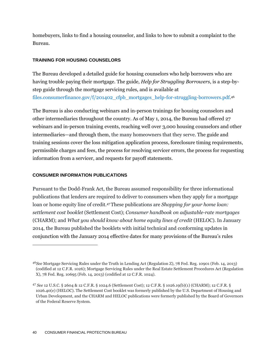homebuyers, links to find a housing counselor, and links to how to submit a complaint to the Bureau.

#### **TRAINING FOR HOUSING COUNSELORS**

The Bureau developed a detailed guide for housing counselors who help borrowers who are having trouble paying their mortgage. The guide, *Help for Struggling Borrowers*, is a step-bystep guide through the mortgage servicing rules, and is available at [files.consumerfinance.gov/f/201402\\_cfpb\\_mortgages\\_help-for-struggling-borrowers.pdf.](http://files.consumerfinance.gov/f/201402_cfpb_mortgages_help-for-struggling-borrowers.pdf) 46

The Bureau is also conducting webinars and in-person trainings for housing counselors and other intermediaries throughout the country. As of May 1, 2014, the Bureau had offered 27 webinars and in-person training events, reaching well over 3,000 housing counselors and other intermediaries—and through them, the many homeowners that they serve. The guide and training sessions cover the loss mitigation application process, foreclosure timing requirements, permissible charges and fees, the process for resolving servicer errors, the process for requesting information from a servicer, and requests for payoff statements.

#### **CONSUMER INFORMATION PUBLICATIONS**

 $\overline{a}$ 

Pursuant to the Dodd-Frank Act, the Bureau assumed responsibility for three informational publications that lenders are required to deliver to consumers when they apply for a mortgage loan or home equity line of credit.47These publications are *Shopping for your home loan: settlement cost booklet* (Settlement Cost); *Consumer handbook on adjustable-rate mortgages* (CHARM); and *What you should know about home equity lines of credit* (HELOC). In January 2014, the Bureau published the booklets with initial technical and conforming updates in conjunction with the January 2014 effective dates for many provisions of the Bureau's rules

<sup>46</sup>*See* Mortgage Servicing Rules under the Truth in Lending Act (Regulation Z), 78 Fed. Reg. 10901 (Feb. 14, 2013) (codified at 12 C.F.R. 1026); Mortgage Servicing Rules under the Real Estate Settlement Procedures Act (Regulation X), 78 Fed. Reg. 10695 (Feb. 14, 2013) (c0dified at 12 C.F.R. 1024).

<sup>47</sup> *See* 12 U.S.C. § 2604 & 12 C.F.R. § 1024.6 (Settlement Cost); 12 C.F.R. § 1026.19(b)(1) (CHARM); 12 C.F.R. § 1026.40(e) (HELOC). The Settlement Cost booklet was formerly published by the U.S. Department of Housing and Urban Development, and the CHARM and HELOC publications were formerly published by the Board of Governors of the Federal Reserve System.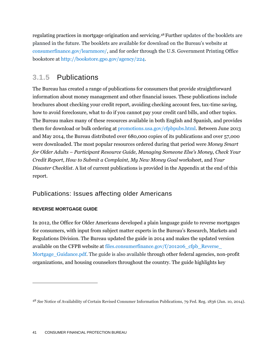regulating practices in mortgage origination and servicing. <sup>48</sup> Further updates of the booklets are planned in the future. The booklets are available for download on the Bureau's website at [consumerfinance.gov/learnmore/,](http://www.consumerfinance.gov/learnmore/) and for order through the U.S. Government Printing Office bookstore at [http://bookstore.gpo.gov/agency/224.](http://bookstore.gpo.gov/agency/224)

#### **3.1.5** Publications

The Bureau has created a range of publications for consumers that provide straightforward information about money management and other financial issues. These publications include brochures about checking your credit report, avoiding checking account fees, tax-time saving, how to avoid foreclosure, what to do if you cannot pay your credit card bills, and other topics. The Bureau makes many of these resources available in both English and Spanish, and provides them for download or bulk ordering at [promotions.usa.gov/cfpbpubs.html.](http://promotions.usa.gov/cfpbpubs.html) Between June 2013 and May 2014, the Bureau distributed over 680,000 copies of its publications and over 57,000 were downloaded. The most popular resources ordered during that period were *Money Smart for Older Adults* – *Participant Resource Guide, Managing Someone Else's Money*, *Check Your Credit Report*, *How to Submit a Complaint, My New Money Goal* worksheet, and *Your Disaster Checklist*. A list of current publications is provided in the [Appendix](#page-87-0) at the end of this report.

#### Publications: Issues affecting older Americans

#### **REVERSE MORTGAGE GUIDE**

 $\overline{a}$ 

In 2012, the Office for Older Americans developed a plain language guide to reverse mortgages for consumers, with input from subject matter experts in the Bureau's Research, Markets and Regulations Division. The Bureau updated the guide in 2014 and makes the updated version available on the CFPB website at files.consumerfinance.gov/f/201206\_cfpb\_Reverse [Mortgage\\_Guidance.pdf.](http://files.consumerfinance.gov/f/201206_cfpb_Reverse_Mortgage_Guidance.pdf) The guide is also available through other federal agencies, non-profit organizations, and housing counselors throughout the country. The guide highlights key

<sup>48</sup> *See* Notice of Availability of Certain Revised Consumer Information Publications, 79 Fed. Reg. 1836 (Jan. 10, 2014).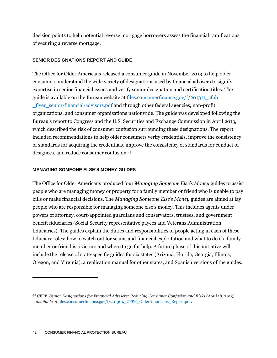decision points to help potential reverse mortgage borrowers assess the financial ramifications of securing a reverse mortgage.

#### **SENIOR DESIGNATIONS REPORT AND GUIDE**

The Office for Older Americans released a consumer guide in November 2013 to help older consumers understand the wide variety of designations used by financial advisers to signify expertise in senior financial issues and verify senior designation and certification titles. The guide is available on the Bureau website at files.consumerfinance.gov/ $f/201311$  cfpb [\\_flyer\\_senior-financial-advisors.pdf](http://files.consumerfinance.gov/f/201311_cfpb_flyer_senior-financial-advisors.pdf) and through other federal agencies, non-profit organizations, and consumer organizations nationwide. The guide was developed following the Bureau's report to Congress and the U.S. Securities and Exchange Commission in April 2013, which described the risk of consumer confusion surrounding these designations. The report included recommendations to help older consumers verify credentials, improve the consistency of standards for acquiring the credentials, improve the consistency of standards for conduct of designees, and reduce consumer confusion.<sup>49</sup>

#### **MANAGING SOMEONE ELSE'S MONEY GUIDES**

The Office for Older Americans produced four *Managing Someone Else's Money* guides to assist people who are managing money or property for a family member or friend who is unable to pay bills or make financial decisions. The *Managing Someone Else's Money* guides are aimed at lay people who are responsible for managing someone else's money. This includes agents under powers of attorney, court-appointed guardians and conservators, trustees, and government benefit fiduciaries (Social Security representative payees and Veterans Administration fiduciaries). The guides explain the duties and responsibilities of people acting in each of these fiduciary roles; how to watch out for scams and financial exploitation and what to do if a family member or friend is a victim; and where to go for help. A future phase of this initiative will include the release of state-specific guides for six states (Arizona, Florida, Georgia, Illinois, Oregon, and Virginia), a replication manual for other states, and Spanish versions of the guides.

<sup>49</sup> CFPB, *Senior Designations for Financial Advisers: Reducing Consumer Confusion and Risks* (April 18, 2013), *available at* [files.consumerfinance.gov/f/201304\\_CFPB\\_OlderAmericans\\_Report.pdf.](http://files.consumerfinance.gov/f/201304_CFPB_OlderAmericans_Report.pdf)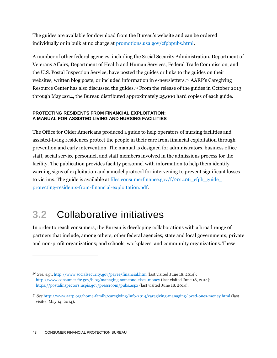The guides are available for download from the Bureau's website and can be ordered individually or in bulk at no charge at [promotions.usa.gov/cfpbpubs.html.](http://promotions.usa.gov/cfpbpubs.html)

A number of other federal agencies, including the Social Security Administration, Department of Veterans Affairs, Department of Health and Human Services, Federal Trade Commission, and the U.S. Postal Inspection Service, have posted the guides or links to the guides on their websites, written blog posts, or included information in e-newsletters.<sup>50</sup> AARP's Caregiving Resource Center has also discussed the guides. <sup>51</sup> From the release of the guides in October 2013 through May 2014, the Bureau distributed approximately 25,000 hard copies of each guide.

#### **PROTECTING RESIDENTS FROM FINANCIAL EXPLOITATION: A MANUAL FOR ASSISTED LIVING AND NURSING FACILITIES**

The Office for Older Americans produced a guide to help operators of nursing facilities and assisted-living residences protect the people in their care from financial exploitation through prevention and early intervention. The manual is designed for administrators, business office staff, social service personnel, and staff members involved in the admissions process for the facility. The publication provides facility personnel with information to help them identify warning signs of exploitation and a model protocol for intervening to prevent significant losses to victims. The guide is available at files.consumerfinance.gov/ $f/201406$  cfpb guide [protecting-residents-from-financial-exploitation.pdf.](http://files.consumerfinance.gov/f/201406_cfpb_guide_protecting-residents-from-financial-exploitation.pdf)

## **3.2** Collaborative initiatives

In order to reach consumers, the Bureau is developing collaborations with a broad range of partners that include, among others, other federal agencies; state and local governments; private and non-profit organizations; and schools, workplaces, and community organizations. These

<sup>50</sup> *See, e.g.*,<http://www.socialsecurity.gov/payee/financial.htm> (last visited June 18, 2014); <http://www.consumer.ftc.gov/blog/managing-someone-elses-money> (last visited June 18, 2014); <https://postalinspectors.uspis.gov/pressroom/pubs.aspx> (last visited June 18, 2014).

<sup>51</sup> *See* <http://www.aarp.org/home-family/caregiving/info-2014/caregiving-managing-loved-ones-money.html> (last visited May 14, 2014).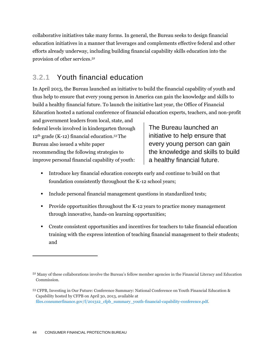collaborative initiatives take many forms. In general, the Bureau seeks to design financial education initiatives in a manner that leverages and complements effective federal and other efforts already underway, including building financial capability skills education into the provision of other services. 52

### **3.2.1** Youth financial education

In April 2013, the Bureau launched an initiative to build the financial capability of youth and thus help to ensure that every young person in America can gain the knowledge and skills to build a healthy financial future. To launch the initiative last year, the Office of Financial Education hosted a national conference of financial education experts, teachers, and non-profit

and government leaders from local, state, and federal levels involved in kindergarten through 12th grade (K-12) financial education.53The Bureau also issued a white paper recommending the following strategies to improve personal financial capability of youth:

The Bureau launched an initiative to help ensure that every young person can gain the knowledge and skills to build a healthy financial future.

- Introduce key financial education concepts early and continue to build on that foundation consistently throughout the K-12 school years;
- Include personal financial management questions in standardized tests;
- **Provide opportunities throughout the K-12 years to practice money management** through innovative, hands-on learning opportunities;
- Create consistent opportunities and incentives for teachers to take financial education training with the express intention of teaching financial management to their students; and

<sup>52</sup> Many of these collaborations involve the Bureau's fellow member agencies in the Financial Literacy and Education Commission.

<sup>53</sup> CFPB, Investing in Our Future: Conference Summary: National Conference on Youth Financial Education & Capability hosted by CFPB on April 30, 2013, available at [files.consumerfinance.gov/f/201312\\_cfpb\\_summary\\_youth-financial-capability-conference.pdf.](http://files.consumerfinance.gov/f/201312_cfpb_summary_youth-financial-capability-conference.pdf)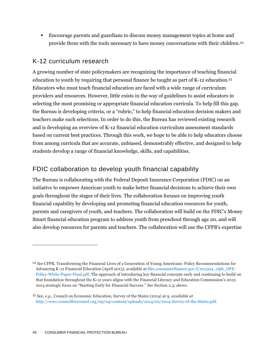Encourage parents and guardians to discuss money management topics at home and provide them with the tools necessary to have money conversations with their children.<sup>54</sup>

#### K-12 curriculum research

A growing number of state policymakers are recognizing the importance of teaching financial education to youth by requiring that personal finance be taught as part of K-12 education.<sup>55</sup> Educators who must teach financial education are faced with a wide range of curriculum providers and resources. However, little exists in the way of guidelines to assist educators in selecting the most promising or appropriate financial education curricula. To help fill this gap, the Bureau is developing criteria, or a "rubric," to help financial education decision makers and teachers make such selections. In order to do this, the Bureau has reviewed existing research and is developing an overview of K-12 financial education curriculum assessment standards based on current best practices. Through this work, we hope to be able to help educators choose from among curricula that are accurate, unbiased, demonstrably effective, and designed to help students develop a range of financial knowledge, skills, and capabilities.

#### FDIC collaboration to develop youth financial capability

The Bureau is collaborating with the Federal Deposit Insurance Corporation (FDIC) on an initiative to empower American youth to make better financial decisions to achieve their own goals throughout the stages of their lives. The collaboration focuses on improving youth financial capability by developing and promoting financial education resources for youth, parents and caregivers of youth, and teachers. The collaboration will build on the FDIC's Money Smart financial education program to address youth from preschool through age 20, and will also develop resources for parents and teachers. The collaboration will use the CFPB's expertise

<sup>54</sup> *See* CFPB, Transforming the Financial Lives of a Generation of Young Americans: Policy Recommendations for Advancing K-12 Financial Education (April 2013), available a[t files.consumerfinance.gov/f/201304\\_cfpb\\_OFE-](http://files.consumerfinance.gov/f/201304_cfpb_OFE-Policy-White-Paper-Final.pdf)[Policy-White-Paper-Final.pdf.](http://files.consumerfinance.gov/f/201304_cfpb_OFE-Policy-White-Paper-Final.pdf) The approach of introducing key financial concepts early and continuing to build on that foundation throughout the K-12 years aligns with the Financial Literacy and Education Commission's 2013- 2014 strategic focus on "Starting Early for Financial Success." *See* Section 2.3, above.

<sup>55</sup> *See, e.g.,* Council on Economic Education, Survey of the States (2014) at 9, *available at* [http://www.councilforeconed.org/wp/wp-content/uploads/2014/02/2014-Survey-of-the-States.pdf.](http://www.councilforeconed.org/wp/wp-content/uploads/2014/02/2014-Survey-of-the-States.pdf)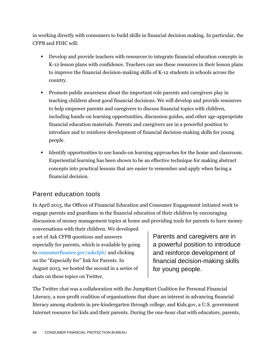in working directly with consumers to build skills in financial decision making. In particular, the CFPB and FDIC will:

- Develop and provide teachers with resources to integrate financial education concepts in K-12 lesson plans with confidence. Teachers can use these resources in their lesson plans to improve the financial decision-making skills of K-12 students in schools across the country.
- Promote public awareness about the important role parents and caregivers play in teaching children about good financial decisions. We will develop and provide resources to help empower parents and caregivers to discuss financial topics with children, including hands-on learning opportunities, discussion guides, and other age-appropriate financial education materials. Parents and caregivers are in a powerful position to introduce and to reinforce development of financial decision-making skills for young people.
- Identify opportunities to use hands-on learning approaches for the home and classroom. Experiential learning has been shown to be an effective technique for making abstract concepts into practical lessons that are easier to remember and apply when facing a financial decision.

#### Parent education tools

In April 2013, the Offices of Financial Education and Consumer Engagement initiated work to engage parents and guardians in the financial education of their children by encouraging discussion of money management topics at home and providing tools for parents to have money

conversations with their children. We developed a set of Ask CFPB questions and answers especially for parents, which is available by going to [consumerfinance.gov/askcfpb/](http://www.consumerfinance.gov/askcfpb/) and clicking on the "Especially for" link for Parents. In August 2013, we hosted the second in a series of chats on these topics on Twitter.

Parents and caregivers are in a powerful position to introduce and reinforce development of financial decision-making skills for young people.

The Twitter chat was a collaboration with the Jump\$tart Coalition for Personal Financial Literacy, a non-profit coalition of organizations that share an interest in advancing financial literacy among students in pre-kindergarten through college, and Kids.gov, a U.S. government Internet resource for kids and their parents. During the one-hour chat with educators, parents,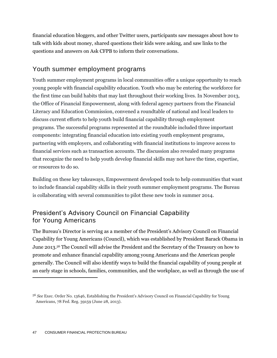financial education bloggers, and other Twitter users, participants saw messages about how to talk with kids about money, shared questions their kids were asking, and saw links to the questions and answers on Ask CFPB to inform their conversations.

#### Youth summer employment programs

Youth summer employment programs in local communities offer a unique opportunity to reach young people with financial capability education. Youth who may be entering the workforce for the first time can build habits that may last throughout their working lives. In November 2013, the Office of Financial Empowerment, along with federal agency partners from the Financial Literacy and Education Commission, convened a roundtable of national and local leaders to discuss current efforts to help youth build financial capability through employment programs. The successful programs represented at the roundtable included three important components: integrating financial education into existing youth employment programs, partnering with employers, and collaborating with financial institutions to improve access to financial services such as transaction accounts. The discussion also revealed many programs that recognize the need to help youth develop financial skills may not have the time, expertise, or resources to do so.

Building on these key takeaways, Empowerment developed tools to help communities that want to include financial capability skills in their youth summer employment programs. The Bureau is collaborating with several communities to pilot these new tools in summer 2014.

#### President's Advisory Council on Financial Capability for Young Americans

The Bureau's Director is serving as a member of the President's Advisory Council on Financial Capability for Young Americans (Council), which was established by President Barack Obama in June 2013. <sup>56</sup> The Council will advise the President and the Secretary of the Treasury on how to promote and enhance financial capability among young Americans and the American people generally. The Council will also identify ways to build the financial capability of young people at an early stage in schools, families, communities, and the workplace, as well as through the use of

<sup>56</sup> *See* Exec. Order No. 13646, Establishing the President's Advisory Council on Financial Capability for Young Americans, 78 Fed. Reg. 39159 (June 28, 2013).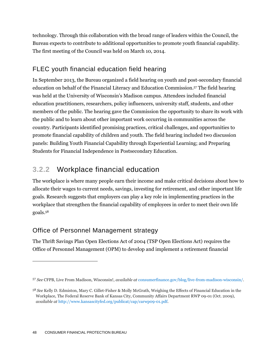technology. Through this collaboration with the broad range of leaders within the Council, the Bureau expects to contribute to additional opportunities to promote youth financial capability. The first meeting of the Council was held on March 10, 2014.

#### FLEC youth financial education field hearing

In September 2013, the Bureau organized a field hearing on youth and post-secondary financial education on behalf of the Financial Literacy and Education Commission. <sup>57</sup> The field hearing was held at the University of Wisconsin's Madison campus. Attendees included financial education practitioners, researchers, policy influencers, university staff, students, and other members of the public. The hearing gave the Commission the opportunity to share its work with the public and to learn about other important work occurring in communities across the country. Participants identified promising practices, critical challenges, and opportunities to promote financial capability of children and youth. The field hearing included two discussion panels: Building Youth Financial Capability through Experiential Learning; and Preparing Students for Financial Independence in Postsecondary Education.

## **3.2.2** Workplace financial education

The workplace is where many people earn their income and make critical decisions about how to allocate their wages to current needs, savings, investing for retirement, and other important life goals. Research suggests that employers can play a key role in implementing practices in the workplace that strengthen the financial capability of employees in order to meet their own life goals.<sup>58</sup>

#### Office of Personnel Management strategy

The Thrift Savings Plan Open Elections Act of 2004 (TSP Open Elections Act) requires the Office of Personnel Management (OPM) to develop and implement a retirement financial

<sup>57</sup> *See* CFPB, Live From Madison, Wisconsin!, *available at* [consumerfinance.gov/blog/live-from-madison-wisconsin/.](http://www.consumerfinance.gov/blog/live-from-madison-wisconsin/)

<sup>58</sup> *See* Kelly D. Edmiston, Mary C. Gillet-Fisher & Molly McGrath, Weighing the Effects of Financial Education in the Workplace, The Federal Reserve Bank of Kansas City, Community Affairs Department RWP 09-01 (Oct. 2009), *available at* [http://www.kansascityfed.org/publicat/cap/carwp09-01.pdf.](http://www.kansascityfed.org/publicat/cap/carwp09-01.pdf)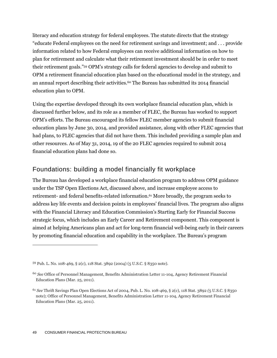literacy and education strategy for federal employees. The statute directs that the strategy "educate Federal employees on the need for retirement savings and investment; and . . . provide information related to how Federal employees can receive additional information on how to plan for retirement and calculate what their retirement investment should be in order to meet their retirement goals." <sup>59</sup> OPM's strategy calls for federal agencies to develop and submit to OPM a retirement financial education plan based on the educational model in the strategy, and an annual report describing their activities.<sup>60</sup> The Bureau has submitted its 2014 financial education plan to OPM.

Using the expertise developed through its own workplace financial education plan, which is discussed further below, and its role as a member of FLEC, the Bureau has worked to support OPM's efforts. The Bureau encouraged its fellow FLEC member agencies to submit financial education plans by June 30, 2014, and provided assistance, along with other FLEC agencies that had plans, to FLEC agencies that did not have them. This included providing a sample plan and other resources. As of May 31, 2014, 19 of the 20 FLEC agencies required to submit 2014 financial education plans had done so.

#### Foundations: building a model financially fit workplace

The Bureau has developed a workplace financial education program to address OPM guidance under the TSP Open Elections Act, discussed above, and increase employee access to retirement- and federal benefits-related information.<sup>61</sup> More broadly, the program seeks to address key life events and decision points in employees' financial lives. The program also aligns with the Financial Literacy and Education Commission's Starting Early for Financial Success strategic focus, which includes an Early Career and Retirement component. This component is aimed at helping Americans plan and act for long-term financial well-being early in their careers by promoting financial education and capability in the workplace. The Bureau's program

<sup>59</sup> Pub. L. No. 108-469, § 2(c), 118 Stat. 3892 (2004) (5 U.S.C. § 8350 note).

<sup>60</sup> *See* Office of Personnel Management, Benefits Administration Letter 11-104, Agency Retirement Financial Education Plans (Mar. 25, 2011).

<sup>61</sup> *See* Thrift Savings Plan Open Elections Act of 2004, Pub. L. No. 108-469, § 2(c), 118 Stat. 3892 *(*5 U.S.C. § 8350 note); Office of Personnel Management, Benefits Administration Letter 11-104, Agency Retirement Financial Education Plans (Mar. 25, 2011).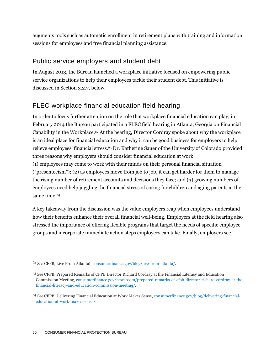augments tools such as automatic enrollment in retirement plans with training and information sessions for employees and free financial planning assistance.

#### Public service employers and student debt

In August 2013, the Bureau launched a workplace initiative focused on empowering public service organizations to help their employees tackle their student debt. This initiative is discussed in Section 3.2.7, below.

#### FLEC workplace financial education field hearing

In order to focus further attention on the role that workplace financial education can play, in February 2014 the Bureau participated in a FLEC field hearing in Atlanta, Georgia on Financial Capability in the Workplace.<sup>62</sup> At the hearing, [Director Cordray spoke](http://youtu.be/XOIbFZz7KmE?t=16m13s) about why the workplace is an ideal place for financial education and why it can be good business for employers to help relieve employees' financial stress.<sup>63</sup> Dr. Katherine Sauer of the University of Colorado provided [three reasons why employers should consider financial education at work:](http://youtu.be/XOIbFZz7KmE?t=35m) (1) employees may come to work with their minds on their personal financial situation ("presenteeism"); (2) as employees move from job to job, it can get harder for them to manage the rising number of retirement accounts and decisions they face; and (3) growing numbers of employees need help juggling the financial stress of caring for children and aging parents at the

A key takeaway from the discussion was the value employers reap when employees understand how their benefits enhance their overall financial well-being. Employers at the field hearing also stressed the importance of offering flexible programs that target the needs of specific employee groups and incorporate immediate action steps employees can take. Finally, employers see

same time.<sup>64</sup>

<sup>62</sup> *See* CFPB, Live From Atlanta!, [consumerfinance.gov/blog/live-from-atlanta/.](http://www.consumerfinance.gov/blog/live-from-atlanta/)

<sup>63</sup> *See* CFPB, Prepared Remarks of CFPB Director Richard Cordray at the Financial Literacy and Education Commission Meeting[, consumerfinance.gov/newsroom/prepared-remarks-of-cfpb-director-richard-cordray-at-the](http://www.consumerfinance.gov/newsroom/prepared-remarks-of-cfpb-director-richard-cordray-at-the-financial-literacy-and-education-commission-meeting/)[financial-literacy-and-education-commission-meeting/.](http://www.consumerfinance.gov/newsroom/prepared-remarks-of-cfpb-director-richard-cordray-at-the-financial-literacy-and-education-commission-meeting/)

<sup>64</sup> *See* CFPB, Delivering Financial Education at Work Makes Sense[, consumerfinance.gov/blog/delivering-financial](http://www.consumerfinance.gov/blog/delivering-financial-education-at-work-makes-sense/)[education-at-work-makes-sense/.](http://www.consumerfinance.gov/blog/delivering-financial-education-at-work-makes-sense/)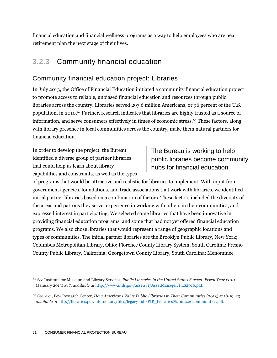financial education and financial wellness programs as a way to help employees who are near retirement plan the next stage of their lives.

## **3.2.3** Community financial education

#### Community financial education project: Libraries

In July 2013, the Office of Financial Education initiated a community financial education project to promote access to reliable, unbiased financial education and resources through public libraries across the country. Libraries served 297.6 million Americans, or 96 percent of the U.S. population, in 2010. <sup>65</sup> Further, research indicates that libraries are highly trusted as a source of information, and serve consumers effectively in times of economic stress.<sup>66</sup> These factors, along with library presence in local communities across the country, make them natural partners for financial education.

In order to develop the project, the Bureau identified a diverse group of partner libraries that could help us learn about library capabilities and constraints, as well as the types The Bureau is working to help public libraries become community hubs for financial education.

of programs that would be attractive and realistic for libraries to implement. With input from government agencies, foundations, and trade associations that work with libraries, we identified initial partner libraries based on a combination of factors. These factors included the diversity of the areas and patrons they serve, experience in working with others in their communities, and expressed interest in participating. We selected some libraries that have been innovative in providing financial education programs, and some that had not yet offered financial education programs. We also chose libraries that would represent a range of geographic locations and types of communities. The initial partner libraries are the Brooklyn Public Library, New York; Columbus Metropolitan Library, Ohio; Florence County Library System, South Carolina; Fresno County Public Library, California; Georgetown County Library, South Carolina; Menominee

<sup>65</sup> *See* Institute for Museum and Library Services, *Public Libraries in the United States Survey: Fiscal Year 2010* (January 2013) at 7, *available at* [http://www.imls.gov/assets/1/AssetManager/PLS2010.pdf.](http://www.imls.gov/assets/1/AssetManager/PLS2010.pdf)

<sup>66</sup> *See, e.g.,* Pew Research Center, *How Americans Value Public Libraries in Their Communities* (2013) at 18-19, 23 *available at* [http://libraries.pewinternet.org/files/legacy-pdf/PIP\\_Libraries%20in%20communities.pdf.](http://libraries.pewinternet.org/files/legacy-pdf/PIP_Libraries%20in%20communities.pdf)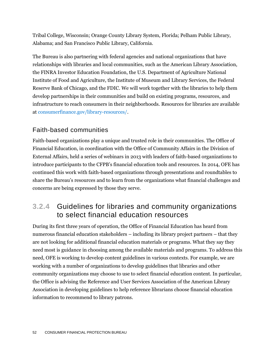Tribal College, Wisconsin; Orange County Library System, Florida; Pelham Public Library, Alabama; and San Francisco Public Library, California.

The Bureau is also partnering with federal agencies and national organizations that have relationships with libraries and local communities, such as the American Library Association, the FINRA Investor Education Foundation, the U.S. Department of Agriculture National Institute of Food and Agriculture, the Institute of Museum and Library Services, the Federal Reserve Bank of Chicago, and the FDIC. We will work together with the libraries to help them develop partnerships in their communities and build on existing programs, resources, and infrastructure to reach consumers in their neighborhoods. Resources for libraries are available at [consumerfinance.gov/library-resources/.](http://www.consumerfinance.gov/library-resources/)

#### Faith-based communities

Faith-based organizations play a unique and trusted role in their communities. The Office of Financial Education, in coordination with the Office of Community Affairs in the Division of External Affairs, held a series of webinars in 2013 with leaders of faith-based organizations to introduce participants to the CFPB's financial education tools and resources. In 2014, OFE has continued this work with faith-based organizations through presentations and roundtables to share the Bureau's resources and to learn from the organizations what financial challenges and concerns are being expressed by those they serve.

### **3.2.4** Guidelines for libraries and community organizations to select financial education resources

During its first three years of operation, the Office of Financial Education has heard from numerous financial education stakeholders – including its library project partners – that they are not looking for additional financial education materials or programs. What they say they need most is guidance in choosing among the available materials and programs. To address this need, OFE is working to develop content guidelines in various contexts. For example, we are working with a number of organizations to develop guidelines that libraries and other community organizations may choose to use to select financial education content. In particular, the Office is advising the Reference and User Services Association of the American Library Association in developing guidelines to help reference librarians choose financial education information to recommend to library patrons.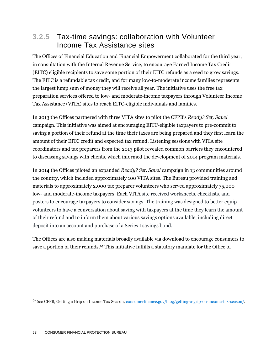#### **3.2.5** Tax-time savings: collaboration with Volunteer Income Tax Assistance sites

The Offices of Financial Education and Financial Empowerment collaborated for the third year, in consultation with the Internal Revenue Service, to encourage Earned Income Tax Credit (EITC) eligible recipients to save some portion of their EITC refunds as a seed to grow savings. The EITC is a refundable tax credit, and for many low-to-moderate income families represents the largest lump sum of money they will receive all year. The initiative uses the free tax preparation services offered to low- and moderate-income taxpayers through Volunteer Income Tax Assistance (VITA) sites to reach EITC-eligible individuals and families.

In 2013 the Offices partnered with three VITA sites to pilot the CFPB's *Ready? Set, Save!* campaign. This initiative was aimed at encouraging EITC-eligible taxpayers to pre-commit to saving a portion of their refund at the time their taxes are being prepared and they first learn the amount of their EITC credit and expected tax refund. Listening sessions with VITA site coordinators and tax preparers from the 2013 pilot revealed common barriers they encountered to discussing savings with clients, which informed the development of 2014 program materials.

In 2014 the Offices piloted an expanded *Ready? Set, Save!* campaign in 13 communities around the country, which included approximately 100 VITA sites. The Bureau provided training and materials to approximately 2,000 tax preparer volunteers who served approximately 75,000 low- and moderate-income taxpayers. Each VITA site received worksheets, checklists, and posters to encourage taxpayers to consider savings. The training was designed to better equip volunteers to have a conversation about saving with taxpayers at the time they learn the amount of their refund and to inform them about various savings options available, including direct deposit into an account and purchase of a Series I savings bond.

The Offices are also making materials broadly available via download to encourage consumers to save a portion of their refunds.<sup>67</sup> This initiative fulfills a statutory mandate for the Office of

<sup>67</sup> *See* CFPB, Getting a Grip on Income Tax Season[, consumerfinance.gov/blog/getting-a-grip-on-income-tax-season/](http://www.consumerfinance.gov/blog/getting-a-grip-on-income-tax-season/)*.*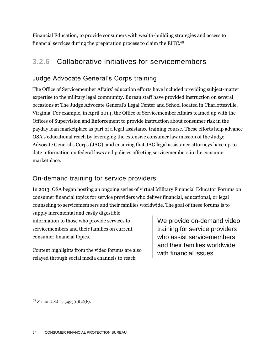Financial Education, to provide consumers with wealth-building strategies and access to financial services during the preparation process to claim the EITC.<sup>68</sup>

## **3.2.6** Collaborative initiatives for servicemembers

#### Judge Advocate General's Corps training

The Office of Servicemember Affairs' education efforts have included providing subject-matter expertise to the military legal community. Bureau staff have provided instruction on several occasions at The Judge Advocate General's Legal Center and School located in Charlottesville, Virginia. For example, in April 2014, the Office of Servicemember Affairs teamed up with the Offices of Supervision and Enforcement to provide instruction about consumer risk in the payday loan marketplace as part of a legal assistance training course. These efforts help advance OSA's educational reach by leveraging the extensive consumer law mission of the Judge Advocate General's Corps (JAG), and ensuring that JAG legal assistance attorneys have up-todate information on federal laws and policies affecting servicemembers in the consumer marketplace.

#### On-demand training for service providers

In 2013, OSA began hosting an ongoing series of virtual Military Financial Educator Forums on consumer financial topics for service providers who deliver financial, educational, or legal counseling to servicemembers and their families worldwide. The goal of these forums is to

supply incremental and easily digestible information to those who provide services to servicemembers and their families on current consumer financial topics.

Content highlights from the video forums are also relayed through social media channels to reach

We provide on-demand video training for service providers who assist servicemembers and their families worldwide with financial issues.

<sup>68</sup> *See* 12 U.S.C. § 5493(d)(2)(F).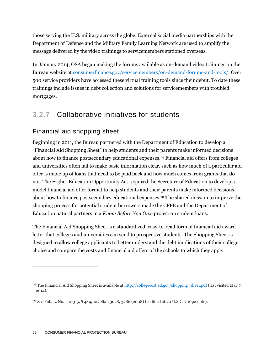those serving the U.S. military across the globe. External social media partnerships with the Department of Defense and the Military Family Learning Network are used to amplify the message delivered by the video trainings to servicemembers stationed overseas.

In January 2014, OSA began making the forums available as on-demand video trainings on the Bureau website at [consumerfinance.gov/servicemembers/on-demand-forums-and-tools/.](http://www.consumerfinance.gov/servicemembers/on-demand-forums-and-tools/) Over 500 service providers have accessed these virtual training tools since their debut. To date these trainings include issues in debt collection and solutions for servicemembers with troubled mortgages.

### **3.2.7** Collaborative initiatives for students

#### Financial aid shopping sheet

Beginning in 2011, the Bureau partnered with the Department of Education to develop a "Financial Aid Shopping Sheet" to help students and their parents make informed decisions about how to finance postsecondary educational expenses.<sup>69</sup> Financial aid offers from colleges and universities often fail to make basic information clear, such as how much of a particular aid offer is made up of loans that need to be paid back and how much comes from grants that do not. The Higher Education Opportunity Act required the Secretary of Education to develop a model financial aid offer format to help students and their parents make informed decisions about how to finance postsecondary educational expenses.<sup>70</sup> The shared mission to improve the shopping process for potential student borrowers made the CFPB and the Department of Education natural partners in a *Know Before You Owe* project on student loans.

The Financial Aid Shopping Sheet is a standardized, easy-to-read form of financial aid award letter that colleges and universities can send to prospective students. The Shopping Sheet is designed to allow college applicants to better understand the debt implications of their college choice and compare the costs and financial aid offers of the schools to which they apply.

<sup>&</sup>lt;sup>69</sup> The Financial Aid Shopping Sheet is available at [http://collegecost.ed.gov/shopping\\_sheet.pdf](http://collegecost.ed.gov/shopping_sheet.pdf) (last visited May 7, 2014).

<sup>70</sup> *See* Pub. L. No. 110-315, § 484, 122 Stat. 3078, 3286 (2008) (codified at 20 U.S.C. § 1092 note).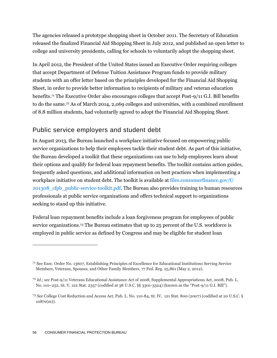The agencies released a prototype shopping sheet in October 2011. The Secretary of Education released the finalized Financial Aid Shopping Sheet in July 2012, and published an open letter to college and university presidents, calling for schools to voluntarily adopt the shopping sheet.

In April 2012, the President of the United States issued an Executive Order requiring colleges that accept Department of Defense Tuition Assistance Program funds to provide military students with an offer letter based on the principles developed for the Financial [Aid Shopping](http://collegecost.ed.gov/shopping_sheet.pdf)  [Sheet,](http://collegecost.ed.gov/shopping_sheet.pdf) in order to provide better information to recipients of military and veteran education benefits.<sup>71</sup> The Executive Order also encourages colleges that accept Post-9/11 G.I. Bill benefits to do the same.<sup>72</sup> As of March 2014, 2,069 colleges and universities, with a combined enrollment of 8.8 million students, had voluntarily agreed to adopt the Financial Aid Shopping Sheet.

#### Public service employers and student debt

In August 2013, the Bureau launched a workplace initiative focused on empowering public service organizations to help their employees tackle their student debt. As part of this initiative, the Bureau developed a toolkit that these organizations can use to help employees learn about their options and qualify for federal loan repayment benefits. The toolkit contains action guides, frequently asked questions, and additional information on best practices when implementing a workplace initiative on student debt. The toolkit is available at [files.consumerfinance.gov/f/](http://files.consumerfinance.gov/f/201308_cfpb_public-service-toolkit.pdf) [201308\\_cfpb\\_public-service-toolkit.pdf.](http://files.consumerfinance.gov/f/201308_cfpb_public-service-toolkit.pdf) The Bureau also provides training to human resources professionals at public service organizations and offers technical support to organizations seeking to stand up this initiative.

Federal loan repayment benefits include a loan forgiveness program for employees of public service organizations. <sup>73</sup> The Bureau estimates that up to 25 percent of the U.S. workforce is employed in public service as defined by Congress and may be eligible for student loan

<sup>71</sup> See Exec. Order No. 13607, Establishing Principles of Excellence for Educational Institutions Serving Service Members, Veterans, Spouses, and Other Family Members, 77 Fed. Reg. 25,861 (May 2, 2012).

<sup>72</sup> *Id.*; *see* Post-9/11 Veterans Educational Assistance Act of 2008, [Supplemental Appropriations Act,](http://en.wikipedia.org/wiki/Supplemental_Appropriations_Act_of_2008) 2008, [Pub.](http://www.law.cornell.edu/jureeka/index.php?doc=USPubLaws&cong=110&no=252) L. [No. 110](http://www.law.cornell.edu/jureeka/index.php?doc=USPubLaws&cong=110&no=252)–252, tit. V, 122 Stat. 2357 (codified at 38 U.S.C. §§ 3301-3324) (known as the "Post-9/11 G.I. Bill").

<sup>73</sup> *See* College Cost Reduction and Access Act, Pub. L. No. 110-84, tit. IV, 121 Stat. 800 (2007) (codified at 20 U.S.C. § 1087e(m)).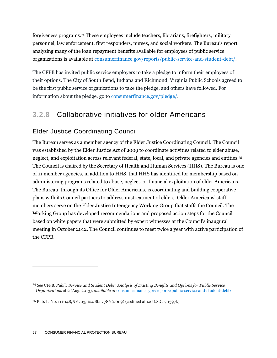forgiveness programs. <sup>74</sup> These employees include teachers, librarians, firefighters, military personnel, law enforcement, first responders, nurses, and social workers. The Bureau's report analyzing many of the loan repayment benefits available for employees of public service organizations is available at [consumerfinance.gov/reports/public-service-and-student-debt/.](http://www.consumerfinance.gov/reports/public-service-and-student-debt/)

The CFPB has invited public service employers to take a pledge to inform their employees of their options. The City of South Bend, Indiana and Richmond, Virginia Public Schools agreed to be the first public service organizations to take the pledge, and others have followed. For information about the pledge, go to [consumerfinance.gov/pledge/.](http://www.consumerfinance.gov/pledge/)

### **3.2.8** Collaborative initiatives for older Americans

#### Elder Justice Coordinating Council

The Bureau serves as a member agency of the Elder Justice Coordinating Council. The Council was established by the Elder Justice Act of 2009 to coordinate activities related to elder abuse, neglect, and exploitation across relevant federal, state, local, and private agencies and entities.<sup>75</sup> The Council is chaired by the Secretary of Health and Human Services (HHS). The Bureau is one of 11 member agencies, in addition to HHS, that HHS has identified for membership based on administering programs related to abuse, neglect, or financial exploitation of older Americans. The Bureau, through its Office for Older Americans, is coordinating and building cooperative plans with its Council partners to address mistreatment of elders. Older Americans' staff members serve on the Elder Justice Interagency Working Group that staffs the Council. The Working Group has developed recommendations and proposed action steps for the Council based on white papers that were submitted by expert witnesses at the Council's inaugural meeting in October 2012. The Council continues to meet twice a year with active participation of the CFPB.

<sup>74</sup> *See* CFPB, *Public Service and Student Debt: Analysis of Existing Benefits and Options for Public Service Organizations* at 2 (Aug. 2013), *available at* [consumerfinance.gov/reports/public-service-and-student-debt/.](http://www.consumerfinance.gov/reports/public-service-and-student-debt/)

<sup>75</sup> Pub. L. No. 111-148, § 6703, 124 Stat. 786 (2009) (codified at 42 U.S.C. § 1397k).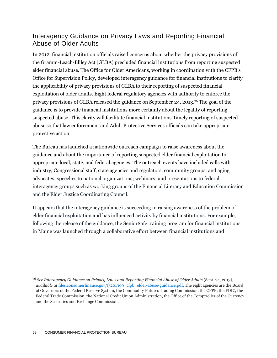#### Interagency Guidance on Privacy Laws and Reporting Financial Abuse of Older Adults

In 2012, financial institution officials raised concerns about whether the privacy provisions of the Gramm-Leach-Bliley Act (GLBA) precluded financial institutions from reporting suspected elder financial abuse. The Office for Older Americans, working in coordination with the CFPB's Office for Supervision Policy, developed interagency guidance for financial institutions to clarify the applicability of privacy provisions of GLBA to their reporting of suspected financial exploitation of older adults. Eight federal regulatory agencies with authority to enforce the privacy provisions of GLBA released the guidance on September 24, 2013.<sup>76</sup> The goal of the guidance is to provide financial institutions more certainty about the legality of reporting suspected abuse. This clarity will facilitate financial institutions' timely reporting of suspected abuse so that law enforcement and Adult Protective Services officials can take appropriate protective action.

The Bureau has launched a nationwide outreach campaign to raise awareness about the guidance and about the importance of reporting suspected elder financial exploitation to appropriate local, state, and federal agencies. The outreach events have included calls with industry, Congressional staff, state agencies and regulators, community groups, and aging advocates; speeches to national organizations; webinars; and presentations to federal interagency groups such as working groups of the Financial Literacy and Education Commission and the Elder Justice Coordinating Council.

It appears that the interagency guidance is succeeding in raising awareness of the problem of elder financial exploitation and has influenced activity by financial institutions. For example, following the release of the guidance, the Senior\$afe training program for financial institutions in Maine was launched through a collaborative effort between financial institutions and

<sup>76</sup> *See Interagency Guidance on Privacy Laws and Reporting Financial Abuse of Older Adults* (Sept. 24, 2013), *available at* [files.consumerfinance.gov/f/201309\\_cfpb\\_elder-abuse-guidance.pdf.](http://files.consumerfinance.gov/f/201309_cfpb_elder-abuse-guidance.pdf) The eight agencies are the Board of Governors of the Federal Reserve System, the Commodity Futures Trading Commission, the CFPB, the FDIC, the Federal Trade Commission, the National Credit Union Administration, the Office of the Comptroller of the Currency, and the Securities and Exchange Commission.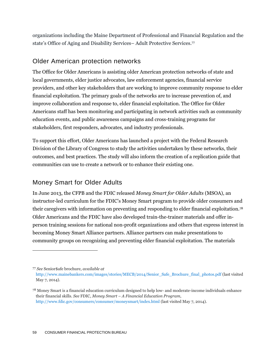organizations including the Maine Department of Professional and Financial Regulation and the state's Office of Aging and Disability Services– Adult Protective Services. 77

#### Older American protection networks

The Office for Older Americans is assisting older American protection networks of state and local governments, elder justice advocates, law enforcement agencies, financial service providers, and other key stakeholders that are working to improve community response to elder financial exploitation. The primary goals of the networks are to increase prevention of, and improve collaboration and response to, elder financial exploitation. The Office for Older Americans staff has been monitoring and participating in network activities such as community education events, and public awareness campaigns and cross-training programs for stakeholders, first responders, advocates, and industry professionals.

To support this effort, Older Americans has launched a project with the Federal Research Division of the Library of Congress to study the activities undertaken by these networks, their outcomes, and best practices. The study will also inform the creation of a replication guide that communities can use to create a network or to enhance their existing one.

#### Money Smart for Older Adults

 $\overline{a}$ 

May 7, 2014)*.*

In June 2013, the CFPB and the FDIC released *Money Smart for Older Adults* (MSOA), an instructor-led curriculum for the FDIC's Money Smart program to provide older consumers and their caregivers with information on preventing and responding to elder financial exploitation.<sup>78</sup> Older Americans and the FDIC have also developed train-the-trainer materials and offer inperson training sessions for national non-profit organizations and others that express interest in becoming Money Smart Alliance partners. Alliance partners can make presentations to community groups on recognizing and preventing elder financial exploitation. The materials

<sup>77</sup> *See* Senior\$afe brochure, *available at*  [http://www.mainebankers.com/images/stories/MECB/2014/Senior\\_Safe\\_Brochure\\_final\\_photos.pdf](http://www.mainebankers.com/images/stories/MECB/2014/Senior_Safe_Brochure_final_photos.pdf) (last visited

<sup>78</sup> Money Smart is a financial education curriculum designed to help low- and moderate-income individuals enhance their financial skills. *See* FDIC, *Money Smart – A Financial Education Program*, <http://www.fdic.gov/consumers/consumer/moneysmart/index.html> (last visited May 7, 2014).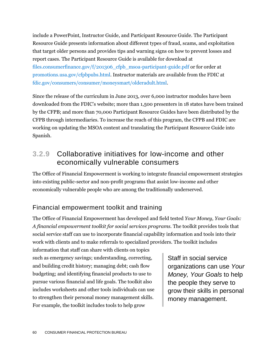include a PowerPoint, Instructor Guide, and Participant Resource Guide. The Participant Resource Guide presents information about different types of fraud, scams, and exploitation that target older persons and provides tips and warning signs on how to prevent losses and report cases. The Participant Resource Guide is available for download at [files.consumerfinance.gov/f/201306\\_cfpb\\_msoa-participant-guide.pdf](http://files.consumerfinance.gov/f/201306_cfpb_msoa-participant-guide.pdf) or for order at [promotions.usa.gov/cfpbpubs.html.](http://promotions.usa.gov/cfpbpubs.html) Instructor materials are available from the FDIC at [fdic.gov/consumers/consumer/moneysmart/olderadult.html.](http://www.fdic.gov/consumers/consumer/moneysmart/olderadult.html)

Since the release of the curriculum in June 2013, over 6,000 instructor modules have been downloaded from the FDIC's website; more than 1,500 presenters in 18 states have been trained by the CFPB; and more than 70,000 Participant Resource Guides have been distributed by the CFPB through intermediaries. To increase the reach of this program, the CFPB and FDIC are working on updating the MSOA content and translating the Participant Resource Guide into Spanish.

#### **3.2.9** Collaborative initiatives for low-income and other economically vulnerable consumers

The Office of Financial Empowerment is working to integrate financial empowerment strategies into existing public-sector and non-profit programs that assist low-income and other economically vulnerable people who are among the traditionally underserved.

#### Financial empowerment toolkit and training

The Office of Financial Empowerment has developed and field tested *Your Money, Your Goals: A financial empowerment toolkit for social services programs.* The toolkit provides tools that social service staff can use to incorporate financial capability information and tools into their work with clients and to make referrals to specialized providers. The toolkit includes

information that staff can share with clients on topics such as emergency savings; understanding, correcting, and building credit history; managing debt; cash flow budgeting; and identifying financial products to use to pursue various financial and life goals. The toolkit also includes worksheets and other tools individuals can use to strengthen their personal money management skills. For example, the toolkit includes tools to help grow

Staff in social service organizations can use *Your Money, Your Goals* to help the people they serve to grow their skills in personal money management.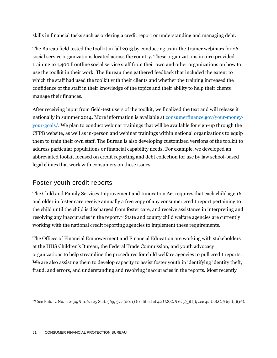skills in financial tasks such as ordering a credit report or understanding and managing debt.

The Bureau field tested the toolkit in fall 2013 by conducting train-the-trainer webinars for 26 social service organizations located across the country. These organizations in turn provided training to 1,400 frontline social service staff from their own and other organizations on how to use the toolkit in their work. The Bureau then gathered feedback that included the extent to which the staff had used the toolkit with their clients and whether the training increased the confidence of the staff in their knowledge of the topics and their ability to help their clients manage their finances.

After receiving input from field-test users of the toolkit, we finalized the text and will release it nationally in summer 2014. More information is available at [consumerfinance.gov/your-money](http://www.consumerfinance.gov/your-money-your-goals/)[your-goals/.](http://www.consumerfinance.gov/your-money-your-goals/) We plan to conduct webinar trainings that will be available for sign-up through the CFPB website, as well as in-person and webinar trainings within national organizations to equip them to train their own staff. The Bureau is also developing customized versions of the toolkit to address particular populations or financial capability needs. For example, we developed an abbreviated toolkit focused on credit reporting and debt collection for use by law school-based legal clinics that work with consumers on these issues.

#### Foster youth credit reports

The Child and Family Services Improvement and Innovation Act requires that each child age 16 and older in foster care receive annually a free copy of any consumer credit report pertaining to the child until the child is discharged from foster care, and receive assistance in interpreting and resolving any inaccuracies in the report.<sup>79</sup> State and county child welfare agencies are currently working with the national credit reporting agencies to implement these requirements.

The Offices of Financial Empowerment and Financial Education are working with stakeholders at the HHS Children's Bureau, the Federal Trade Commission, and youth advocacy organizations to help streamline the procedures for child welfare agencies to pull credit reports. We are also assisting them to develop capacity to assist foster youth in identifying identity theft, fraud, and errors, and understanding and resolving inaccuracies in the reports. Most recently

<sup>79</sup> *See* Pub. L. No. 112-34, § 106, 125 Stat. 369, 377 (2011) (codified at 42 U.S.C. § 675(5)(I)); *see* 42 U.S.C. § 671(a)(16).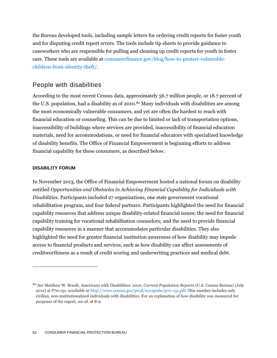the Bureau developed tools, including sample letters for ordering credit reports for foster youth and for disputing credit report errors. The tools include tip sheets to provide guidance to caseworkers who are responsible for pulling and cleaning up credit reports for youth in foster care. These tools are available at [consumerfinance.gov/blog/how-to-protect-vulnerable](http://www.consumerfinance.gov/blog/how-to-protect-vulnerable-children-from-identity-theft/)[children-from-identity-theft/.](http://www.consumerfinance.gov/blog/how-to-protect-vulnerable-children-from-identity-theft/)

#### People with disabilities

According to the most recent Census data, approximately 56.7 million people, or 18.7 percent of the U.S. population, had a disability as of 2010. <sup>80</sup> Many individuals with disabilities are among the most economically vulnerable consumers, and yet are often the hardest to reach with financial education or counseling. This can be due to limited or lack of transportation options, inaccessibility of buildings where services are provided, inaccessibility of financial education materials, need for accommodations, or need for financial educators with specialized knowledge of disability benefits. The Office of Financial Empowerment is beginning efforts to address financial capability for these consumers, as described below.

#### **DISABILITY FORUM**

 $\overline{a}$ 

In November 2013, the Office of Financial Empowerment hosted a national forum on disability entitled *Opportunities and Obstacles in Achieving Financial Capability for Individuals with Disabilities*. Participants included 27 organizations, one state government vocational rehabilitation program, and four federal partners. Participants highlighted the need for financial capability resources that address unique disability-related financial issues; the need for financial capability training for vocational rehabilitation counselors; and the need to provide financial capability resources in a manner that accommodates particular disabilities. They also highlighted the need for greater financial institution awareness of how disability may impede access to financial products and services, such as how disability can affect assessments of creditworthiness as a result of credit scoring and underwriting practices and medical debt.

<sup>80</sup> *See* Matthew W. Brault, Americans with Disabilities: 2010, *Current Population Reports* (U.S. Census Bureau) (July 2012) at P70-131, *available at* [http://www.census.gov/prod/2012pubs/p70-131.pdf.](http://www.census.gov/prod/2012pubs/p70-131.pdf) This number includes only civilian, non-institutionalized individuals with disabilities. For an explanation of how disability was measured for purposes of the report, *see id.* at 8-9.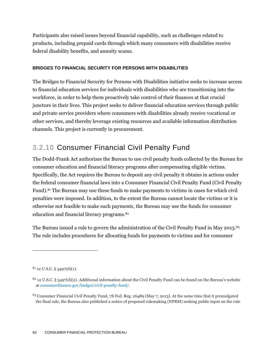Participants also raised issues beyond financial capability, such as challenges related to products, including prepaid cards through which many consumers with disabilities receive federal disability benefits, and annuity scams.

#### **BRIDGES TO FINANCIAL SECURITY FOR PERSONS WITH DISABILITIES**

The Bridges to Financial Security for Persons with Disabilities initiative seeks to increase access to financial education services for individuals with disabilities who are transitioning into the workforce, in order to help them proactively take control of their finances at that crucial juncture in their lives. This project seeks to deliver financial education services through public and private service providers where consumers with disabilities already receive vocational or other services, and thereby leverage existing resources and available information distribution channels. This project is currently in procurement.

## **3.2.10** Consumer Financial Civil Penalty Fund

The Dodd-Frank Act authorizes the Bureau to use civil penalty funds collected by the Bureau for consumer education and financial literacy programs after compensating eligible victims. Specifically, the Act requires the Bureau to deposit any civil penalty it obtains in actions under the federal consumer financial laws into a Consumer Financial Civil Penalty Fund (Civil Penalty Fund).<sup>81</sup> The Bureau may use these funds to make payments to victims in cases for which civil penalties were imposed. In addition, to the extent the Bureau cannot locate the victims or it is otherwise not feasible to make such payments, the Bureau may use the funds for consumer education and financial literacy programs. 82

The Bureau issued a rule to govern the administration of the Civil Penalty Fund in May 2013. 83 The rule includes procedures for allocating funds for payments to victims and for consumer

 $81$  12 U.S.C. § 5497(d)(1).

 $82$  12 U.S.C. § 5497(d)(2). Additional information about the Civil Penalty Fund can be found on the Bureau's website at [consumerfinance.gov/budget/civil-penalty-fund/.](http://www.consumerfinance.gov/budget/civil-penalty-fund/)

<sup>83</sup> Consumer Financial Civil Penalty Fund, 78 Fed. Reg. 26489 (May 7, 2013). At the same time that it promulgated the final rule, the Bureau also published a notice of proposed rulemaking (NPRM) seeking public input on the rule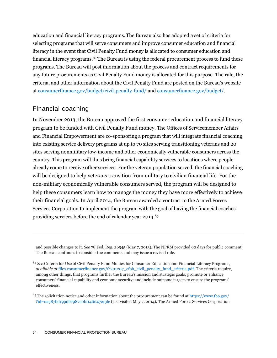education and financial literacy programs. The Bureau also has adopted a set of criteria for selecting programs that will serve consumers and improve consumer education and financial literacy in the event that Civil Penalty Fund money is allocated to consumer education and financial literacy programs.<sup>84</sup>The Bureau is using the federal procurement process to fund these programs. The Bureau will post information about the process and contract requirements for any future procurements as Civil Penalty Fund money is allocated for this purpose. The rule, the criteria, and other information about the Civil Penalty Fund are posted on the Bureau's website at [consumerfinance.gov/budget/civil-penalty-fund/](http://www.consumerfinance.gov/budget/civil-penalty-fund/) and [consumerfinance.gov/budget/.](http://www.consumerfinance.gov/budget/)

#### Financial coaching

 $\overline{a}$ 

In November 2013, the Bureau approved the first consumer education and financial literacy program to be funded with Civil Penalty Fund money. The Offices of Servicemember Affairs and Financial Empowerment are co-sponsoring a program that will integrate financial coaching into existing service delivery programs at up to 70 sites serving transitioning veterans and 20 sites serving nonmilitary low-income and other economically vulnerable consumers across the country. This program will thus bring financial capability services to locations where people already come to receive other services. For the veteran population served, the financial coaching will be designed to help veterans transition from military to civilian financial life. For the non-military economically vulnerable consumers served, the program will be designed to help these consumers learn how to manage the money they have more effectively to achieve their financial goals. In April 2014, the Bureau awarded a contract to the Armed Forces Services Corporation to implement the program with the goal of having the financial coaches providing services before the end of calendar year 2014. 85

and possible changes to it. *See* 78 Fed. Reg. 26545 (May 7, 2013). The NPRM provided 60 days for public comment. The Bureau continues to consider the comments and may issue a revised rule.

<sup>84</sup> *See* Criteria for Use of Civil Penalty Fund Monies for Consumer Education and Financial Literacy Programs, *available at* [files.consumerfinance.gov/f/201207\\_cfpb\\_civil\\_penalty\\_fund\\_criteria.pdf.](http://files.consumerfinance.gov/f/201207_cfpb_civil_penalty_fund_criteria.pdf) The criteria require, among other things, that programs further the Bureau's mission and strategic goals; promote or enhance consumers' financial capability and economic security; and include outcome targets to ensure the programs' effectiveness.

<sup>85</sup> The solicitation notice and other information about the procurement can be found at [https://www.fbo.gov/](https://www.fbo.gov/?id=0a587bd199db7987e0bf14f6f47e13fc) [?id=0a587bd199db7987e0bf14f6f47e13fc](https://www.fbo.gov/?id=0a587bd199db7987e0bf14f6f47e13fc) (last visited May 7, 2014). The Armed Forces Services Corporation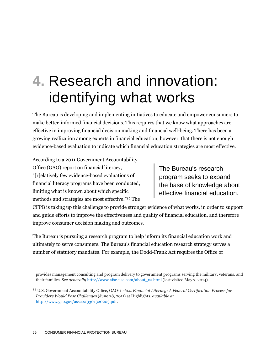# **4.** Research and innovation: identifying what works

The Bureau is developing and implementing initiatives to educate and empower consumers to make better-informed financial decisions. This requires that we know what approaches are effective in improving financial decision making and financial well-being. There has been a growing realization among experts in financial education, however, that there is not enough evidence-based evaluation to indicate which financial education strategies are most effective.

According to a 2011 Government Accountability Office (GAO) report on financial literacy, "[r]elatively few evidence-based evaluations of financial literacy programs have been conducted, limiting what is known about which specific methods and strategies are most effective."<sup>86</sup> The

The Bureau's research program seeks to expand the base of knowledge about effective financial education.

CFPB is taking up this challenge to provide stronger evidence of what works, in order to support and guide efforts to improve the effectiveness and quality of financial education, and therefore improve consumer decision making and outcomes.

The Bureau is pursuing a research program to help inform its financial education work and ultimately to serve consumers. The Bureau's financial education research strategy serves a number of statutory mandates. For example, the Dodd-Frank Act requires the Office of

provides management consulting and program delivery to government programs serving the military, veterans, and their families. *See generally* [http://www.afsc-usa.com/about\\_us.html](http://www.afsc-usa.com/about_us.html) (last visited May 7, 2014).

<sup>86</sup> U.S. Government Accountability Office, GAO-11-614, *Financial Literacy: A Federal Certification Process for Providers Would Pose Challenge*s (June 28, 2011) at Highlights, *available at* [http://www.gao.gov/assets/330/320203.pdf.](http://www.gao.gov/assets/330/320203.pdf)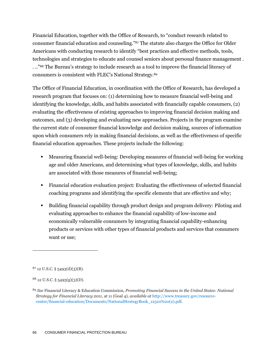Financial Education, together with the Office of Research, to "conduct research related to consumer financial education and counseling."<sup>87</sup> The statute also charges the Office for Older Americans with conducting research to identify "best practices and effective methods, tools, technologies and strategies to educate and counsel seniors about personal finance management . . .." <sup>88</sup> The Bureau's strategy to include research as a tool to improve the financial literacy of consumers is consistent with FLEC's National Strategy.<sup>89</sup>

The Office of Financial Education, in coordination with the Office of Research, has developed a research program that focuses on: (1) determining how to measure financial well-being and identifying the knowledge, skills, and habits associated with financially capable consumers, (2) evaluating the effectiveness of existing approaches to improving financial decision making and outcomes, and (3) developing and evaluating new approaches. Projects in the program examine the current state of consumer financial knowledge and decision making, sources of information upon which consumers rely in making financial decisions, as well as the effectiveness of specific financial education approaches. These projects include the following:

- Measuring financial well-being: Developing measures of financial well-being for working age and older Americans, and determining what types of knowledge, skills, and habits are associated with those measures of financial well-being;
- Financial education evaluation project: Evaluating the effectiveness of selected financial coaching programs and identifying the specific elements that are effective and why;
- Building financial capability through product design and program delivery: Piloting and evaluating approaches to enhance the financial capability of low-income and economically vulnerable consumers by integrating financial capability-enhancing products or services with other types of financial products and services that consumers want or use;

 $87$  12 U.S.C. § 5493(d)(3)(B).

 $8812$  U.S.C. § 5493(g)(3)(D).

<sup>89</sup> *See* Financial Literacy & Education Commission, *Promoting Financial Success in the United States: National Strategy for Financial Literacy 2011*, at 11 (Goal 4), *available at* [http://www.treasury.gov/resource](http://www.treasury.gov/resource-center/financial-education/Documents/NationalStrategyBook_12310%20(2).pdf)[center/financial-education/Documents/NationalStrategyBook\\_12310%20\(2\).pdf.](http://www.treasury.gov/resource-center/financial-education/Documents/NationalStrategyBook_12310%20(2).pdf)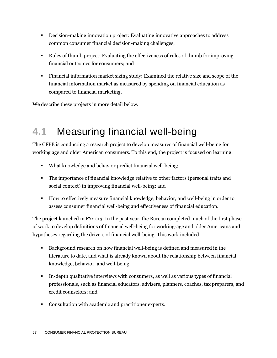- Decision-making innovation project: Evaluating innovative approaches to address common consumer financial decision-making challenges;
- Rules of thumb project: Evaluating the effectiveness of rules of thumb for improving financial outcomes for consumers; and
- Financial information market sizing study: Examined the relative size and scope of the financial information market as measured by spending on financial education as compared to financial marketing.

We describe these projects in more detail below.

## **4.1** Measuring financial well-being

The CFPB is conducting a research project to develop measures of financial well-being for working age and older American consumers. To this end, the project is focused on learning:

- What knowledge and behavior predict financial well-being;
- The importance of financial knowledge relative to other factors (personal traits and social context) in improving financial well-being; and
- How to effectively measure financial knowledge, behavior, and well-being in order to assess consumer financial well-being and effectiveness of financial education.

The project launched in FY2013. In the past year, the Bureau completed much of the first phase of work to develop definitions of financial well-being for working-age and older Americans and hypotheses regarding the drivers of financial well-being. This work included:

- Background research on how financial well-being is defined and measured in the literature to date, and what is already known about the relationship between financial knowledge, behavior, and well-being;
- In-depth qualitative interviews with consumers, as well as various types of financial professionals, such as financial educators, advisers, planners, coaches, tax preparers, and credit counselors; and
- Consultation with academic and practitioner experts.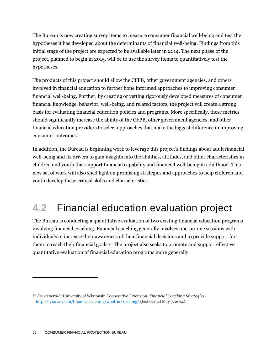The Bureau is now creating survey items to measure consumer financial well-being and test the hypotheses it has developed about the determinants of financial well-being. Findings from this initial stage of the project are expected to be available later in 2014. The next phase of the project, planned to begin in 2015, will be to use the survey items to quantitatively test the hypotheses.

The products of this project should allow the CFPB, other government agencies, and others involved in financial education to further hone informed approaches to improving consumer financial well-being. Further, by creating or vetting rigorously developed measures of consumer financial knowledge, behavior, well-being, and related factors, the project will create a strong basis for evaluating financial education policies and programs. More specifically, these metrics should significantly increase the ability of the CFPB, other government agencies, and other financial education providers to select approaches that make the biggest difference in improving consumer outcomes.

In addition, the Bureau is beginning work to leverage this project's findings about adult financial well-being and its drivers to gain insights into the abilities, attitudes, and other characteristics in children and youth that support financial capability and financial well-being in adulthood. This new set of work will also shed light on promising strategies and approaches to help children and youth develop these critical skills and characteristics.

## **4.2** Financial education evaluation project

The Bureau is conducting a quantitative evaluation of two existing financial education programs involving financial coaching. Financial coaching generally involves one-on-one sessions with individuals to increase their awareness of their financial decisions and to provide support for them to reach their financial goals.<sup>90</sup> The project also seeks to promote and support effective quantitative evaluation of financial education programs more generally.

<sup>90</sup> *See generally* University of Wisconsin Cooperative Extension, *Financial Coaching Strategies*, <http://fyi.uwex.edu/financialcoaching/what-is-coaching/> (last visited May 7, 2014).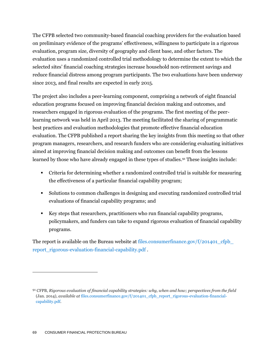The CFPB selected two community-based financial coaching providers for the evaluation based on preliminary evidence of the programs' effectiveness, willingness to participate in a rigorous evaluation, program size, diversity of geography and client base, and other factors. The evaluation uses a randomized controlled trial methodology to determine the extent to which the selected sites' financial coaching strategies increase household non-retirement savings and reduce financial distress among program participants. The two evaluations have been underway since 2013, and final results are expected in early 2015.

The project also includes a peer-learning component, comprising a network of eight financial education programs focused on improving financial decision making and outcomes, and researchers engaged in rigorous evaluation of the programs. The first meeting of the peerlearning network was held in April 2013. The meeting facilitated the sharing of programmatic best practices and evaluation methodologies that promote effective financial education evaluation. The CFPB published a report sharing the key insights from this meeting so that other program managers, researchers, and research funders who are considering evaluating initiatives aimed at improving financial decision making and outcomes can benefit from the lessons learned by those who have already engaged in these types of studies.<sup>91</sup> These insights include:

- Criteria for determining whether a randomized controlled trial is suitable for measuring the effectiveness of a particular financial capability program;
- Solutions to common challenges in designing and executing randomized controlled trial evaluations of financial capability programs; and
- Key steps that researchers, practitioners who run financial capability programs, policymakers, and funders can take to expand rigorous evaluation of financial capability programs.

The report is available on the Bureau website at files.consumerfinance.gov/ $f/201401$  cfpb [report\\_rigorous-evaluation-financial-capability.pdf](http://files.consumerfinance.gov/f/201401_cfpb_report_rigorous-evaluation-financial-capability.pdf) .

<sup>91</sup> CFPB, *Rigorous evaluation of financial capability strategies: why, when and how; perspectives from the field*  (Jan. 2014), *available at* [files.consumerfinance.gov/f/201401\\_cfpb\\_report\\_rigorous-evaluation-financial](http://files.consumerfinance.gov/f/201401_cfpb_report_rigorous-evaluation-financial-capability.pdf)[capability.pdf](http://files.consumerfinance.gov/f/201401_cfpb_report_rigorous-evaluation-financial-capability.pdf)*.*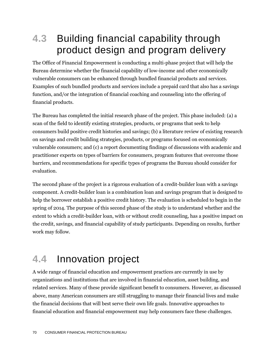## **4.3** Building financial capability through product design and program delivery

The Office of Financial Empowerment is conducting a multi-phase project that will help the Bureau determine whether the financial capability of low-income and other economically vulnerable consumers can be enhanced through bundled financial products and services. Examples of such bundled products and services include a prepaid card that also has a savings function, and/or the integration of financial coaching and counseling into the offering of financial products.

The Bureau has completed the initial research phase of the project. This phase included: (a) a scan of the field to identify existing strategies, products, or programs that seek to help consumers build positive credit histories and savings; (b) a literature review of existing research on savings and credit building strategies, products, or programs focused on economically vulnerable consumers; and (c) a report documenting findings of discussions with academic and practitioner experts on types of barriers for consumers, program features that overcome those barriers, and recommendations for specific types of programs the Bureau should consider for evaluation.

The second phase of the project is a rigorous evaluation of a credit-builder loan with a savings component. A credit-builder loan is a combination loan and savings program that is designed to help the borrower establish a positive credit history. The evaluation is scheduled to begin in the spring of 2014. The purpose of this second phase of the study is to understand whether and the extent to which a credit-builder loan, with or without credit counseling, has a positive impact on the credit, savings, and financial capability of study participants. Depending on results, further work may follow.

## **4.4** Innovation project

A wide range of financial education and empowerment practices are currently in use by organizations and institutions that are involved in financial education, asset building, and related services. Many of these provide significant benefit to consumers. However, as discussed above, many American consumers are still struggling to manage their financial lives and make the financial decisions that will best serve their own life goals. Innovative approaches to financial education and financial empowerment may help consumers face these challenges.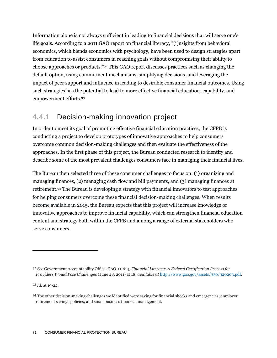Information alone is not always sufficient in leading to financial decisions that will serve one's life goals. According to a 2011 GAO report on financial literacy, "[i]nsights from behavioral economics, which blends economics with psychology, have been used to design strategies apart from education to assist consumers in reaching goals without compromising their ability to choose approaches or products."<sup>92</sup> This GAO report discusses practices such as changing the default option, using commitment mechanisms, simplifying decisions, and leveraging the impact of peer support and influence in leading to desirable consumer financial outcomes. Using such strategies has the potential to lead to more effective financial education, capability, and empowerment efforts.<sup>93</sup>

### **4.4.1** Decision-making innovation project

In order to meet its goal of promoting effective financial education practices, the CFPB is conducting a project to develop prototypes of innovative approaches to help consumers overcome common decision-making challenges and then evaluate the effectiveness of the approaches. In the first phase of this project, the Bureau conducted research to identify and describe some of the most prevalent challenges consumers face in managing their financial lives.

The Bureau then selected three of these consumer challenges to focus on: (1) organizing and managing finances, (2) managing cash flow and bill payments, and (3) managing finances at retirement.<sup>94</sup> The Bureau is developing a strategy with financial innovators to test approaches for helping consumers overcome these financial decision-making challenges. When results become available in 2015, the Bureau expects that this project will increase knowledge of innovative approaches to improve financial capability, which can strengthen financial education content and strategy both within the CFPB and among a range of external stakeholders who serve consumers.

<sup>93</sup> *Id.* at 19-22.

<sup>92</sup> *See* Government Accountability Office, GAO-11-614, *Financial Literacy: A Federal Certification Process for Providers Would Pose Challenge*s (June 28, 2011) at 18, *available at* [http://www.gao.gov/assets/330/320203.pdf.](http://www.gao.gov/assets/330/320203.pdf)

<sup>94</sup> The other decision-making challenges we identified were saving for financial shocks and emergencies; employer retirement savings policies; and small business financial management.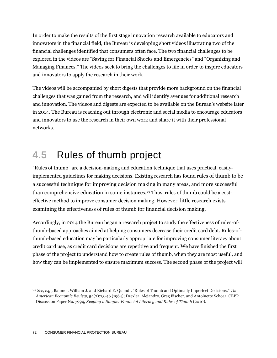In order to make the results of the first stage innovation research available to educators and innovators in the financial field, the Bureau is developing short videos illustrating two of the financial challenges identified that consumers often face. The two financial challenges to be explored in the videos are "Saving for Financial Shocks and Emergencies" and "Organizing and Managing Finances." The videos seek to bring the challenges to life in order to inspire educators and innovators to apply the research in their work.

The videos will be accompanied by short digests that provide more background on the financial challenges that was gained from the research, and will identify avenues for additional research and innovation. The videos and digests are expected to be available on the Bureau's website later in 2014. The Bureau is reaching out through electronic and social media to encourage educators and innovators to use the research in their own work and share it with their professional networks.

## **4.5** Rules of thumb project

"Rules of thumb" are a decision-making and education technique that uses practical, easilyimplemented guidelines for making decisions. Existing research has found rules of thumb to be a successful technique for improving decision making in many areas, and more successful than comprehensive education in some instances.<sup>95</sup> Thus, rules of thumb could be a costeffective method to improve consumer decision making. However, little research exists examining the effectiveness of rules of thumb for financial decision making.

Accordingly, in 2014 the Bureau began a research project to study the effectiveness of rules-ofthumb-based approaches aimed at helping consumers decrease their credit card debt. Rules-ofthumb-based education may be particularly appropriate for improving consumer literacy about credit card use, as credit card decisions are repetitive and frequent. We have finished the first phase of the project to understand how to create rules of thumb, when they are most useful, and how they can be implemented to ensure maximum success. The second phase of the project will

<sup>95</sup> *See, e.g.,* Baumol, William J. and Richard E. Quandt. "Rules of Thumb and Optimally Imperfect Decisions." *The American Economic Review,* 54(2):23-46 (1964); Drexler, Alejandro, Greg Fischer, and Antoinette Schoar, CEPR Discussion Paper No. 7994, *Keeping it Simple: Financial Literacy and Rules of Thumb* (2010).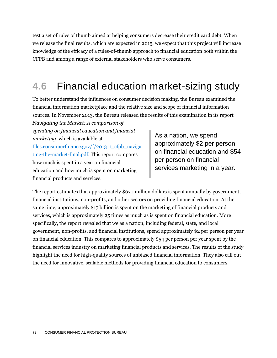test a set of rules of thumb aimed at helping consumers decrease their credit card debt. When we release the final results, which are expected in 2015, we expect that this project will increase knowledge of the efficacy of a rules-of-thumb approach to financial education both within the CFPB and among a range of external stakeholders who serve consumers.

## **4.6** Financial education market-sizing study

To better understand the influences on consumer decision making, the Bureau examined the financial information marketplace and the relative size and scope of financial information sources. In November 2013, the Bureau released the results of this examination in its report

*Navigating the Market: A comparison of spending on financial education and financial marketing*, which is available at [files.consumerfinance.gov/f/201311\\_cfpb\\_naviga](http://files.consumerfinance.gov/f/201311_cfpb_navigating-the-market-final.pdf) [ting-the-market-final.pdf.](http://files.consumerfinance.gov/f/201311_cfpb_navigating-the-market-final.pdf) This report compares how much is spent in a year on financial education and how much is spent on marketing financial products and services.

As a nation, we spend approximately \$2 per person on financial education and \$54 per person on financial services marketing in a year.

The report estimates that approximately \$670 million dollars is spent annually by government, financial institutions, non-profits, and other sectors on providing financial education. At the same time, approximately \$17 billion is spent on the marketing of financial products and services, which is approximately 25 times as much as is spent on financial education. More specifically, the report revealed that we as a nation, including federal, state, and local government, non-profits, and financial institutions, spend approximately \$2 per person per year on financial education. This compares to approximately \$54 per person per year spent by the financial services industry on marketing financial products and services. The results of the study highlight the need for high-quality sources of unbiased financial information. They also call out the need for innovative, scalable methods for providing financial education to consumers.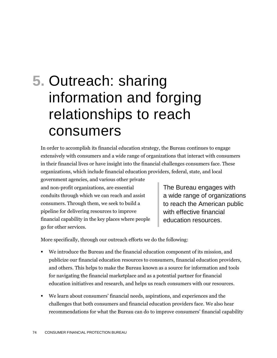# **5.** Outreach: sharing information and forging relationships to reach consumers

In order to accomplish its financial education strategy, the Bureau continues to engage extensively with consumers and a wide range of organizations that interact with consumers in their financial lives or have insight into the financial challenges consumers face. These organizations, which include financial education providers, federal, state, and local

government agencies, and various other private and non-profit organizations, are essential conduits through which we can reach and assist consumers. Through them, we seek to build a pipeline for delivering resources to improve financial capability in the key places where people go for other services.

The Bureau engages with a wide range of organizations to reach the American public with effective financial education resources.

More specifically, through our outreach efforts we do the following:

- We introduce the Bureau and the financial education component of its mission, and publicize our financial education resources to consumers, financial education providers, and others. This helps to make the Bureau known as a source for information and tools for navigating the financial marketplace and as a potential partner for financial education initiatives and research, and helps us reach consumers with our resources.
- We learn about consumers' financial needs, aspirations, and experiences and the challenges that both consumers and financial education providers face. We also hear recommendations for what the Bureau can do to improve consumers' financial capability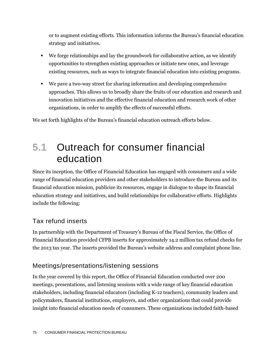or to augment existing efforts. This information informs the Bureau's financial education strategy and initiatives.

- We forge relationships and lay the groundwork for collaborative action, as we identify opportunities to strengthen existing approaches or initiate new ones, and leverage existing resources, such as ways to integrate financial education into existing programs.
- We pave a two-way street for sharing information and developing comprehensive approaches. This allows us to broadly share the fruits of our education and research and innovation initiatives and the effective financial education and research work of other organizations, in order to amplify the effects of successful efforts.

We set forth highlights of the Bureau's financial education outreach efforts below.

## **5.1** Outreach for consumer financial education

Since its inception, the Office of Financial Education has engaged with consumers and a wide range of financial education providers and other stakeholders to introduce the Bureau and its financial education mission, publicize its resources, engage in dialogue to shape its financial education strategy and initiatives, and build relationships for collaborative efforts. Highlights include the following:

## Tax refund inserts

In partnership with the Department of Treasury's Bureau of the Fiscal Service, the Office of Financial Education provided CFPB inserts for approximately 14.2 million tax refund checks for the 2013 tax year. The inserts provided the Bureau's website address and complaint phone line.

## Meetings/presentations/listening sessions

In the year covered by this report, the Office of Financial Education conducted over 200 meetings, presentations, and listening sessions with a wide range of key financial education stakeholders, including financial educators (including K-12 teachers), community leaders and policymakers, financial institutions, employers, and other organizations that could provide insight into financial education needs of consumers. These organizations included faith-based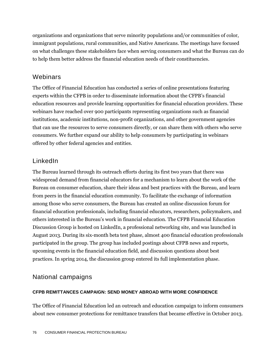organizations and organizations that serve minority populations and/or communities of color, immigrant populations, rural communities, and Native Americans. The meetings have focused on what challenges these stakeholders face when serving consumers and what the Bureau can do to help them better address the financial education needs of their constituencies.

## **Webinars**

The Office of Financial Education has conducted a series of online presentations featuring experts within the CFPB in order to disseminate information about the CFPB's financial education resources and provide learning opportunities for financial education providers. These webinars have reached over 900 participants representing organizations such as financial institutions, academic institutions, non-profit organizations, and other government agencies that can use the resources to serve consumers directly, or can share them with others who serve consumers. We further expand our ability to help consumers by participating in webinars offered by other federal agencies and entities.

## LinkedIn

The Bureau learned through its outreach efforts during its first two years that there was widespread demand from financial educators for a mechanism to learn about the work of the Bureau on consumer education, share their ideas and best practices with the Bureau, and learn from peers in the financial education community. To facilitate the exchange of information among those who serve consumers, the Bureau has created an online discussion forum for financial education professionals, including financial educators, researchers, policymakers, and others interested in the Bureau's work in financial education. The CFPB Financial Education Discussion Group is hosted on LinkedIn, a professional networking site, and was launched in August 2013. During its six-month beta test phase, almost 400 financial education professionals participated in the group. The group has included postings about CFPB news and reports, upcoming events in the financial education field, and discussion questions about best practices. In spring 2014, the discussion group entered its full implementation phase.

## National campaigns

#### **CFPB REMITTANCES CAMPAIGN: SEND MONEY ABROAD WITH MORE CONFIDENCE**

The Office of Financial Education led an outreach and education campaign to inform consumers about new consumer protections for remittance transfers that became effective in October 2013.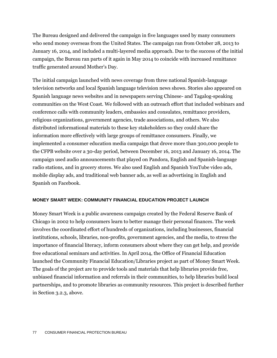The Bureau designed and delivered the campaign in five languages used by many consumers who send money overseas from the United States. The campaign ran from October 28, 2013 to January 16, 2014, and included a multi-layered media approach. Due to the success of the initial campaign, the Bureau ran parts of it again in May 2014 to coincide with increased remittance traffic generated around Mother's Day.

The initial campaign launched with news coverage from three national Spanish-language television networks and local Spanish language television news shows. Stories also appeared on Spanish language news websites and in newspapers serving Chinese- and Tagalog-speaking communities on the West Coast. We followed with an outreach effort that included webinars and conference calls with community leaders, embassies and consulates, remittance providers, religious organizations, government agencies, trade associations, and others. We also distributed informational materials to these key stakeholders so they could share the information more effectively with large groups of remittance consumers. Finally, we implemented a consumer education media campaign that drove more than 300,000 people to the CFPB website over a 30-day period, between December 16, 2013 and January 16, 2014. The campaign used audio announcements that played on Pandora, English and Spanish-language radio stations, and in grocery stores. We also used English and Spanish YouTube video ads, mobile display ads, and traditional web banner ads, as well as advertising in English and Spanish on Facebook.

#### **MONEY SMART WEEK: COMMUNITY FINANCIAL EDUCATION PROJECT LAUNCH**

Money Smart Week is a public awareness campaign created by the Federal Reserve Bank of Chicago in 2002 to help consumers learn to better manage their personal finances. The week involves the coordinated effort of hundreds of organizations, including businesses, financial institutions, schools, libraries, non-profits, government agencies, and the media, to stress the importance of financial literacy, inform consumers about where they can get help, and provide free educational seminars and activities. In April 2014, the Office of Financial Education launched the Community Financial Education/Libraries project as part of Money Smart Week. The goals of the project are to provide tools and materials that help libraries provide free, unbiased financial information and referrals in their communities, to help libraries build local partnerships, and to promote libraries as community resources. This project is described further in Section 3.2.3, above.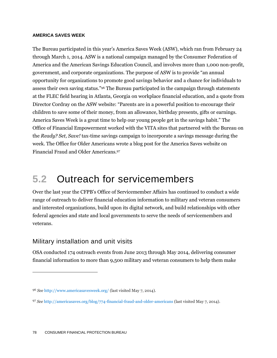#### **AMERICA SAVES WEEK**

The Bureau participated in this year's America Saves Week (ASW), which ran from February 24 through March 1, 2014. ASW is a national campaign managed by the Consumer Federation of America and the American Savings Education Council, and involves more than 1,000 non-profit, government, and corporate organizations. The purpose of ASW is to provide "an annual opportunity for organizations to promote good savings behavior and a chance for individuals to assess their own saving status."<sup>96</sup> The Bureau participated in the campaign through statements at the FLEC field hearing in Atlanta, Georgia on workplace financial education, and a quote from Director Cordray on the ASW website: "Parents are in a powerful position to encourage their children to save some of their money, from an allowance, birthday presents, gifts or earnings. America Saves Week is a great time to help our young people get in the savings habit." The Office of Financial Empowerment worked with the VITA sites that partnered with the Bureau on the *Ready? Set, Save!* tax-time savings campaign to incorporate a savings message during the week. The Office for Older Americans wrote a blog post for the America Saves website on Financial Fraud and Older Americans.<sup>97</sup>

## **5.2** Outreach for servicemembers

Over the last year the CFPB's Office of Servicemember Affairs has continued to conduct a wide range of outreach to deliver financial education information to military and veteran consumers and interested organizations, build upon its digital network, and build relationships with other federal agencies and state and local governments to serve the needs of servicemembers and veterans.

## Military installation and unit visits

 $\overline{a}$ 

OSA conducted 174 outreach events from June 2013 through May 2014, delivering consumer financial information to more than 9,500 military and veteran consumers to help them make

<sup>96</sup> *See* <http://www.americasavesweek.org/> (last visited May 7, 2014).

<sup>97</sup> *See* <http://americasaves.org/blog/774-financial-fraud-and-older-americans> (last visited May 7, 2014).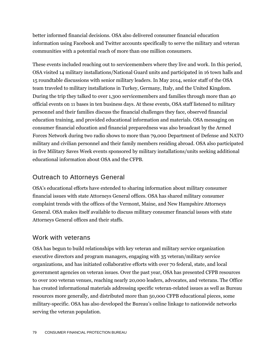better informed financial decisions. OSA also delivered consumer financial education information using Facebook and Twitter accounts specifically to serve the military and veteran communities with a potential reach of more than one million consumers.

These events included reaching out to servicemembers where they live and work. In this period, OSA visited 14 military installations/National Guard units and participated in 16 town halls and 15 roundtable discussions with senior military leaders. In May 2014, senior staff of the OSA team traveled to military installations in Turkey, Germany, Italy, and the United Kingdom. During the trip they talked to over 1,300 servicemembers and families through more than 40 official events on 11 bases in ten business days. At these events, OSA staff listened to military personnel and their families discuss the financial challenges they face, observed financial education training, and provided educational information and materials. OSA messaging on consumer financial education and financial preparedness was also broadcast by the Armed Forces Network during two radio shows to more than 79,000 Department of Defense and NATO military and civilian personnel and their family members residing abroad. OSA also participated in five Military Saves Week events sponsored by military installations/units seeking additional educational information about OSA and the CFPB.

## Outreach to Attorneys General

OSA's educational efforts have extended to sharing information about military consumer financial issues with state Attorneys General offices. OSA has shared military consumer complaint trends with the offices of the Vermont, Maine, and New Hampshire Attorneys General. OSA makes itself available to discuss military consumer financial issues with state Attorneys General offices and their staffs.

### Work with veterans

OSA has begun to build relationships with key veteran and military service organization executive directors and program managers, engaging with 35 veteran/military service organizations, and has initiated collaborative efforts with over 70 federal, state, and local government agencies on veteran issues. Over the past year, OSA has presented CFPB resources to over 100 veteran venues, reaching nearly 20,000 leaders, advocates, and veterans. The Office has created informational materials addressing specific veteran-related issues as well as Bureau resources more generally, and distributed more than 50,000 CFPB educational pieces, some military-specific. OSA has also developed the Bureau's online linkage to nationwide networks serving the veteran population.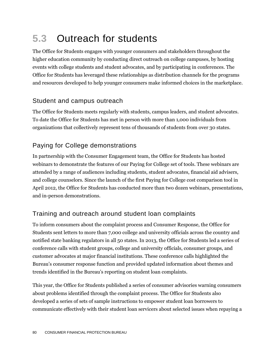## **5.3** Outreach for students

The Office for Students engages with younger consumers and stakeholders throughout the higher education community by conducting direct outreach on college campuses, by hosting events with college students and student advocates, and by participating in conferences. The Office for Students has leveraged these relationships as distribution channels for the programs and resources developed to help younger consumers make informed choices in the marketplace.

## Student and campus outreach

The Office for Students meets regularly with students, campus leaders, and student advocates. To date the Office for Students has met in person with more than 1,000 individuals from organizations that collectively represent tens of thousands of students from over 30 states.

## Paying for College demonstrations

In partnership with the Consumer Engagement team, the Office for Students has hosted webinars to demonstrate the features of our Paying for College set of tools. These webinars are attended by a range of audiences including students, student advocates, financial aid advisers, and college counselors. Since the launch of the first Paying for College cost comparison tool in April 2012, the Office for Students has conducted more than two dozen webinars, presentations, and in-person demonstrations.

## Training and outreach around student loan complaints

To inform consumers about the complaint process and Consumer Response, the Office for Students sent letters to more than 7,000 college and university officials across the country and notified state banking regulators in all 50 states. In 2013, the Office for Students led a series of conference calls with student groups, college and university officials, consumer groups, and customer advocates at major financial institutions. These conference calls highlighted the Bureau's consumer response function and provided updated information about themes and trends identified in the Bureau's reporting on student loan complaints.

This year, the Office for Students published a series of consumer advisories warning consumers about problems identified through the complaint process. The Office for Students also developed a series of sets of sample instructions to empower student loan borrowers to communicate effectively with their student loan servicers about selected issues when repaying a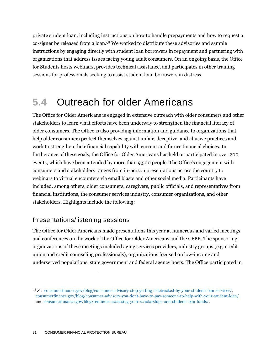private student loan, including instructions on how to handle prepayments and how to request a co-signer be released from a loan.<sup>98</sup> We worked to distribute these advisories and sample instructions by engaging directly with student loan borrowers in repayment and partnering with organizations that address issues facing young adult consumers. On an ongoing basis, the Office for Students hosts webinars, provides technical assistance, and participates in other training sessions for professionals seeking to assist student loan borrowers in distress.

## **5.4** Outreach for older Americans

The Office for Older Americans is engaged in extensive outreach with older consumers and other stakeholders to learn what efforts have been underway to strengthen the financial literacy of older consumers. The Office is also providing information and guidance to organizations that help older consumers protect themselves against unfair, deceptive, and abusive practices and work to strengthen their financial capability with current and future financial choices. In furtherance of these goals, the Office for Older Americans has held or participated in over 200 events, which have been attended by more than 9,500 people. The Office's engagement with consumers and stakeholders ranges from in-person presentations across the country to webinars to virtual encounters via email blasts and other social media. Participants have included, among others, older consumers, caregivers, public officials, and representatives from financial institutions, the consumer services industry, consumer organizations, and other stakeholders. Highlights include the following:

## Presentations/listening sessions

 $\overline{a}$ 

The Office for Older Americans made presentations this year at numerous and varied meetings and conferences on the work of the Office for Older Americans and the CFPB. The sponsoring organizations of these meetings included aging services providers, industry groups (e.g. credit union and credit counseling professionals), organizations focused on low-income and underserved populations, state government and federal agency hosts. The Office participated in

<sup>98</sup> *See* [consumerfinance.gov/blog/consumer-advisory-stop-getting-sidetracked-by-your-student-loan-servicer/,](http://www.consumerfinance.gov/blog/consumer-advisory-stop-getting-sidetracked-by-your-student-loan-servicer/)  [consumerfinance.gov/blog/consumer-advisory-you-dont-have-to-pay-someone-to-help-with-your-student-loan/](http://www.consumerfinance.gov/blog/consumer-advisory-you-dont-have-to-pay-someone-to-help-with-your-student-loan/) and [consumerfinance.gov/blog/reminder-accessing-your-scholarships-and-student-loan-funds/.](http://www.consumerfinance.gov/blog/reminder-accessing-your-scholarships-and-student-loan-funds/)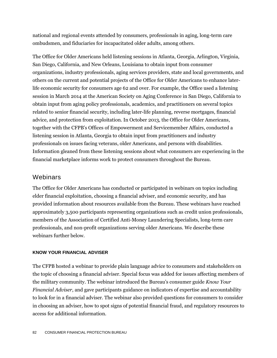national and regional events attended by consumers, professionals in aging, long-term care ombudsmen, and fiduciaries for incapacitated older adults, among others.

The Office for Older Americans held listening sessions in Atlanta, Georgia, Arlington, Virginia, San Diego, California, and New Orleans, Louisiana to obtain input from consumer organizations, industry professionals, aging services providers, state and local governments, and others on the current and potential projects of the Office for Older Americans to enhance laterlife economic security for consumers age 62 and over. For example, the Office used a listening session in March 2014 at the American Society on Aging Conference in San Diego, California to obtain input from aging policy professionals, academics, and practitioners on several topics related to senior financial security, including later-life planning, reverse mortgages, financial advice, and protection from exploitation. In October 2013, the Office for Older Americans, together with the CFPB's Offices of Empowerment and Servicemember Affairs, conducted a listening session in Atlanta, Georgia to obtain input from practitioners and industry professionals on issues facing veterans, older Americans, and persons with disabilities. Information gleaned from these listening sessions about what consumers are experiencing in the financial marketplace informs work to protect consumers throughout the Bureau.

## Webinars

The Office for Older Americans has conducted or participated in webinars on topics including elder financial exploitation, choosing a financial adviser, and economic security, and has provided information about resources available from the Bureau. These webinars have reached approximately 3,500 participants representing organizations such as credit union professionals, members of the Association of Certified Anti-Money Laundering Specialists, long-term care professionals, and non-profit organizations serving older Americans. We describe these webinars further below.

#### **KNOW YOUR FINANCIAL ADVISER**

The CFPB hosted a webinar to provide plain language advice to consumers and stakeholders on the topic of choosing a financial adviser. Special focus was added for issues affecting members of the military community. The webinar introduced the Bureau's consumer guide *Know Your Financial Adviser*, and gave participants guidance on indicators of expertise and accountability to look for in a financial adviser. The webinar also provided questions for consumers to consider in choosing an adviser, how to spot signs of potential financial fraud, and regulatory resources to access for additional information.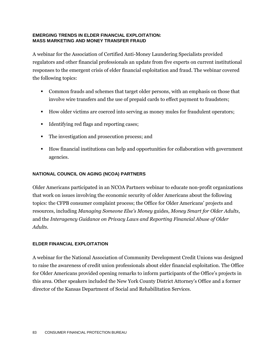#### **EMERGING TRENDS IN ELDER FINANCIAL EXPLOITATION: MASS MARKETING AND MONEY TRANSFER FRAUD**

A webinar for the Association of Certified Anti-Money Laundering Specialists provided regulators and other financial professionals an update from five experts on current institutional responses to the emergent crisis of elder financial exploitation and fraud. The webinar covered the following topics:

- Common frauds and schemes that target older persons, with an emphasis on those that involve wire transfers and the use of prepaid cards to effect payment to fraudsters;
- How older victims are coerced into serving as money mules for fraudulent operators;
- Identifying red flags and reporting cases;
- The investigation and prosecution process; and
- How financial institutions can help and opportunities for collaboration with government agencies.

#### **NATIONAL COUNCIL ON AGING (NCOA) PARTNERS**

Older Americans participated in an NCOA Partners webinar to educate non-profit organizations that work on issues involving the economic security of older Americans about the following topics: the CFPB consumer complaint process; the Office for Older Americans' projects and resources, including *Managing Someone Else's Money* guides, *Money Smart for Older Adults*, and the *Interagency Guidance on Privacy Laws and Reporting Financial Abuse of Older Adults*.

#### **ELDER FINANCIAL EXPLOITATION**

A webinar for the National Association of Community Development Credit Unions was designed to raise the awareness of credit union professionals about elder financial exploitation. The Office for Older Americans provided opening remarks to inform participants of the Office's projects in this area. Other speakers included the New York County District Attorney's Office and a former director of the Kansas Department of Social and Rehabilitation Services.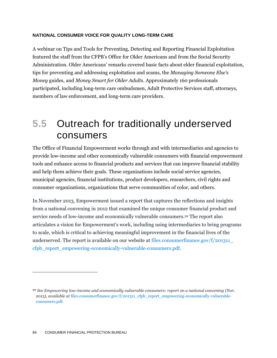#### **NATIONAL CONSUMER VOICE FOR QUALITY LONG-TERM CARE**

A webinar on Tips and Tools for Preventing, Detecting and Reporting Financial Exploitation featured the staff from the CFPB's Office for Older Americans and from the Social Security Administration. Older Americans' remarks covered basic facts about elder financial exploitation, tips for preventing and addressing exploitation and scams, the *Managing Someone Else's Money* guides, and *Money Smart for Older Adults*. Approximately 160 professionals participated, including long-term care ombudsmen, Adult Protective Services staff, attorneys, members of law enforcement, and long-term care providers.

## **5.5** Outreach for traditionally underserved consumers

The Office of Financial Empowerment works through and with intermediaries and agencies to provide low-income and other economically vulnerable consumers with financial empowerment tools and enhance access to financial products and services that can improve financial stability and help them achieve their goals. These organizations include social service agencies, municipal agencies, financial institutions, product developers, researchers, civil rights and consumer organizations, organizations that serve communities of color, and others.

In November 2013, Empowerment issued a report that captures the reflections and insights from a national convening in 2012 that examined the unique consumer financial product and service needs of low-income and economically vulnerable consumers.<sup>99</sup> The report also articulates a vision for Empowerment's work, including using intermediaries to bring programs to scale, which is critical to achieving meaningful improvement in the financial lives of the underserved. The report is available on our website at files.consumerfinance.gov/ $f/201311$ [cfpb\\_report\\_empowering-economically-vulnerable-consumers.pdf.](http://files.consumerfinance.gov/f/201311_cfpb_report_empowering-economically-vulnerable-consumers.pdf)

 $\overline{a}$ 

<sup>99</sup> *See Empowering low-income and economically vulnerable consumers: report on a national convening* (Nov. 2013), *available at* [files.consumerfinance.gov/f/201311\\_cfpb\\_report\\_empowering-economically-vulnerable](http://files.consumerfinance.gov/f/201311_cfpb_report_empowering-economically-vulnerable-consumers.pdf)[consumers.pdf](http://files.consumerfinance.gov/f/201311_cfpb_report_empowering-economically-vulnerable-consumers.pdf)*.*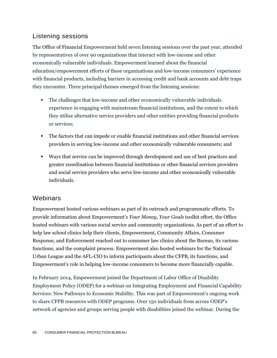## Listening sessions

The Office of Financial Empowerment held seven listening sessions over the past year, attended by representatives of over 90 organizations that interact with low-income and other economically vulnerable individuals. Empowerment learned about the financial education/empowerment efforts of these organizations and low-income consumers' experience with financial products, including barriers in accessing credit and bank accounts and debt traps they encounter. Three principal themes emerged from the listening sessions:

- The challenges that low-income and other economically vulnerable individuals experience in engaging with mainstream financial institutions, and the extent to which they utilize alternative service providers and other entities providing financial products or services;
- The factors that can impede or enable financial institutions and other financial services providers in serving low-income and other economically vulnerable consumers; and
- Ways that service can be improved through development and use of best practices and greater coordination between financial institutions or other financial services providers and social service providers who serve low-income and other economically vulnerable individuals.

## Webinars

Empowerment hosted various webinars as part of its outreach and programmatic efforts. To provide information about Empowerment's *Your Money, Your Goals* toolkit effort, the Office hosted webinars with various social service and community organizations. As part of an effort to help law school clinics help their clients, Empowerment, Community Affairs, Consumer Response, and Enforcement reached out to consumer law clinics about the Bureau, its various functions, and the complaint process. Empowerment also hosted webinars for the National Urban League and the AFL-CIO to inform participants about the CFPB, its functions, and Empowerment's role in helping low-income consumers to become more financially capable.

In February 2014, Empowerment joined the Department of Labor Office of Disability Employment Policy (ODEP) for a webinar on Integrating Employment and Financial Capability Services: New Pathways to Economic Stability. This was part of Empowerment's ongoing work to share CFPB resources with ODEP programs. Over 150 individuals from across ODEP's network of agencies and groups serving people with disabilities joined the webinar. During the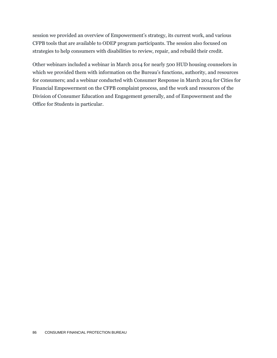session we provided an overview of Empowerment's strategy, its current work, and various CFPB tools that are available to ODEP program participants. The session also focused on strategies to help consumers with disabilities to review, repair, and rebuild their credit.

Other webinars included a webinar in March 2014 for nearly 500 HUD housing counselors in which we provided them with information on the Bureau's functions, authority, and resources for consumers; and a webinar conducted with Consumer Response in March 2014 for Cities for Financial Empowerment on the CFPB complaint process, and the work and resources of the Division of Consumer Education and Engagement generally, and of Empowerment and the Office for Students in particular.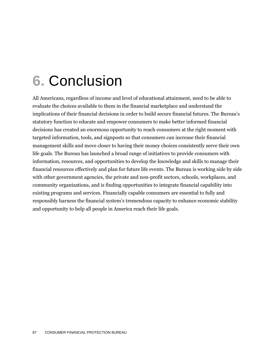# **6.** Conclusion

All Americans, regardless of income and level of educational attainment, need to be able to evaluate the choices available to them in the financial marketplace and understand the implications of their financial decisions in order to build secure financial futures. The Bureau's statutory function to educate and empower consumers to make better informed financial decisions has created an enormous opportunity to reach consumers at the right moment with targeted information, tools, and signposts so that consumers can increase their financial management skills and move closer to having their money choices consistently serve their own life goals. The Bureau has launched a broad range of initiatives to provide consumers with information, resources, and opportunities to develop the knowledge and skills to manage their financial resources effectively and plan for future life events. The Bureau is working side by side with other government agencies, the private and non-profit sectors, schools, workplaces, and community organizations, and is finding opportunities to integrate financial capability into existing programs and services. Financially capable consumers are essential to fully and responsibly harness the financial system's tremendous capacity to enhance economic stability and opportunity to help all people in America reach their life goals.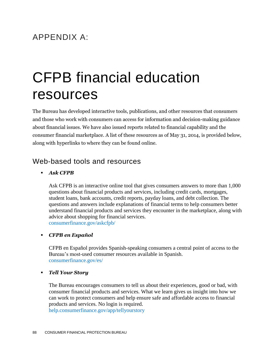## APPENDIX A:

# CFPB financial education resources

The Bureau has developed interactive tools, publications, and other resources that consumers and those who work with consumers can access for information and decision-making guidance about financial issues. We have also issued reports related to financial capability and the consumer financial marketplace. A list of these resources as of May 31, 2014, is provided below, along with hyperlinks to where they can be found online.

## Web-based tools and resources

#### *Ask CFPB*

Ask CFPB is an interactive online tool that gives consumers answers to more than 1,000 questions about financial products and services, including credit cards, mortgages, student loans, bank accounts, credit reports, payday loans, and debt collection. The questions and answers include explanations of financial terms to help consumers better understand financial products and services they encounter in the marketplace, along with advice about shopping for financial services. [consumerfinance.gov/askcfpb/](http://www.consumerfinance.gov/askcfpb/)

#### *CFPB en Español*

CFPB en Español provides Spanish-speaking consumers a central point of access to the Bureau's most-used consumer resources available in Spanish. [consumerfinance.gov/es/](http://www.consumerfinance.gov/es/)

#### *Tell Your Story*

The Bureau encourages consumers to tell us about their experiences, good or bad, with consumer financial products and services. What we learn gives us insight into how we can work to protect consumers and help ensure safe and affordable access to financial products and services. No login is required.

[help.consumerfinance.gov/app/tellyourstory](http://help.consumerfinance.gov/app/tellyourstory)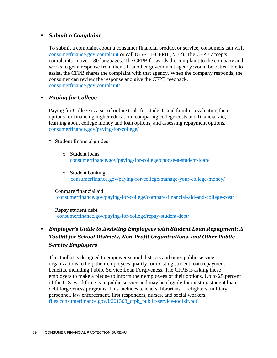#### *Submit a Complaint*

To submit a complaint about a consumer financial product or service, consumers can visit [consumerfinance.gov/complaint](http://www.consumerfinance.gov/complaint/) or call 855-411-CFPB (2372). The CFPB accepts complaints in over 180 languages. The CFPB forwards the complaint to the company and works to get a response from them. If another government agency would be better able to assist, the CFPB shares the complaint with that agency. When the company responds, the consumer can review the response and give the CFPB feedback. [consumerfinance.gov/complaint/](http://www.consumerfinance.gov/complaint/)

#### *Paying for College*

Paying for College is a set of online tools for students and families evaluating their options for financing higher education: comparing college costs and financial aid, learning about college money and loan options, and assessing repayment options. [consumerfinance.gov/paying-for-college/](http://www.consumerfinance.gov/paying-for-college/)

#### $\Box$  Student financial guides

- o Student loans [consumerfinance.gov/paying-for-college/choose-a-student-loan/](http://www.consumerfinance.gov/paying-for-college/choose-a-student-loan/)
- o Student banking [consumerfinance.gov/paying-for-college/manage-your-college-money/](http://www.consumerfinance.gov/paying-for-college/manage-your-college-money/)
- Compare financial aid [consumerfinance.gov/paying-for-college/compare-financial-aid-and-college-cost/](http://www.consumerfinance.gov/paying-for-college/compare-financial-aid-and-college-cost/)
- Repay student debt [consumerfinance.gov/paying-for-college/repay-student-debt/](http://www.consumerfinance.gov/paying-for-college/repay-student-debt/)

## *Employer's Guide to Assisting Employees with Student Loan Repayment: A Toolkit for School Districts, Non-Profit Organizations, and Other Public Service Employers*

This toolkit is designed to empower school districts and other public service organizations to help their employees qualify for existing student loan repayment benefits, including Public Service Loan Forgiveness. The CFPB is asking these employers to make a pledge to inform their employees of their options. Up to 25 percent of the U.S. workforce is in public service and may be eligible for existing student loan debt forgiveness programs. This includes teachers, librarians, firefighters, military personnel, law enforcement, first responders, nurses, and social workers. [files.consumerfinance.gov/f/201308\\_cfpb\\_public-service-toolkit.pdf](http://files.consumerfinance.gov/f/201308_cfpb_public-service-toolkit.pdf)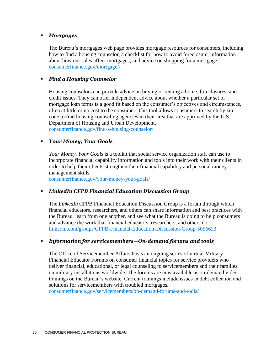#### *Mortgages*

The Bureau's mortgages web page provides mortgage resources for consumers, including how to find a housing counselor, a checklist for how to avoid foreclosure, information about how our rules affect mortgages, and advice on shopping for a mortgage. [consumerfinance.gov/mortgage//](http://www.consumerfinance.gov/mortgage/)

#### *Find a Housing Counselor*

Housing counselors can provide advice on buying or renting a home, foreclosures, and credit issues. They can offer independent advice about whether a particular set of mortgage loan terms is a good fit based on the consumer's objectives and circumstances, often at little or no cost to the consumer. This tool allows consumers to search by zip code to find housing counseling agencies in their area that are approved by the U.S. Department of Housing and Urban Development. [consumerfinance.gov/find-a-housing-counselor/](http://www.consumerfinance.gov/find-a-housing-counselor/)

#### *Your Money, Your Goals*

*Your Money, Your Goals* is a toolkit that social service organization staff can use to incorporate financial capability information and tools into their work with their clients in order to help their clients strengthen their financial capability and personal money management skills.

[consumerfinance.gov/your-money-your-goals/](http://www.consumerfinance.gov/your-money-your-goals/)

#### *LinkedIn CFPB Financial Education Discussion Group*

The *LinkedIn* CFPB Financial Education Discussion Group is a forum through which financial educators, researchers, and others can share information and best practices with the Bureau, learn from one another, and see what the Bureau is doing to help consumers and advance the work that financial educators, researchers, and others do. [linkedin.com/groups/CFPB-Financial-Education-Discussion-Group-5056623](http://www.linkedin.com/groups/CFPB-Financial-Education-Discussion-Group-5056623)

#### *Information for servicemembers—On-demand forums and tools*

The Office of Servicemember Affairs hosts an ongoing series of virtual Military Financial Educator Forums on consumer financial topics for service providers who deliver financial, educational, or legal counseling to servicemembers and their families on military installations worldwide. The forums are now available as on-demand video trainings on the Bureau's website. Current trainings include issues in debt collection and solutions for servicemembers with troubled mortgages.

[consumerfinance.gov/servicemembers/on-demand-forums-and-tools/](http://www.consumerfinance.gov/servicemembers/on-demand-forums-and-tools/)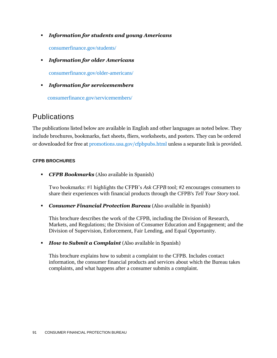*Information for students and young Americans*

[consumerfinance.gov/students/](http://www.consumerfinance.gov/students/)

*Information for older Americans*

[consumerfinance.gov/older-americans/](http://www.consumerfinance.gov/older-americans/)

*Information for servicemembers* 

[consumerfinance.gov/servicemembers/](http://www.consumerfinance.gov/servicemembers)

## Publications

The publications listed below are available in English and other languages as noted below. They include brochures, bookmarks, fact sheets, fliers, worksheets, and posters. They can be ordered or downloaded for free at [promotions.usa.gov/cfpbpubs.html](http://promotions.usa.gov/cfpbpubs.html) unless a separate link is provided.

#### **CFPB BROCHURES**

*CFPB Bookmarks* (Also available in Spanish)

Two bookmarks: #1 highlights the CFPB's *Ask CFPB* tool; #2 encourages consumers to share their experiences with financial products through the CFPB's *Tell Your Story* tool.

*Consumer Financial Protection Bureau* (Also available in Spanish)

This brochure describes the work of the CFPB, including the Division of Research, Markets, and Regulations; the Division of Consumer Education and Engagement; and the Division of Supervision, Enforcement, Fair Lending, and Equal Opportunity.

**How to Submit a Complaint** (Also available in Spanish)

This brochure explains how to submit a complaint to the CFPB. Includes contact information, the consumer financial products and services about which the Bureau takes complaints, and what happens after a consumer submits a complaint.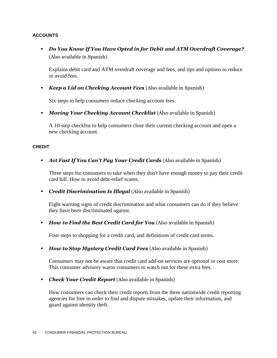#### **ACCOUNTS**

 *Do You Know If You Have Opted in for Debit and ATM Overdraft Coverage?* (Also available in Spanish)

Explains debit card and ATM overdraft coverage and fees, and tips and options to reduce or avoid fees.

*Keep a Lid on Checking Account Fees* (Also available in Spanish)

Six steps to help consumers reduce checking account fees.

*Moving Your Checking Account Checklist* (Also available in Spanish)

A 10-step checklist to help consumers close their current checking account and open a new checking account.

#### **CREDIT**

*Act Fast If You Can't Pay Your Credit Cards* (Also available in Spanish)

Three steps for consumers to take when they don't have enough money to pay their credit card bill. How to avoid debt-relief scams.

*Credit Discrimination Is Illegal* (Also available in Spanish)

Eight warning signs of credit discrimination and what consumers can do if they believe they have been discriminated against.

*How to Find the Best Credit Card for You* (Also available in Spanish)

Four steps to shopping for a credit card, and definitions of credit card terms.

*How to Stop Mystery Credit Card Fees* (Also available in Spanish)

Consumers may not be aware that credit card add-on services are optional or cost more. This consumer advisory warns consumers to watch out for these extra fees.

*Check Your Credit Report* (Also available in Spanish)

How consumers can check their credit reports from the three nationwide credit reporting agencies for free in order to find and dispute mistakes, update their information, and guard against identity theft.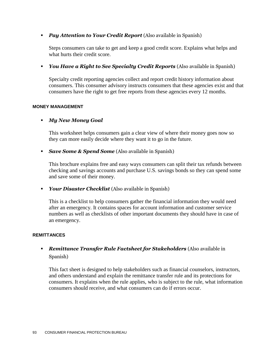#### *Pay Attention to Your Credit Report* (Also available in Spanish)

Steps consumers can take to get and keep a good credit score. Explains what helps and what hurts their credit score.

*You Have a Right to See Specialty Credit Reports* (Also available in Spanish)

Specialty credit reporting agencies collect and report credit history information about consumers. This consumer advisory instructs consumers that these agencies exist and that consumers have the right to get free reports from these agencies every 12 months.

#### **MONEY MANAGEMENT**

#### *My New Money Goal*

This worksheet helps consumers gain a clear view of where their money goes now so they can more easily decide where they want it to go in the future.

*Save Some & Spend Some* (Also available in Spanish)

This brochure explains free and easy ways consumers can split their tax refunds between checking and savings accounts and purchase U.S. savings bonds so they can spend some and save some of their money.

*Your Disaster Checklist* (Also available in Spanish)

This is a checklist to help consumers gather the financial information they would need after an emergency. It contains spaces for account information and customer service numbers as well as checklists of other important documents they should have in case of an emergency.

#### **REMITTANCES**

### *Remittance Transfer Rule Factsheet for Stakeholders* (Also available in Spanish)

This fact sheet is designed to help stakeholders such as financial counselors, instructors, and others understand and explain the remittance transfer rule and its protections for consumers. It explains when the rule applies, who is subject to the rule, what information consumers should receive, and what consumers can do if errors occur.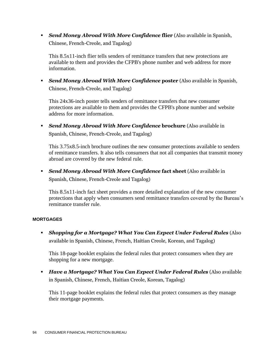*Send Money Abroad With More Confidence* **flier** (Also available in Spanish, Chinese, French-Creole, and Tagalog)

This 8.5x11-inch flier tells senders of remittance transfers that new protections are available to them and provides the CFPB's phone number and web address for more information.

 *Send Money Abroad With More Confidence* **poster** (Also available in Spanish, Chinese, French-Creole, and Tagalog)

This 24x36-inch poster tells senders of remittance transfers that new consumer protections are available to them and provides the CFPB's phone number and website address for more information.

 *Send Money Abroad With More Confidence* **brochure** (Also available in Spanish, Chinese, French-Creole, and Tagalog)

This 3.75x8.5-inch brochure outlines the new consumer protections available to senders of remittance transfers. It also tells consumers that not all companies that transmit money abroad are covered by the new federal rule.

 *Send Money Abroad With More Confidence* **fact sheet** (Also available in Spanish, Chinese, French-Creole and Tagalog)

This 8.5x11-inch fact sheet provides a more detailed explanation of the new consumer protections that apply when consumers send remittance transfers covered by the Bureau's remittance transfer rule.

#### **MORTGAGES**

 *Shopping for a Mortgage? What You Can Expect Under Federal Rules* (Also available in Spanish, Chinese, French, Haitian Creole, Korean, and Tagalog)

This 18-page booklet explains the federal rules that protect consumers when they are shopping for a new mortgage.

 *Have a Mortgage? What You Can Expect Under Federal Rules* (Also available in Spanish, Chinese, French, Haitian Creole, Korean, Tagalog)

This 11-page booklet explains the federal rules that protect consumers as they manage their mortgage payments.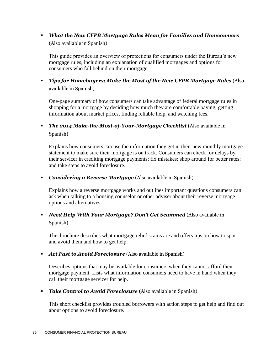*What the New CFPB Mortgage Rules Mean for Families and Homeowners* (Also available in Spanish)

This guide provides an overview of protections for consumers under the Bureau's new mortgage rules, including an explanation of qualified mortgages and options for consumers who fall behind on their mortgage.

 *Tips for Homebuyers: Make the Most of the New CFPB Mortgage Rules* (Also available in Spanish)

One-page summary of how consumers can take advantage of federal mortgage rules in shopping for a mortgage by deciding how much they are comfortable paying, getting information about market prices, finding reliable help, and watching fees.

 *The 2014 Make-the-Most-of-Your-Mortgage Checklist* (Also available in Spanish)

Explains how consumers can use the information they get in their new monthly mortgage statement to make sure their mortgage is on track. Consumers can check for delays by their servicer in crediting mortgage payments; fix mistakes; shop around for better rates; and take steps to avoid foreclosure.

*Considering a Reverse Mortgage* (Also available in Spanish)

Explains how a reverse mortgage works and outlines important questions consumers can ask when talking to a housing counselor or other adviser about their reverse mortgage options and alternatives.

 *Need Help With Your Mortgage? Don't Get Scammed* (Also available in Spanish)

This brochure describes what mortgage relief scams are and offers tips on how to spot and avoid them and how to get help.

*Act Fast to Avoid Foreclosure* (Also available in Spanish)

Describes options that may be available for consumers when they cannot afford their mortgage payment. Lists what information consumers need to have in hand when they call their mortgage servicer for help.

*Take Control to Avoid Foreclosure* (Also available in Spanish)

This short checklist provides troubled borrowers with action steps to get help and find out about options to avoid foreclosure.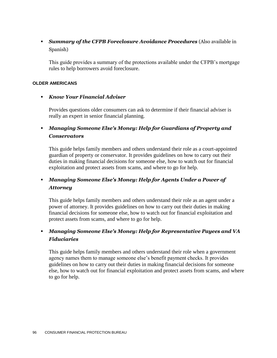*Summary of the CFPB Foreclosure Avoidance Procedures* (Also available in Spanish)

This guide provides a summary of the protections available under the CFPB's mortgage rules to help borrowers avoid foreclosure.

#### **OLDER AMERICANS**

#### *Know Your Financial Adviser*

Provides questions older consumers can ask to determine if their financial adviser is really an expert in senior financial planning.

## *Managing Someone Else's Money: Help for Guardians of Property and Conservators*

This guide helps family members and others understand their role as a court-appointed guardian of property or conservator. It provides guidelines on how to carry out their duties in making financial decisions for someone else, how to watch out for financial exploitation and protect assets from scams, and where to go for help.

### *Managing Someone Else's Money: Help for Agents Under a Power of Attorney*

This guide helps family members and others understand their role as an agent under a power of attorney. It provides guidelines on how to carry out their duties in making financial decisions for someone else, how to watch out for financial exploitation and protect assets from scams, and where to go for help.

### *Managing Someone Else's Money: Help for Representative Payees and VA Fiduciaries*

This guide helps family members and others understand their role when a government agency names them to manage someone else's benefit payment checks. It provides guidelines on how to carry out their duties in making financial decisions for someone else, how to watch out for financial exploitation and protect assets from scams, and where to go for help.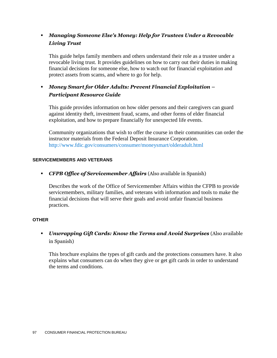## *Managing Someone Else's Money: Help for Trustees Under a Revocable Living Trust*

This guide helps family members and others understand their role as a trustee under a revocable living trust. It provides guidelines on how to carry out their duties in making financial decisions for someone else, how to watch out for financial exploitation and protect assets from scams, and where to go for help.

## *Money Smart for Older Adults: Prevent Financial Exploitation – Participant Resource Guide*

This guide provides information on how older persons and their caregivers can guard against identity theft, investment fraud, scams, and other forms of elder financial exploitation, and how to prepare financially for unexpected life events.

Community organizations that wish to offer the course in their communities can order the instructor materials from the Federal Deposit Insurance Corporation. <http://www.fdic.gov/consumers/consumer/moneysmart/olderadult.html>

#### **SERVICEMEMBERS AND VETERANS**

*CFPB Office of Servicemember Affairs* (Also available in Spanish)

Describes the work of the Office of Servicemember Affairs within the CFPB to provide servicemembers, military families, and veterans with information and tools to make the financial decisions that will serve their goals and avoid unfair financial business practices.

#### **OTHER**

 *Unwrapping Gift Cards: Know the Terms and Avoid Surprises* (Also available in Spanish)

This brochure explains the types of gift cards and the protections consumers have. It also explains what consumers can do when they give or get gift cards in order to understand the terms and conditions.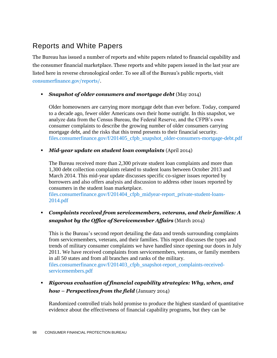## Reports and White Papers

The Bureau has issued a number of reports and white papers related to financial capability and the consumer financial marketplace. These reports and white papers issued in the last year are listed here in reverse chronological order. To see all of the Bureau's public reports, visit [consumerfinance.gov/reports/.](http://www.consumerfinance.gov/reports/)

#### *Snapshot of older consumers and mortgage debt* (May 2014)

Older homeowners are carrying more mortgage debt than ever before. Today, compared to a decade ago, fewer older Americans own their home outright. In this snapshot, we analyze data from the Census Bureau, the Federal Reserve, and the CFPB's own consumer complaints to describe the growing number of older consumers carrying mortgage debt, and the risks that this trend presents to their financial security. [files.consumerfinance.gov/f/201405\\_cfpb\\_snapshot\\_older-consumers-mortgage-debt.pdf](http://files.consumerfinance.gov/f/201405_cfpb_snapshot_older-consumers-mortgage-debt.pdf)

#### *Mid-year update on student loan complaints* (April 2014)

The Bureau received more than 2,300 private student loan complaints and more than 1,300 debt collection complaints related to student loans between October 2013 and March 2014. This mid-year update discusses specific co-signer issues reported by borrowers and also offers analysis and discussion to address other issues reported by consumers in the student loan marketplace.

[files.consumerfinance.gov/f/201404\\_cfpb\\_midyear-report\\_private-student-loans-](http://files.consumerfinance.gov/f/201404_cfpb_midyear-report_private-student-loans-2014.pdf)[2014.pdf](http://files.consumerfinance.gov/f/201404_cfpb_midyear-report_private-student-loans-2014.pdf)

## *Complaints received from servicemembers, veterans, and their families: A snapshot by the Office of Servicemember Affairs* (March 2014)

This is the Bureau's second report detailing the data and trends surrounding complaints from servicemembers, veterans, and their families. This report discusses the types and trends of military consumer complaints we have handled since opening our doors in July 2011. We have received complaints from servicemembers, veterans, or family members in all 50 states and from all branches and ranks of the military. [files.consumerfinance.gov/f/201403\\_cfpb\\_snapshot-report\\_complaints-received](http://files.consumerfinance.gov/f/201403_cfpb_snapshot-report_complaints-received-servicemembers.pdf)[servicemembers.pdf](http://files.consumerfinance.gov/f/201403_cfpb_snapshot-report_complaints-received-servicemembers.pdf)

 *Rigorous evaluation of financial capability strategies: Why, when, and how – Perspectives from the field* (January 2014)

Randomized controlled trials hold promise to produce the highest standard of quantitative evidence about the effectiveness of financial capability programs, but they can be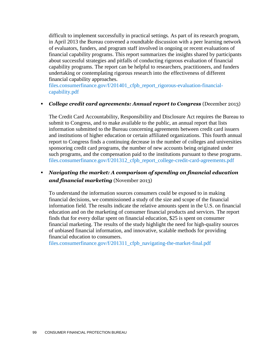difficult to implement successfully in practical settings. As part of its research program, in April 2013 the Bureau convened a roundtable discussion with a peer learning network of evaluators, funders, and program staff involved in ongoing or recent evaluations of financial capability programs. This report summarizes the insights shared by participants about successful strategies and pitfalls of conducting rigorous evaluation of financial capability programs. The report can be helpful to researchers, practitioners, and funders undertaking or contemplating rigorous research into the effectiveness of different financial capability approaches.

[files.consumerfinance.gov/f/201401\\_cfpb\\_report\\_rigorous-evaluation-financial](http://files.consumerfinance.gov/f/201401_cfpb_report_rigorous-evaluation-financial-capability.pdf)[capability.pdf](http://files.consumerfinance.gov/f/201401_cfpb_report_rigorous-evaluation-financial-capability.pdf)

#### *College credit card agreements: Annual report to Congress* (December 2013)

The Credit Card Accountability, Responsibility and Disclosure Act requires the Bureau to submit to Congress, and to make available to the public, an annual report that lists information submitted to the Bureau concerning agreements between credit card issuers and institutions of higher education or certain affiliated organizations. This fourth annual report to Congress finds a continuing decrease in the number of colleges and universities sponsoring credit card programs, the number of new accounts being originated under such programs, and the compensation paid to the institutions pursuant to these programs. [files.consumerfinance.gov/f/201312\\_cfpb\\_report\\_college-credit-card-agreements.pdf](http://files.consumerfinance.gov/f/201312_cfpb_report_college-credit-card-agreements.pdf)

## *Navigating the market: A comparison of spending on financial education and financial marketing* (November 2013)

To understand the information sources consumers could be exposed to in making financial decisions, we commissioned a study of the size and scope of the financial information field. The results indicate the relative amounts spent in the U.S. on financial education and on the marketing of consumer financial products and services. The report finds that for every dollar spent on financial education, \$25 is spent on consumer financial marketing. The results of the study highlight the need for high-quality sources of unbiased financial information, and innovative, scalable methods for providing financial education to consumers.

[files.consumerfinance.gov/f/201311\\_cfpb\\_navigating-the-market-final.pdf](http://files.consumerfinance.gov/f/201311_cfpb_navigating-the-market-final.pdf)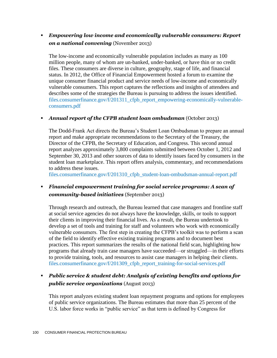## *Empowering low income and economically vulnerable consumers: Report on a national convening* (November 2013)

The low-income and economically vulnerable population includes as many as 100 million people, many of whom are un-banked, under-banked, or have thin or no credit files. These consumers are diverse in culture, geography, stage of life, and financial status. In 2012, the Office of Financial Empowerment hosted a forum to examine the unique consumer financial product and service needs of low-income and economically vulnerable consumers. This report captures the reflections and insights of attendees and describes some of the strategies the Bureau is pursuing to address the issues identified. [files.consumerfinance.gov/f/201311\\_cfpb\\_report\\_empowering-economically-vulnerable](http://files.consumerfinance.gov/f/201311_cfpb_report_empowering-economically-vulnerable-consumers.pdf)[consumers.pdf](http://files.consumerfinance.gov/f/201311_cfpb_report_empowering-economically-vulnerable-consumers.pdf)

#### *Annual report of the CFPB student loan ombudsman* (October 2013)

The Dodd-Frank Act directs the Bureau's Student Loan Ombudsman to prepare an annual report and make appropriate recommendations to the Secretary of the Treasury, the Director of the CFPB, the Secretary of Education, and Congress. This second annual report analyzes approximately 3,800 complaints submitted between October 1, 2012 and September 30, 2013 and other sources of data to identify issues faced by consumers in the student loan marketplace. This report offers analysis, commentary, and recommendations to address these issues.

[files.consumerfinance.gov/f/201310\\_cfpb\\_student-loan-ombudsman-annual-report.pdf](http://files.consumerfinance.gov/f/201310_cfpb_student-loan-ombudsman-annual-report.pdf)

 *Financial empowerment training for social service programs: A scan of community-based initiatives* (September 2013)

Through research and outreach, the Bureau learned that case managers and frontline staff at social service agencies do not always have the knowledge, skills, or tools to support their clients in improving their financial lives. As a result, the Bureau undertook to develop a set of tools and training for staff and volunteers who work with economically vulnerable consumers. The first step in creating the CFPB's toolkit was to perform a scan of the field to identify effective existing training programs and to document best practices. This report summarizes the results of the national field scan, highlighting how programs that already train case managers have succeeded—or struggled—in their efforts to provide training, tools, and resources to assist case managers in helping their clients. [files.consumerfinance.gov/f/201309\\_cfpb\\_report\\_training-for-social-services.pdf](http://files.consumerfinance.gov/f/201309_cfpb_report_training-for-social-services.pdf)

 *Public service & student debt: Analysis of existing benefits and options for public service organizations* (August 2013)

This report analyzes existing student loan repayment programs and options for employees of public service organizations. The Bureau estimates that more than 25 percent of the U.S. labor force works in "public service" as that term is defined by Congress for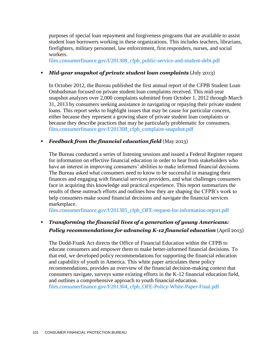purposes of special loan repayment and forgiveness programs that are available to assist student loan borrowers working in these organizations. This includes teachers, librarians, firefighters, military personnel, law enforcement, first responders, nurses, and social workers.

[files.consumerfinance.gov/f/201308\\_cfpb\\_public-service-and-student-debt.pdf](http://files.consumerfinance.gov/f/201308_cfpb_public-service-and-student-debt.pdf)

#### *Mid-year snapshot of private student loan complaints* (July 2013)

In October 2012, the Bureau published the first annual report of the CFPB Student Loan Ombudsman focused on private student loan complaints received. This mid-year snapshot analyzes over 2,000 complaints submitted from October 1, 2012 through March 31, 2013 by consumers seeking assistance in navigating or repaying their private student loans. This report seeks to highlight issues that may be cause for particular concern, either because they represent a growing share of private student loan complaints or because they describe practices that may be particularly problematic for consumers. [files.consumerfinance.gov/f/201308\\_cfpb\\_complaint-snapshot.pdf](http://files.consumerfinance.gov/f/201308_cfpb_complaint-snapshot.pdf)

#### *Feedback from the financial education field* (May 2013)

The Bureau conducted a series of listening sessions and issued a Federal Register request for information on effective financial education in order to hear from stakeholders who have an interest in improving consumers' abilities to make informed financial decisions. The Bureau asked what consumers need to know to be successful in managing their finances and engaging with financial services providers, and what challenges consumers face in acquiring this knowledge and practical experience. This report summarizes the results of these outreach efforts and outlines how they are shaping the CFPB's work to help consumers make sound financial decisions and navigate the financial services marketplace.

[files.consumerfinance.gov/f/201305\\_cfpb\\_OFE-request-for-information-report.pdf](http://files.consumerfinance.gov/f/201305_cfpb_OFE-request-for-information-report.pdf)

## *Transforming the financial lives of a generation of young Americans: Policy recommendations for advancing K-12 financial education* (April 2013)

The Dodd-Frank Act directs the Office of Financial Education within the CFPB to educate consumers and empower them to make better-informed financial decisions. To that end, we developed policy recommendations for supporting the financial education and capability of youth in America. This white paper articulates these policy recommendations, provides an overview of the financial decision-making context that consumers navigate, surveys some existing efforts in the K-12 financial education field, and outlines a comprehensive approach to youth financial education. [files.consumerfinance.gov/f/201304\\_cfpb\\_OFE-Policy-White-Paper-Final.pdf](http://files.consumerfinance.gov/f/201304_cfpb_OFE-Policy-White-Paper-Final.pdf)